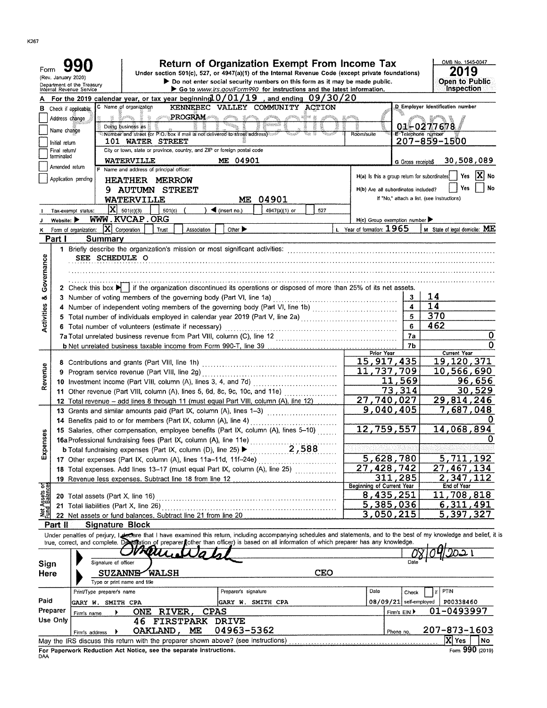| Form                           | (Rev. January 2020)            | Department of the Treasury<br>Internal Revenue Service                                                                                                  |                                          |              | <b>Return of Organization Exempt From Income Tax</b><br>Under section 501(c), 527, or 4947(a)(1) of the Internal Revenue Code (except private foundations)<br>Do not enter social security numbers on this form as it may be made public. |                                                                            |                                                                                                                                                                      |            | OMB No. 1545-0047<br><b>Open to Public</b> |                                              |            |                        |                                            |                                  |                       |
|--------------------------------|--------------------------------|---------------------------------------------------------------------------------------------------------------------------------------------------------|------------------------------------------|--------------|-------------------------------------------------------------------------------------------------------------------------------------------------------------------------------------------------------------------------------------------|----------------------------------------------------------------------------|----------------------------------------------------------------------------------------------------------------------------------------------------------------------|------------|--------------------------------------------|----------------------------------------------|------------|------------------------|--------------------------------------------|----------------------------------|-----------------------|
|                                |                                | For the 2019 calendar year, or tax year beginning $0/01/19$                                                                                             |                                          |              |                                                                                                                                                                                                                                           |                                                                            | Go to www.irs.gov/Form990 for instructions and the latest information.<br>, and ending $09/30/20$                                                                    |            |                                            |                                              |            |                        |                                            | Inspection                       |                       |
| в                              |                                | Check if applicable;                                                                                                                                    | C Name of organization                   |              |                                                                                                                                                                                                                                           |                                                                            | KENNEBEC VALLEY COMMUNITY ACTION                                                                                                                                     |            |                                            |                                              |            |                        |                                            | D Employer Identification number |                       |
|                                | Address change                 |                                                                                                                                                         | 魇                                        |              | <b>PROGRAM</b>                                                                                                                                                                                                                            | $\mathcal{L}\widehat{\mathcal{P}}^{AB}$<br>$\mathbb{R}^{d \times d}$       |                                                                                                                                                                      | nSu e      |                                            |                                              |            |                        |                                            |                                  |                       |
|                                |                                |                                                                                                                                                         | Dolng business as $\ddot{\text{a}}$      |              |                                                                                                                                                                                                                                           |                                                                            |                                                                                                                                                                      |            |                                            |                                              |            |                        | 01-0277678                                 |                                  |                       |
|                                | Name change                    |                                                                                                                                                         |                                          |              |                                                                                                                                                                                                                                           | Number and street (or P.O. box if mail is not delivered to street address) |                                                                                                                                                                      |            |                                            | Room/suite                                   |            |                        | E-Telephone number                         |                                  |                       |
|                                | Initial return                 |                                                                                                                                                         | 101 WATER STREET                         |              |                                                                                                                                                                                                                                           |                                                                            |                                                                                                                                                                      |            |                                            |                                              |            |                        |                                            | 207-859-1500                     |                       |
|                                | Final return/<br>terminated    |                                                                                                                                                         |                                          |              |                                                                                                                                                                                                                                           | City or town, state or province, country, and ZIP or foreign postal code   |                                                                                                                                                                      |            |                                            |                                              |            |                        |                                            |                                  |                       |
|                                | Amended return                 |                                                                                                                                                         | WATERVILLE                               |              |                                                                                                                                                                                                                                           | ME 04901                                                                   |                                                                                                                                                                      |            |                                            |                                              |            | G Gross receipts\$     |                                            | 30,508,089                       |                       |
|                                |                                |                                                                                                                                                         | F Name and address of principal officer: |              |                                                                                                                                                                                                                                           |                                                                            |                                                                                                                                                                      |            |                                            | H(a) Is this a group return for subordinates |            |                        |                                            | Yes                              | No                    |
|                                |                                | Application pending                                                                                                                                     | HEATHER MERROW                           |              |                                                                                                                                                                                                                                           |                                                                            |                                                                                                                                                                      |            |                                            |                                              |            |                        |                                            | Yes                              | No                    |
|                                |                                |                                                                                                                                                         | <b>9 AUTUMN STREET</b>                   |              |                                                                                                                                                                                                                                           |                                                                            |                                                                                                                                                                      |            |                                            | H(b) Are all subordinates included?          |            |                        |                                            |                                  |                       |
|                                |                                |                                                                                                                                                         | WATERVILLE                               |              |                                                                                                                                                                                                                                           |                                                                            | ME 04901                                                                                                                                                             |            |                                            |                                              |            |                        | If "No," attach a list. (see instructions) |                                  |                       |
|                                |                                | Tax-exempt status:                                                                                                                                      | $ \mathbf{X} $ 501(c)(3)                 | 501(c)       |                                                                                                                                                                                                                                           | $\blacktriangleleft$ (insert no.)                                          | 4947(a)(1) or                                                                                                                                                        | 527        |                                            |                                              |            |                        |                                            |                                  |                       |
|                                | Website: $\blacktriangleright$ |                                                                                                                                                         | WWW.KVCAP.ORG                            |              |                                                                                                                                                                                                                                           |                                                                            |                                                                                                                                                                      |            |                                            | $H(c)$ Group exemption number                |            |                        |                                            |                                  |                       |
|                                |                                | Form of organization:                                                                                                                                   | $ \mathbf{X} $ Corporation               | Trust        | Association                                                                                                                                                                                                                               | Other $\blacktriangleright$                                                |                                                                                                                                                                      |            |                                            | Year of formation: $1965$                    |            |                        |                                            | M State of legal domicile: ME    |                       |
|                                | Part I                         | Summary                                                                                                                                                 |                                          |              |                                                                                                                                                                                                                                           |                                                                            |                                                                                                                                                                      |            |                                            |                                              |            |                        |                                            |                                  |                       |
|                                |                                | 1 Briefly describe the organization's mission or most significant activities:                                                                           |                                          |              |                                                                                                                                                                                                                                           |                                                                            |                                                                                                                                                                      |            |                                            |                                              |            |                        |                                            |                                  |                       |
|                                |                                | SEE SCHEDULE O                                                                                                                                          |                                          |              |                                                                                                                                                                                                                                           |                                                                            |                                                                                                                                                                      |            |                                            |                                              |            |                        |                                            |                                  |                       |
|                                |                                |                                                                                                                                                         |                                          |              |                                                                                                                                                                                                                                           |                                                                            |                                                                                                                                                                      |            |                                            |                                              |            |                        |                                            |                                  |                       |
| Governance                     |                                |                                                                                                                                                         |                                          |              |                                                                                                                                                                                                                                           |                                                                            |                                                                                                                                                                      |            |                                            |                                              |            |                        |                                            |                                  |                       |
|                                |                                |                                                                                                                                                         |                                          |              |                                                                                                                                                                                                                                           |                                                                            | 2 Check this box $\blacktriangleright$ if the organization discontinued its operations or disposed of more than 25% of its net assets.                               |            |                                            |                                              |            |                        |                                            |                                  |                       |
| œ                              |                                | 3 Number of voting members of the governing body (Part VI, line 1a)                                                                                     |                                          |              |                                                                                                                                                                                                                                           |                                                                            |                                                                                                                                                                      |            |                                            |                                              |            | 3                      | 14                                         |                                  |                       |
|                                |                                |                                                                                                                                                         |                                          |              |                                                                                                                                                                                                                                           |                                                                            | 4 Number of independent voting members of the governing body (Part VI, line 1b)                                                                                      |            |                                            |                                              |            | $\boldsymbol{4}$       | 14                                         |                                  |                       |
| Activities                     |                                |                                                                                                                                                         |                                          |              |                                                                                                                                                                                                                                           |                                                                            | 5 Total number of individuals employed in calendar year 2019 (Part V, line 2a)                                                                                       |            |                                            |                                              |            | 5                      | 370                                        |                                  |                       |
|                                |                                | 6 Total number of volunteers (estimate if necessary)                                                                                                    |                                          |              |                                                                                                                                                                                                                                           |                                                                            |                                                                                                                                                                      |            |                                            |                                              |            | 6                      | 462                                        |                                  |                       |
|                                |                                |                                                                                                                                                         |                                          |              |                                                                                                                                                                                                                                           |                                                                            | 7a Total unrelated business revenue from Part VIII, column (C), line 12 [11] [20] [20] [20] [20] [20] [20] [20                                                       |            |                                            |                                              |            | 7a                     |                                            |                                  | 0                     |
|                                |                                |                                                                                                                                                         |                                          |              |                                                                                                                                                                                                                                           |                                                                            |                                                                                                                                                                      |            |                                            | <b>Prior Year</b>                            |            | <b>7b</b>              |                                            | Current Year                     | O                     |
|                                |                                |                                                                                                                                                         |                                          |              |                                                                                                                                                                                                                                           |                                                                            |                                                                                                                                                                      |            |                                            | 15, 917, 435                                 |            |                        |                                            | 19,120,371                       |                       |
| Revenue                        |                                | 9 Program service revenue (Part VIII, line 2g)                                                                                                          |                                          |              |                                                                                                                                                                                                                                           |                                                                            |                                                                                                                                                                      |            |                                            |                                              | 11,737,709 |                        |                                            | 10,566,690                       |                       |
|                                |                                |                                                                                                                                                         |                                          |              |                                                                                                                                                                                                                                           |                                                                            |                                                                                                                                                                      |            |                                            |                                              |            |                        |                                            |                                  | 96,656                |
|                                |                                |                                                                                                                                                         |                                          |              |                                                                                                                                                                                                                                           |                                                                            | 11 Other revenue (Part VIII, column (A), lines 5, 6d, 8c, 9c, 10c, and 11e)                                                                                          |            |                                            |                                              | 73,314     | 569                    |                                            |                                  | 30,529                |
|                                |                                |                                                                                                                                                         |                                          |              |                                                                                                                                                                                                                                           |                                                                            | 12 Total revenue - add lines 8 through 11 (must equal Part VIII, column (A), line 12)                                                                                |            |                                            | 27,740,027                                   |            |                        |                                            | 29,814,246                       |                       |
|                                |                                |                                                                                                                                                         |                                          |              |                                                                                                                                                                                                                                           |                                                                            | 13 Grants and similar amounts paid (Part IX, column (A), lines 1-3)                                                                                                  |            |                                            | 9,040,405                                    |            |                        |                                            | 7,687,048                        |                       |
|                                |                                | 14 Benefits paid to or for members (Part IX, column (A), line 4)                                                                                        |                                          |              |                                                                                                                                                                                                                                           |                                                                            |                                                                                                                                                                      |            |                                            |                                              |            |                        |                                            |                                  |                       |
|                                |                                |                                                                                                                                                         |                                          |              |                                                                                                                                                                                                                                           |                                                                            | 15 Salaries, other compensation, employee benefits (Part IX, column (A), lines 5-10)                                                                                 |            |                                            | 12,759,557                                   |            |                        |                                            | 14,068,894                       |                       |
|                                |                                | 16a Professional fundraising fees (Part IX, column (A), line 11e)                                                                                       |                                          |              |                                                                                                                                                                                                                                           |                                                                            |                                                                                                                                                                      |            |                                            |                                              |            |                        |                                            |                                  |                       |
| xpenses                        |                                | <b>b</b> Total fundraising expenses (Part IX, column (D), line 25) $\blacktriangleright$                                                                |                                          |              |                                                                                                                                                                                                                                           |                                                                            | 2,588                                                                                                                                                                |            |                                            |                                              |            |                        |                                            |                                  |                       |
| ш                              |                                | 17 Other expenses (Part IX, column (A), lines 11a-11d, 11f-24e)                                                                                         |                                          |              |                                                                                                                                                                                                                                           |                                                                            |                                                                                                                                                                      |            |                                            | 5,628,780                                    |            |                        |                                            | 5,711,192                        |                       |
|                                |                                |                                                                                                                                                         |                                          |              |                                                                                                                                                                                                                                           |                                                                            | 18 Total expenses. Add lines 13-17 (must equal Part IX, column (A), line 25) [[[[[[[[[[[[[[[[[[[[[[[[[[[[[[[[                                                        |            |                                            | 27.                                          | 428,742    |                        |                                            | 27,467,134                       |                       |
|                                |                                | 19 Revenue less expenses. Subtract line 18 from line 12                                                                                                 |                                          |              |                                                                                                                                                                                                                                           |                                                                            |                                                                                                                                                                      |            |                                            |                                              | 311,285    |                        |                                            | 2,347,112                        |                       |
|                                |                                |                                                                                                                                                         |                                          |              |                                                                                                                                                                                                                                           |                                                                            |                                                                                                                                                                      |            |                                            | <b>Beginning of Current Year</b>             |            |                        |                                            | End of Year                      |                       |
| Net Assets or<br>Fund Balances |                                |                                                                                                                                                         |                                          |              |                                                                                                                                                                                                                                           |                                                                            |                                                                                                                                                                      |            |                                            | 8, 435, 251                                  |            |                        |                                            | 11,708,818                       |                       |
|                                |                                | 21 Total liabilities (Part X, line 26)                                                                                                                  |                                          |              |                                                                                                                                                                                                                                           |                                                                            |                                                                                                                                                                      |            |                                            | 5,385,036                                    |            |                        |                                            | 6,311,491                        |                       |
|                                |                                |                                                                                                                                                         |                                          |              |                                                                                                                                                                                                                                           |                                                                            | 22 Net assets or fund balances. Subtract line 21 from line 20 [11] [12] Net assets or fund balances. Subtract line 21                                                |            |                                            | 3,050,215                                    |            |                        |                                            | 5,397,327                        |                       |
|                                | Part II                        | <b>Signature Block</b>                                                                                                                                  |                                          |              |                                                                                                                                                                                                                                           |                                                                            |                                                                                                                                                                      |            |                                            |                                              |            |                        |                                            |                                  |                       |
|                                |                                |                                                                                                                                                         |                                          |              |                                                                                                                                                                                                                                           |                                                                            | Under penalties of perjury, let that I have examined this return, including accompanying schedules and statements, and to the best of my knowledge and belief, it is |            |                                            |                                              |            |                        |                                            |                                  |                       |
|                                |                                |                                                                                                                                                         |                                          |              |                                                                                                                                                                                                                                           |                                                                            | true, correct, and complete. Development of preparer (other than officer) is based on all information of which preparer has any knowledge.                           |            |                                            |                                              |            |                        |                                            |                                  |                       |
|                                |                                |                                                                                                                                                         |                                          |              |                                                                                                                                                                                                                                           |                                                                            |                                                                                                                                                                      |            |                                            |                                              |            |                        |                                            |                                  |                       |
| Sign                           |                                | Signature of officer                                                                                                                                    |                                          |              |                                                                                                                                                                                                                                           |                                                                            |                                                                                                                                                                      |            |                                            |                                              |            |                        |                                            |                                  |                       |
| Here                           |                                |                                                                                                                                                         | <b>SUZANNE-</b>                          | <b>WALSH</b> |                                                                                                                                                                                                                                           |                                                                            |                                                                                                                                                                      | <b>CEO</b> |                                            |                                              |            |                        |                                            |                                  |                       |
|                                |                                |                                                                                                                                                         | Type or print name and title             |              |                                                                                                                                                                                                                                           | Preparer's signature                                                       |                                                                                                                                                                      |            |                                            | Date                                         |            |                        |                                            | PTIN                             |                       |
| Paid                           |                                | Print/Type preparer's name                                                                                                                              |                                          |              |                                                                                                                                                                                                                                           |                                                                            |                                                                                                                                                                      |            |                                            |                                              |            | Check                  |                                            |                                  |                       |
|                                | Preparer                       | GARY W. SMITH CPA                                                                                                                                       |                                          |              |                                                                                                                                                                                                                                           |                                                                            | GARY W. SMITH CPA                                                                                                                                                    |            |                                            |                                              |            | 08/09/21 self-employed |                                            | P00338460                        |                       |
|                                | Use Only                       | Firm's name                                                                                                                                             | ONE.                                     | RIVER,       |                                                                                                                                                                                                                                           | <b>CPAS</b>                                                                |                                                                                                                                                                      |            |                                            |                                              | Firm's EIN |                        |                                            | 01-0493997                       |                       |
|                                |                                |                                                                                                                                                         | 46                                       |              |                                                                                                                                                                                                                                           | <b>FIRSTPARK DRIVE</b>                                                     |                                                                                                                                                                      |            |                                            |                                              |            |                        |                                            | 207-873-1603                     |                       |
|                                |                                | Firm's address                                                                                                                                          | OAKLAND,                                 |              | MЕ                                                                                                                                                                                                                                        | 04963-5362                                                                 |                                                                                                                                                                      |            |                                            |                                              | Phone no.  |                        |                                            |                                  |                       |
|                                |                                | May the IRS discuss this return with the preparer shown above? (see instructions)<br>For Paperwork Reduction Act Notice, see the separate instructions. |                                          |              |                                                                                                                                                                                                                                           |                                                                            |                                                                                                                                                                      |            |                                            |                                              |            |                        |                                            | $ X $ Yes                        | No<br>Form 990 (2019) |
| DAA                            |                                |                                                                                                                                                         |                                          |              |                                                                                                                                                                                                                                           |                                                                            |                                                                                                                                                                      |            |                                            |                                              |            |                        |                                            |                                  |                       |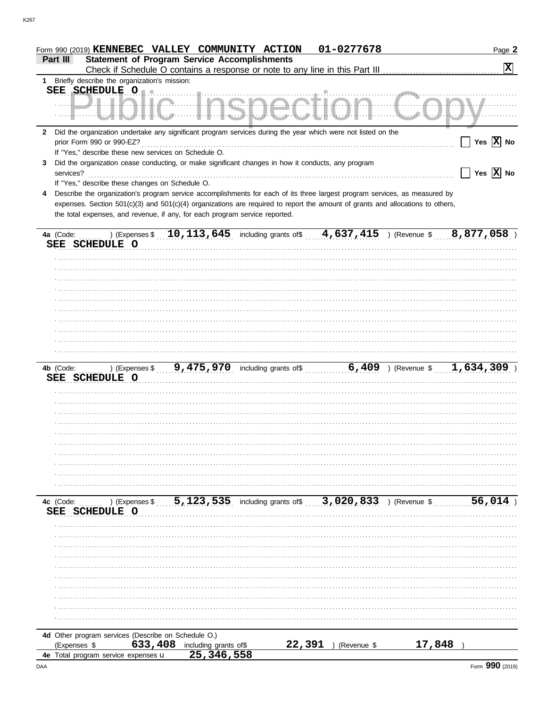|              |                                                                                                                                |                                                                                             | Form 990 (2019) KENNEBEC VALLEY COMMUNITY ACTION            | 01-0277678    |        | Page 2                                                  |
|--------------|--------------------------------------------------------------------------------------------------------------------------------|---------------------------------------------------------------------------------------------|-------------------------------------------------------------|---------------|--------|---------------------------------------------------------|
|              | <b>Statement of Program Service Accomplishments</b><br>Part III                                                                |                                                                                             |                                                             |               |        |                                                         |
|              |                                                                                                                                |                                                                                             |                                                             |               |        | $\mathbf{x}$                                            |
| 1.           | Briefly describe the organization's mission:                                                                                   |                                                                                             |                                                             |               |        |                                                         |
|              | SEE SCHEDULE O                                                                                                                 |                                                                                             |                                                             |               |        |                                                         |
|              | $-1$ . The set of $\mathbb{Z}$                                                                                                 |                                                                                             | 77. <b>.</b> .                                              |               |        |                                                         |
|              |                                                                                                                                |                                                                                             |                                                             |               |        |                                                         |
|              |                                                                                                                                |                                                                                             |                                                             |               |        |                                                         |
| $\mathbf{2}$ | Did the organization undertake any significant program services during the year which were not listed on the                   |                                                                                             |                                                             |               |        |                                                         |
|              | prior Form 990 or 990-EZ?                                                                                                      |                                                                                             |                                                             |               |        | Yes $\overline{X}$ No                                   |
|              | If "Yes," describe these new services on Schedule O.                                                                           |                                                                                             |                                                             |               |        |                                                         |
| 3            | Did the organization cease conducting, or make significant changes in how it conducts, any program                             |                                                                                             |                                                             |               |        |                                                         |
|              | services?                                                                                                                      |                                                                                             |                                                             |               |        | $\overline{\phantom{a}}$ Yes $\overline{\mathrm{X}}$ No |
|              | If "Yes," describe these changes on Schedule O.                                                                                |                                                                                             |                                                             |               |        |                                                         |
| 4            | Describe the organization's program service accomplishments for each of its three largest program services, as measured by     |                                                                                             |                                                             |               |        |                                                         |
|              | expenses. Section 501(c)(3) and 501(c)(4) organizations are required to report the amount of grants and allocations to others, |                                                                                             |                                                             |               |        |                                                         |
|              | the total expenses, and revenue, if any, for each program service reported.                                                    |                                                                                             |                                                             |               |        |                                                         |
|              |                                                                                                                                |                                                                                             |                                                             |               |        |                                                         |
|              |                                                                                                                                | ) (Expenses \$ 10, $113$ , $645$ including grants of \$ 4, $637$ , $415$ ) (Revenue \$      |                                                             |               |        | 8,877,058)                                              |
|              | 4a (Code:                                                                                                                      |                                                                                             |                                                             |               |        |                                                         |
|              | SEE SCHEDULE O                                                                                                                 |                                                                                             |                                                             |               |        |                                                         |
|              |                                                                                                                                |                                                                                             |                                                             |               |        |                                                         |
|              |                                                                                                                                |                                                                                             |                                                             |               |        |                                                         |
|              |                                                                                                                                |                                                                                             |                                                             |               |        |                                                         |
|              |                                                                                                                                |                                                                                             |                                                             |               |        |                                                         |
|              |                                                                                                                                |                                                                                             |                                                             |               |        |                                                         |
|              |                                                                                                                                |                                                                                             |                                                             |               |        |                                                         |
|              |                                                                                                                                |                                                                                             |                                                             |               |        |                                                         |
|              |                                                                                                                                |                                                                                             |                                                             |               |        |                                                         |
|              |                                                                                                                                |                                                                                             |                                                             |               |        |                                                         |
|              |                                                                                                                                |                                                                                             |                                                             |               |        |                                                         |
|              |                                                                                                                                |                                                                                             |                                                             |               |        |                                                         |
|              | 4b (Code:                                                                                                                      | ) (Expenses \$ 9,475,970 including grants of \$ 6,409 ) (Revenue \$ $\frac{1}{1,634,309}$ ) |                                                             |               |        |                                                         |
|              | SEE SCHEDULE O                                                                                                                 |                                                                                             |                                                             |               |        |                                                         |
|              |                                                                                                                                |                                                                                             |                                                             |               |        |                                                         |
|              |                                                                                                                                |                                                                                             |                                                             |               |        |                                                         |
|              |                                                                                                                                |                                                                                             |                                                             |               |        |                                                         |
|              |                                                                                                                                |                                                                                             |                                                             |               |        |                                                         |
|              |                                                                                                                                |                                                                                             |                                                             |               |        |                                                         |
|              |                                                                                                                                |                                                                                             |                                                             |               |        |                                                         |
|              |                                                                                                                                |                                                                                             |                                                             |               |        |                                                         |
|              |                                                                                                                                |                                                                                             |                                                             |               |        |                                                         |
|              |                                                                                                                                |                                                                                             |                                                             |               |        |                                                         |
|              |                                                                                                                                |                                                                                             |                                                             |               |        |                                                         |
|              |                                                                                                                                |                                                                                             |                                                             |               |        |                                                         |
|              |                                                                                                                                |                                                                                             |                                                             |               |        |                                                         |
|              |                                                                                                                                |                                                                                             |                                                             |               |        |                                                         |
|              |                                                                                                                                |                                                                                             |                                                             |               |        |                                                         |
|              | ) (Expenses \$<br>4c (Code:                                                                                                    |                                                                                             | 5, 123, 535 including grants of \$3, 020, 833 ) (Revenue \$ |               |        | 56,014                                                  |
|              | SEE<br><b>SCHEDULE O</b>                                                                                                       |                                                                                             |                                                             |               |        |                                                         |
|              |                                                                                                                                |                                                                                             |                                                             |               |        |                                                         |
|              |                                                                                                                                |                                                                                             |                                                             |               |        |                                                         |
|              |                                                                                                                                |                                                                                             |                                                             |               |        |                                                         |
|              |                                                                                                                                |                                                                                             |                                                             |               |        |                                                         |
|              |                                                                                                                                |                                                                                             |                                                             |               |        |                                                         |
|              |                                                                                                                                |                                                                                             |                                                             |               |        |                                                         |
|              |                                                                                                                                |                                                                                             |                                                             |               |        |                                                         |
|              |                                                                                                                                |                                                                                             |                                                             |               |        |                                                         |
|              |                                                                                                                                |                                                                                             |                                                             |               |        |                                                         |
|              |                                                                                                                                |                                                                                             |                                                             |               |        |                                                         |
|              |                                                                                                                                |                                                                                             |                                                             |               |        |                                                         |
|              |                                                                                                                                |                                                                                             |                                                             |               |        |                                                         |
|              | 4d Other program services (Describe on Schedule O.)                                                                            |                                                                                             |                                                             |               |        |                                                         |
|              | (Expenses \$<br>4e Total program service expenses u                                                                            | 633, 408 including grants of\$<br>25, 346, 558                                              | 22,391                                                      | ) (Revenue \$ | 17,848 |                                                         |

K<sub>267</sub>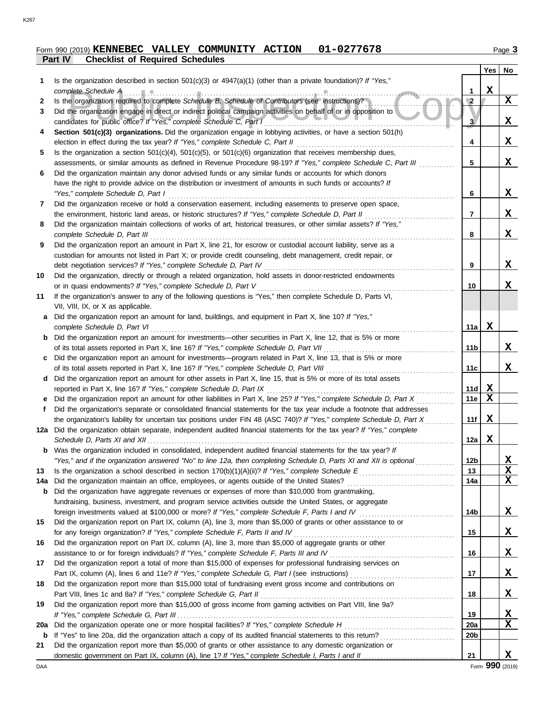# **Part IV Checklist of Required Schedules Form 990 (2019) KENNEBEC VALLEY COMMUNITY ACTION 01-0277678** Page 3

|     |                                                                                                                                                                                                                             |                 | Yes <sub>1</sub> | No          |
|-----|-----------------------------------------------------------------------------------------------------------------------------------------------------------------------------------------------------------------------------|-----------------|------------------|-------------|
|     | Is the organization described in section $501(c)(3)$ or $4947(a)(1)$ (other than a private foundation)? If "Yes,"                                                                                                           |                 |                  |             |
|     | complete Schedule A                                                                                                                                                                                                         | 1               | $\mathbf x$      |             |
| 2   | Is the organization required to complete Schedule B, Schedule of Contributors (see instructions)?                                                                                                                           | $\overline{2}$  |                  | $\mathbf x$ |
| 3   | Did the organization engage in direct or indirect political campaign activities on behalf of or in opposition to                                                                                                            |                 |                  |             |
|     | candidates for public office? If "Yes," complete Schedule C, Part I                                                                                                                                                         | 3 <sub>l</sub>  |                  | X           |
| 4   | Section 501(c)(3) organizations. Did the organization engage in lobbying activities, or have a section 501(h)                                                                                                               |                 |                  |             |
|     | election in effect during the tax year? If "Yes," complete Schedule C, Part II                                                                                                                                              | 4               |                  | X           |
| 5   | Is the organization a section $501(c)(4)$ , $501(c)(5)$ , or $501(c)(6)$ organization that receives membership dues,                                                                                                        |                 |                  |             |
|     | assessments, or similar amounts as defined in Revenue Procedure 98-19? If "Yes," complete Schedule C, Part III                                                                                                              | 5               |                  | X           |
| 6   | Did the organization maintain any donor advised funds or any similar funds or accounts for which donors                                                                                                                     |                 |                  |             |
|     | have the right to provide advice on the distribution or investment of amounts in such funds or accounts? If                                                                                                                 |                 |                  | X           |
|     | "Yes," complete Schedule D, Part I                                                                                                                                                                                          | 6               |                  |             |
| 7   | Did the organization receive or hold a conservation easement, including easements to preserve open space,                                                                                                                   | 7               |                  | X           |
| 8   | the environment, historic land areas, or historic structures? If "Yes," complete Schedule D, Part II<br>Did the organization maintain collections of works of art, historical treasures, or other similar assets? If "Yes," |                 |                  |             |
|     | complete Schedule D, Part III                                                                                                                                                                                               | 8               |                  | X           |
| 9   | Did the organization report an amount in Part X, line 21, for escrow or custodial account liability, serve as a                                                                                                             |                 |                  |             |
|     | custodian for amounts not listed in Part X; or provide credit counseling, debt management, credit repair, or                                                                                                                |                 |                  |             |
|     | debt negotiation services? If "Yes," complete Schedule D, Part IV                                                                                                                                                           | 9               |                  | X           |
| 10  | Did the organization, directly or through a related organization, hold assets in donor-restricted endowments                                                                                                                |                 |                  |             |
|     | or in quasi endowments? If "Yes," complete Schedule D, Part V                                                                                                                                                               | 10              |                  | X           |
| 11  | If the organization's answer to any of the following questions is "Yes," then complete Schedule D, Parts VI,                                                                                                                |                 |                  |             |
|     | VII, VIII, IX, or X as applicable.                                                                                                                                                                                          |                 |                  |             |
|     | Did the organization report an amount for land, buildings, and equipment in Part X, line 10? If "Yes,"                                                                                                                      |                 |                  |             |
|     | complete Schedule D, Part VI                                                                                                                                                                                                | 11a             | X                |             |
| b   | Did the organization report an amount for investments—other securities in Part X, line 12, that is 5% or more                                                                                                               |                 |                  |             |
|     | of its total assets reported in Part X, line 16? If "Yes," complete Schedule D, Part VII                                                                                                                                    | 11b             |                  | X           |
|     | Did the organization report an amount for investments—program related in Part X, line 13, that is 5% or more                                                                                                                |                 |                  |             |
|     | of its total assets reported in Part X, line 16? If "Yes," complete Schedule D, Part VIII                                                                                                                                   | 11c             |                  | X           |
| d   | Did the organization report an amount for other assets in Part X, line 15, that is 5% or more of its total assets                                                                                                           |                 |                  |             |
|     | reported in Part X, line 16? If "Yes," complete Schedule D, Part IX                                                                                                                                                         | 11d             | $\mathbf x$      |             |
|     | Did the organization report an amount for other liabilities in Part X, line 25? If "Yes," complete Schedule D, Part X                                                                                                       | 11e             | $\mathbf x$      |             |
| f   | Did the organization's separate or consolidated financial statements for the tax year include a footnote that addresses                                                                                                     |                 |                  |             |
|     | the organization's liability for uncertain tax positions under FIN 48 (ASC 740)? If "Yes," complete Schedule D, Part X                                                                                                      | 11f             | X                |             |
|     | 12a Did the organization obtain separate, independent audited financial statements for the tax year? If "Yes," complete                                                                                                     |                 |                  |             |
|     | Schedule D, Parts XI and XII                                                                                                                                                                                                | 12a             | X                |             |
|     | <b>b</b> Was the organization included in consolidated, independent audited financial statements for the tax year? If                                                                                                       |                 |                  |             |
|     | "Yes," and if the organization answered "No" to line 12a, then completing Schedule D, Parts XI and XII is optional                                                                                                          | 12 <sub>b</sub> |                  | <u>x</u>    |
| 13  |                                                                                                                                                                                                                             | 13              |                  | X           |
| 14a | Did the organization maintain an office, employees, or agents outside of the United States?                                                                                                                                 | 14a             |                  | X           |
| b   | Did the organization have aggregate revenues or expenses of more than \$10,000 from grantmaking,                                                                                                                            |                 |                  |             |
|     | fundraising, business, investment, and program service activities outside the United States, or aggregate                                                                                                                   |                 |                  |             |
|     |                                                                                                                                                                                                                             | 14b             |                  | X           |
| 15  | Did the organization report on Part IX, column (A), line 3, more than \$5,000 of grants or other assistance to or<br>for any foreign organization? If "Yes," complete Schedule F, Parts II and IV                           |                 |                  | X           |
| 16  | Did the organization report on Part IX, column (A), line 3, more than \$5,000 of aggregate grants or other                                                                                                                  | 15              |                  |             |
|     |                                                                                                                                                                                                                             | 16              |                  | X           |
| 17  | Did the organization report a total of more than \$15,000 of expenses for professional fundraising services on                                                                                                              |                 |                  |             |
|     |                                                                                                                                                                                                                             | 17              |                  | X           |
| 18  | Did the organization report more than \$15,000 total of fundraising event gross income and contributions on                                                                                                                 |                 |                  |             |
|     |                                                                                                                                                                                                                             | 18              |                  | X.          |
| 19  | Did the organization report more than \$15,000 of gross income from gaming activities on Part VIII, line 9a?                                                                                                                |                 |                  |             |
|     |                                                                                                                                                                                                                             | 19              |                  | <u>x</u>    |
| 20a | Did the organization operate one or more hospital facilities? If "Yes," complete Schedule H                                                                                                                                 | 20a             |                  | х           |
| b   |                                                                                                                                                                                                                             | 20 <sub>b</sub> |                  |             |
| 21  | Did the organization report more than \$5,000 of grants or other assistance to any domestic organization or                                                                                                                 |                 |                  |             |
|     |                                                                                                                                                                                                                             | 21              |                  | X           |

DAA Form **990** (2019)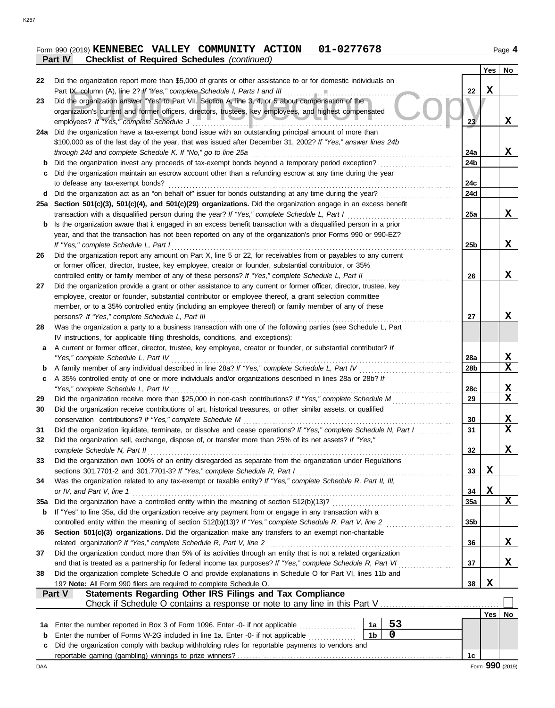### **Form 990 (2019) KENNEBEC VALLEY COMMUNITY ACTION 01-0277678** Page 4 **Part IV Checklist of Required Schedules** *(continued)*

|     |                                                                                                                                                                                             |                 | Yes         |             |
|-----|---------------------------------------------------------------------------------------------------------------------------------------------------------------------------------------------|-----------------|-------------|-------------|
| 22  | Did the organization report more than \$5,000 of grants or other assistance to or for domestic individuals on                                                                               |                 |             | No          |
|     |                                                                                                                                                                                             | 22              | $\mathbf X$ |             |
| 23  | Did the organization answer "Yes" to Part VII, Section A, line 3, 4, or 5 about compensation of the                                                                                         |                 |             |             |
|     | organization's current and former officers, directors, trustees, key employees, and highest compensated                                                                                     |                 |             |             |
|     | employees? If "Yes," complete Schedule J                                                                                                                                                    | 23              |             | X           |
| 24a | Did the organization have a tax-exempt bond issue with an outstanding principal amount of more than                                                                                         |                 |             |             |
|     | \$100,000 as of the last day of the year, that was issued after December 31, 2002? If "Yes," answer lines 24b                                                                               |                 |             |             |
|     |                                                                                                                                                                                             | 24a             |             | X           |
| b   | Did the organization invest any proceeds of tax-exempt bonds beyond a temporary period exception?                                                                                           | 24b             |             |             |
| C   | Did the organization maintain an escrow account other than a refunding escrow at any time during the year                                                                                   |                 |             |             |
|     | to defease any tax-exempt bonds?                                                                                                                                                            | 24c             |             |             |
|     | d Did the organization act as an "on behalf of" issuer for bonds outstanding at any time during the year?                                                                                   | 24d             |             |             |
|     | 25a Section 501(c)(3), 501(c)(4), and 501(c)(29) organizations. Did the organization engage in an excess benefit                                                                            |                 |             |             |
|     | transaction with a disqualified person during the year? If "Yes," complete Schedule L, Part I                                                                                               | 25a             |             | X           |
|     | <b>b</b> Is the organization aware that it engaged in an excess benefit transaction with a disqualified person in a prior                                                                   |                 |             |             |
|     | year, and that the transaction has not been reported on any of the organization's prior Forms 990 or 990-EZ?                                                                                |                 |             | X           |
| 26  | If "Yes," complete Schedule L, Part I<br>Did the organization report any amount on Part X, line 5 or 22, for receivables from or payables to any current                                    | 25b             |             |             |
|     | or former officer, director, trustee, key employee, creator or founder, substantial contributor, or 35%                                                                                     |                 |             |             |
|     | controlled entity or family member of any of these persons? If "Yes," complete Schedule L, Part II                                                                                          | 26              |             | X           |
| 27  | Did the organization provide a grant or other assistance to any current or former officer, director, trustee, key                                                                           |                 |             |             |
|     | employee, creator or founder, substantial contributor or employee thereof, a grant selection committee                                                                                      |                 |             |             |
|     | member, or to a 35% controlled entity (including an employee thereof) or family member of any of these                                                                                      |                 |             |             |
|     | persons? If "Yes," complete Schedule L, Part III                                                                                                                                            | 27              |             | X           |
| 28  | Was the organization a party to a business transaction with one of the following parties (see Schedule L, Part                                                                              |                 |             |             |
|     | IV instructions, for applicable filing thresholds, conditions, and exceptions):                                                                                                             |                 |             |             |
|     | a A current or former officer, director, trustee, key employee, creator or founder, or substantial contributor? If                                                                          |                 |             |             |
|     | "Yes," complete Schedule L, Part IV                                                                                                                                                         | 28a             |             | X           |
|     |                                                                                                                                                                                             | 28b             |             | X           |
| c   | A 35% controlled entity of one or more individuals and/or organizations described in lines 28a or 28b? If                                                                                   |                 |             |             |
|     |                                                                                                                                                                                             | 28c             |             | X           |
| 29  |                                                                                                                                                                                             | 29              |             | $\mathbf X$ |
| 30  | Did the organization receive contributions of art, historical treasures, or other similar assets, or qualified                                                                              |                 |             |             |
|     |                                                                                                                                                                                             | 30              |             | X           |
| 31  | Did the organization liquidate, terminate, or dissolve and cease operations? If "Yes," complete Schedule N, Part I                                                                          | 31              |             | $\mathbf X$ |
| 32  | Did the organization sell, exchange, dispose of, or transfer more than 25% of its net assets? If "Yes,"                                                                                     |                 |             |             |
|     | complete Schedule N, Part II                                                                                                                                                                | 32              |             | X           |
| 33  | Did the organization own 100% of an entity disregarded as separate from the organization under Regulations                                                                                  |                 |             |             |
| 34  | sections 301.7701-2 and 301.7701-3? If "Yes," complete Schedule R, Part I<br>Was the organization related to any tax-exempt or taxable entity? If "Yes," complete Schedule R, Part II, III, | 33              | X           |             |
|     | or IV, and Part V, line 1                                                                                                                                                                   | 34              | X           |             |
| 35a |                                                                                                                                                                                             | 35a             |             | X           |
| b   | If "Yes" to line 35a, did the organization receive any payment from or engage in any transaction with a                                                                                     |                 |             |             |
|     |                                                                                                                                                                                             | 35 <sub>b</sub> |             |             |
| 36  | Section 501(c)(3) organizations. Did the organization make any transfers to an exempt non-charitable                                                                                        |                 |             |             |
|     | related organization? If "Yes," complete Schedule R, Part V, line 2                                                                                                                         | 36              |             | X           |
| 37  | Did the organization conduct more than 5% of its activities through an entity that is not a related organization                                                                            |                 |             |             |
|     | and that is treated as a partnership for federal income tax purposes? If "Yes," complete Schedule R, Part VI                                                                                | 37              |             | X           |
| 38  | Did the organization complete Schedule O and provide explanations in Schedule O for Part VI, lines 11b and                                                                                  |                 |             |             |
|     | 19? Note: All Form 990 filers are required to complete Schedule O.                                                                                                                          | 38              | $\mathbf X$ |             |
|     | Statements Regarding Other IRS Filings and Tax Compliance<br>Part V                                                                                                                         |                 |             |             |
|     | Check if Schedule O contains a response or note to any line in this Part V                                                                                                                  |                 |             |             |
|     |                                                                                                                                                                                             |                 | Yes         | No          |
| 1a  | 53<br>Enter the number reported in Box 3 of Form 1096. Enter -0- if not applicable<br>1a<br>.                                                                                               |                 |             |             |
| b   | $\mathbf 0$<br>1 <sub>b</sub><br>Enter the number of Forms W-2G included in line 1a. Enter -0- if not applicable <i>manument</i>                                                            |                 |             |             |
| c   | Did the organization comply with backup withholding rules for reportable payments to vendors and                                                                                            |                 |             |             |
|     |                                                                                                                                                                                             | 1c              |             |             |

K267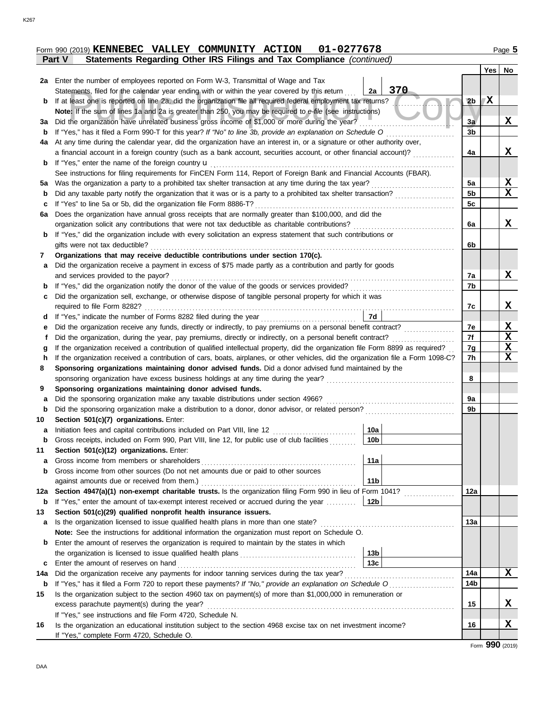|        |  |  | Form 990 (2019) KENNEBEC VALLEY COMMUNITY ACTION 01-0277678                  | Page ${\bf 5}$ |
|--------|--|--|------------------------------------------------------------------------------|----------------|
| Part V |  |  | <b>Statements Regarding Other IRS Filings and Tax Compliance (continued)</b> |                |

|     |                                                                                                                                        |                 |                |                 | Yes | No          |
|-----|----------------------------------------------------------------------------------------------------------------------------------------|-----------------|----------------|-----------------|-----|-------------|
|     | 2a Enter the number of employees reported on Form W-3, Transmittal of Wage and Tax                                                     |                 |                |                 |     |             |
|     | Statements, filed for the calendar year ending with or within the year covered by this return                                          | 2a              | 370            |                 |     |             |
| b   | If at least one is reported on line 2a, did the organization file all required federal employment tax returns?                         |                 | $\blacksquare$ | 2 <sub>b</sub>  | X   |             |
|     | Note: If the sum of lines 1a and 2a is greater than 250, you may be required to e-file (see instructions)                              |                 |                |                 |     |             |
| За  | Did the organization have unrelated business gross income of \$1,000 or more during the year?                                          |                 |                | 3a              |     | X           |
| b   |                                                                                                                                        |                 |                | 3 <sub>b</sub>  |     |             |
| 4a  | At any time during the calendar year, did the organization have an interest in, or a signature or other authority over,                |                 |                |                 |     |             |
|     | a financial account in a foreign country (such as a bank account, securities account, or other financial account)?                     |                 |                | 4a              |     | X           |
|     | <b>b</b> If "Yes," enter the name of the foreign country <b>u</b> [[11] content to the set of the name of the foreign country <b>u</b> |                 |                |                 |     |             |
|     | See instructions for filing requirements for FinCEN Form 114, Report of Foreign Bank and Financial Accounts (FBAR).                    |                 |                |                 |     |             |
| 5а  |                                                                                                                                        |                 |                | 5a              |     | $\mathbf x$ |
| b   |                                                                                                                                        |                 |                | 5 <sub>b</sub>  |     | X           |
| c   | If "Yes" to line 5a or 5b, did the organization file Form 8886-T?                                                                      |                 |                | 5c              |     |             |
| 6a  | Does the organization have annual gross receipts that are normally greater than \$100,000, and did the                                 |                 |                |                 |     |             |
|     |                                                                                                                                        |                 |                | 6a              |     | X           |
| b   | If "Yes," did the organization include with every solicitation an express statement that such contributions or                         |                 |                |                 |     |             |
|     | gifts were not tax deductible?                                                                                                         |                 |                | 6b              |     |             |
| 7   | Organizations that may receive deductible contributions under section 170(c).                                                          |                 |                |                 |     |             |
| a   | Did the organization receive a payment in excess of \$75 made partly as a contribution and partly for goods                            |                 |                |                 |     |             |
|     | and services provided to the payor?                                                                                                    |                 |                | 7a              |     | X           |
|     |                                                                                                                                        |                 |                | 7b              |     |             |
| c   | Did the organization sell, exchange, or otherwise dispose of tangible personal property for which it was                               |                 |                |                 |     |             |
|     | required to file Form 8282?                                                                                                            |                 |                | 7c              |     | X           |
| d   | If "Yes," indicate the number of Forms 8282 filed during the year<br>[[[[[[[[[[[[[[]]]]]]                                              | 7d              |                |                 |     |             |
| е   |                                                                                                                                        |                 |                | 7е              |     | Х           |
| Ť.  | Did the organization, during the year, pay premiums, directly or indirectly, on a personal benefit contract?                           |                 |                | 7f              |     | X           |
| g   | If the organization received a contribution of qualified intellectual property, did the organization file Form 8899 as required?       |                 |                | 7g              |     | X           |
| h   | If the organization received a contribution of cars, boats, airplanes, or other vehicles, did the organization file a Form 1098-C?     |                 |                | 7h              |     | $\mathbf X$ |
| 8   | Sponsoring organizations maintaining donor advised funds. Did a donor advised fund maintained by the                                   |                 |                |                 |     |             |
|     |                                                                                                                                        |                 |                | 8               |     |             |
| 9   | Sponsoring organizations maintaining donor advised funds.                                                                              |                 |                |                 |     |             |
| a   | Did the sponsoring organization make any taxable distributions under section 4966?                                                     |                 |                | 9a              |     |             |
| b   |                                                                                                                                        |                 |                | 9b              |     |             |
| 10  | Section 501(c)(7) organizations. Enter:                                                                                                |                 |                |                 |     |             |
| a   | Initiation fees and capital contributions included on Part VIII, line 12                                                               | 10a             |                |                 |     |             |
| b   | Gross receipts, included on Form 990, Part VIII, line 12, for public use of club facilities                                            | 10 <sub>b</sub> |                |                 |     |             |
| 11  | Section 501(c)(12) organizations. Enter:                                                                                               |                 |                |                 |     |             |
| a   | Gross income from members or shareholders                                                                                              | 11a             |                |                 |     |             |
| b   | Gross income from other sources (Do not net amounts due or paid to other sources                                                       |                 |                |                 |     |             |
|     | against amounts due or received from them.)                                                                                            | 11 <sub>b</sub> |                |                 |     |             |
| 12a | Section 4947(a)(1) non-exempt charitable trusts. Is the organization filing Form 990 in lieu of Form 1041?                             |                 | .              | 12a             |     |             |
| b   | If "Yes," enter the amount of tax-exempt interest received or accrued during the year                                                  | 12b             |                |                 |     |             |
| 13  | Section 501(c)(29) qualified nonprofit health insurance issuers.                                                                       |                 |                |                 |     |             |
| a   | Is the organization licensed to issue qualified health plans in more than one state?                                                   |                 |                | 13a             |     |             |
|     | Note: See the instructions for additional information the organization must report on Schedule O.                                      |                 |                |                 |     |             |
| b   | Enter the amount of reserves the organization is required to maintain by the states in which                                           |                 |                |                 |     |             |
|     |                                                                                                                                        | 13 <sub>b</sub> |                |                 |     |             |
| c   | Enter the amount of reserves on hand                                                                                                   | 13 <sub>c</sub> |                |                 |     |             |
| 14a |                                                                                                                                        |                 |                | 14a             |     | X           |
| b   |                                                                                                                                        |                 |                | 14 <sub>b</sub> |     |             |
| 15  | Is the organization subject to the section 4960 tax on payment(s) of more than \$1,000,000 in remuneration or                          |                 |                |                 |     |             |
|     | excess parachute payment(s) during the year?                                                                                           |                 |                | 15              |     | x           |
|     | If "Yes," see instructions and file Form 4720, Schedule N.                                                                             |                 |                |                 |     |             |
| 16  | Is the organization an educational institution subject to the section 4968 excise tax on net investment income?                        |                 |                | 16              |     | X           |
|     | If "Yes," complete Form 4720, Schedule O.                                                                                              |                 |                |                 |     |             |

Form **990** (2019)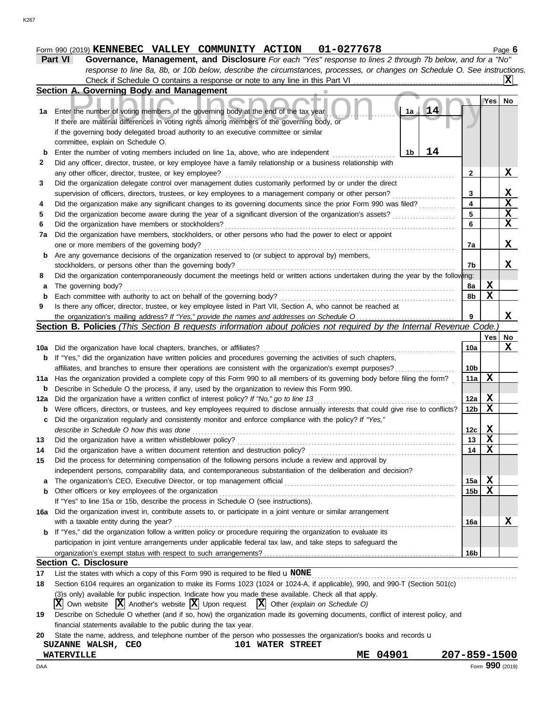# **Form 990 (2019) KENNEBEC VALLEY COMMUNITY ACTION 01-0277678** Page 6

**Part VI Governance, Management, and Disclosure** *For each "Yes" response to lines 2 through 7b below, and for a "No" response to line 8a, 8b, or 10b below, describe the circumstances, processes, or changes on Schedule O. See instructions.* Check if Schedule O contains a response or note to any line in this Part VI **X**

|     | Section A. Governing Body and Management                                                                                                                                                                                    |                         |             |              |
|-----|-----------------------------------------------------------------------------------------------------------------------------------------------------------------------------------------------------------------------------|-------------------------|-------------|--------------|
|     |                                                                                                                                                                                                                             |                         | Yes         | No           |
|     | 14<br>1a Enter the number of voting members of the governing body at the end of the tax year<br>1a                                                                                                                          |                         |             |              |
|     | If there are material differences in voting rights among members of the governing body, or                                                                                                                                  |                         |             |              |
|     | if the governing body delegated broad authority to an executive committee or similar                                                                                                                                        |                         |             |              |
|     | committee, explain on Schedule O.                                                                                                                                                                                           |                         |             |              |
| b   | 14<br>Enter the number of voting members included on line 1a, above, who are independent<br>1b                                                                                                                              |                         |             |              |
| 2   | Did any officer, director, trustee, or key employee have a family relationship or a business relationship with                                                                                                              |                         |             |              |
|     | any other officer, director, trustee, or key employee?                                                                                                                                                                      | $\mathbf{2}$            |             | X            |
|     |                                                                                                                                                                                                                             |                         |             |              |
| 3   | Did the organization delegate control over management duties customarily performed by or under the direct                                                                                                                   | 3                       |             | x            |
|     | supervision of officers, directors, trustees, or key employees to a management company or other person?<br>Did the organization make any significant changes to its governing documents since the prior Form 990 was filed? | $\overline{\mathbf{4}}$ |             | $\mathbf x$  |
| 4   |                                                                                                                                                                                                                             | 5                       |             | $\mathbf x$  |
| 5   | Did the organization become aware during the year of a significant diversion of the organization's assets?                                                                                                                  | 6                       |             | $\mathbf{x}$ |
| 6   | Did the organization have members or stockholders?                                                                                                                                                                          |                         |             |              |
| 7a  | Did the organization have members, stockholders, or other persons who had the power to elect or appoint                                                                                                                     |                         |             |              |
|     | one or more members of the governing body?                                                                                                                                                                                  | 7a                      |             | X            |
| b   | Are any governance decisions of the organization reserved to (or subject to approval by) members,                                                                                                                           |                         |             |              |
|     | stockholders, or persons other than the governing body?                                                                                                                                                                     | 7b                      |             | x            |
| 8   | Did the organization contemporaneously document the meetings held or written actions undertaken during the year by the following:                                                                                           |                         |             |              |
| a   | The governing body?                                                                                                                                                                                                         | 8a                      | X           |              |
| b   | Each committee with authority to act on behalf of the governing body?                                                                                                                                                       | 8b                      | $\mathbf x$ |              |
| 9   | Is there any officer, director, trustee, or key employee listed in Part VII, Section A, who cannot be reached at                                                                                                            |                         |             |              |
|     |                                                                                                                                                                                                                             | 9                       |             | X            |
|     | Section B. Policies (This Section B requests information about policies not required by the Internal Revenue Code.)                                                                                                         |                         |             |              |
|     |                                                                                                                                                                                                                             |                         | Yes   No    |              |
|     |                                                                                                                                                                                                                             | 10a                     |             | X            |
|     | <b>b</b> If "Yes," did the organization have written policies and procedures governing the activities of such chapters,                                                                                                     |                         |             |              |
|     | affiliates, and branches to ensure their operations are consistent with the organization's exempt purposes?                                                                                                                 | 10 <sub>b</sub>         |             |              |
|     | 11a Has the organization provided a complete copy of this Form 990 to all members of its governing body before filing the form?                                                                                             | 11a                     | $\mathbf x$ |              |
| b   | Describe in Schedule O the process, if any, used by the organization to review this Form 990.                                                                                                                               |                         |             |              |
| 12a |                                                                                                                                                                                                                             | 12a                     | X           |              |
| b   | Were officers, directors, or trustees, and key employees required to disclose annually interests that could give rise to conflicts?                                                                                         | 12 <sub>b</sub>         | X           |              |
| c   | Did the organization regularly and consistently monitor and enforce compliance with the policy? If "Yes,"                                                                                                                   |                         |             |              |
|     | describe in Schedule O how this was done                                                                                                                                                                                    | 12c                     | X           |              |
| 13  | Did the organization have a written whistleblower policy?                                                                                                                                                                   | 13                      | X           |              |
| 14  | Did the organization have a written document retention and destruction policy?                                                                                                                                              | 14                      | $\mathbf x$ |              |
| 15  | Did the process for determining compensation of the following persons include a review and approval by                                                                                                                      |                         |             |              |
|     | independent persons, comparability data, and contemporaneous substantiation of the deliberation and decision?                                                                                                               |                         |             |              |
|     |                                                                                                                                                                                                                             | 15a                     | X           |              |
| b   | Other officers or key employees of the organization                                                                                                                                                                         | 15 <sub>b</sub>         | $\mathbf x$ |              |
|     | If "Yes" to line 15a or 15b, describe the process in Schedule O (see instructions).                                                                                                                                         |                         |             |              |
|     | 16a Did the organization invest in, contribute assets to, or participate in a joint venture or similar arrangement                                                                                                          |                         |             |              |
|     | with a taxable entity during the year?                                                                                                                                                                                      | 16a                     |             | X            |
|     | <b>b</b> If "Yes," did the organization follow a written policy or procedure requiring the organization to evaluate its                                                                                                     |                         |             |              |
|     | participation in joint venture arrangements under applicable federal tax law, and take steps to safeguard the                                                                                                               |                         |             |              |
|     |                                                                                                                                                                                                                             | 16b                     |             |              |
|     | <b>Section C. Disclosure</b>                                                                                                                                                                                                |                         |             |              |
| 17  | List the states with which a copy of this Form 990 is required to be filed $\mathbf u$ NONE                                                                                                                                 |                         |             |              |
| 18  | Section 6104 requires an organization to make its Forms 1023 (1024 or 1024-A, if applicable), 990, and 990-T (Section 501(c)                                                                                                |                         |             |              |
|     | (3)s only) available for public inspection. Indicate how you made these available. Check all that apply.                                                                                                                    |                         |             |              |
|     | Own website $ \mathbf{X} $ Another's website $ \mathbf{X} $ Upon request<br>$ \mathbf{X} $ Other (explain on Schedule O)                                                                                                    |                         |             |              |
| 19  | Describe on Schedule O whether (and if so, how) the organization made its governing documents, conflict of interest policy, and                                                                                             |                         |             |              |

financial statements available to the public during the tax year.

|  | 20 State the name, address, and telephone number of the person who possesses the organization's books and records u |  |  |  |  |  |  |  |  |
|--|---------------------------------------------------------------------------------------------------------------------|--|--|--|--|--|--|--|--|
|--|---------------------------------------------------------------------------------------------------------------------|--|--|--|--|--|--|--|--|

K267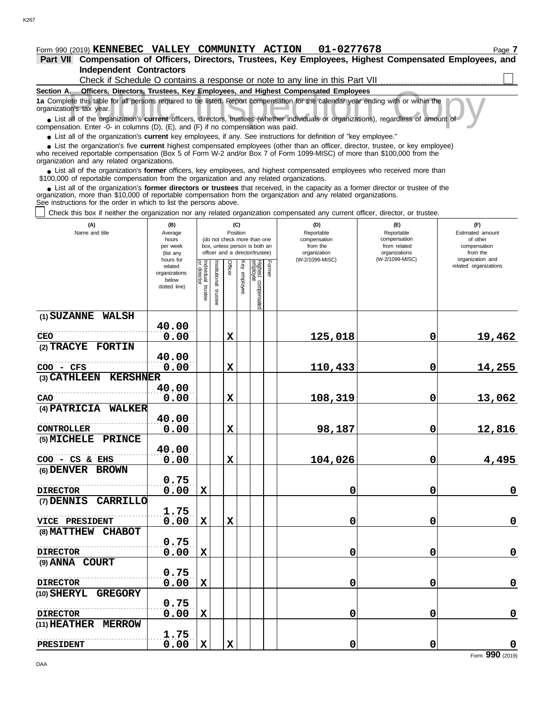### **Form 990 (2019) KENNEBEC VALLEY COMMUNITY ACTION 01-0277678** Page 7

**Independent Contractors Part VII Compensation of Officers, Directors, Trustees, Key Employees, Highest Compensated Employees, and**

| Check if Schedule O contains a response or note to any line in this Part VII                                                                                  |  |
|---------------------------------------------------------------------------------------------------------------------------------------------------------------|--|
| Section A.<br><b>Officers, Directors, Trustees, Key Employees, and Highest Compensated Employees</b>                                                          |  |
| 1a Complete this table for all persons required to be listed. Report compensation for the calendar year ending with or within the<br>organization's tax year. |  |
| • List all of the organization's current officers, directors, trustees (whether individuals or organizations), regardless of amount of                        |  |
| compensation. Enter $-0$ - in columns $(D)$ $(F)$ and $(F)$ if no compensation was paid                                                                       |  |

**•** List all of the organization's **current** officers, directors, trustees (whether indi compensation. Enter -0- in columns (D), (E), and (F) if no compensation was paid.

● List all of the organization's **current** key employees, if any. See instructions for definition of "key employee."

who received reportable compensation (Box 5 of Form W-2 and/or Box 7 of Form 1099-MISC) of more than \$100,000 from the organization and any related organizations. ■ List the organization's five **current** highest compensated employees (other than an officer, director, trustee, or key employee)<br>
a received reportable compensation (Box 5 of Form W-2 and/or Box 7 of Form 1099-MISC) of

■ List all of the organization's **former** officers, key employees, and highest compensated employees who received more than<br>00,000 of reportable compensation from the organization and any related organizations \$100,000 of reportable compensation from the organization and any related organizations.

■ List all of the organization's **former directors or trustees** that received, in the capacity as a former director or trustee of the<br>enization, more than \$10,000 of reportable compensation from the organization and any r organization, more than \$10,000 of reportable compensation from the organization and any related organizations. See instructions for the order in which to list the persons above.

Check this box if neither the organization nor any related organization compensated any current officer, director, or trustee.

| (A)<br>Name and title                                   | (B)<br>Average<br>hours<br>per week<br>(list any<br>hours for | (C)<br>Position<br>(do not check more than one<br>box, unless person is both an<br>officer and a director/trustee) |                      |             |                 |                                 |        | (D)<br>Reportable<br>compensation<br>from the<br>organization<br>(W-2/1099-MISC) | (E)<br>Reportable<br>compensation<br>from related<br>organizations<br>(W-2/1099-MISC) | (F)<br>Estimated amount<br>of other<br>compensation<br>from the<br>organization and |
|---------------------------------------------------------|---------------------------------------------------------------|--------------------------------------------------------------------------------------------------------------------|----------------------|-------------|-----------------|---------------------------------|--------|----------------------------------------------------------------------------------|---------------------------------------------------------------------------------------|-------------------------------------------------------------------------------------|
|                                                         | related<br>organizations<br>below<br>dotted line)             | Individual trustee<br>or director                                                                                  | nstitutional trustee | Officer     | Key<br>employee | Highest compensated<br>employee | Former |                                                                                  |                                                                                       | related organizations                                                               |
| (1) SUZANNE WALSH                                       |                                                               |                                                                                                                    |                      |             |                 |                                 |        |                                                                                  |                                                                                       |                                                                                     |
| <b>CEO</b>                                              | 40.00<br>0.00                                                 |                                                                                                                    |                      | $\mathbf x$ |                 |                                 |        | 125,018                                                                          | $\mathbf 0$                                                                           | 19,462                                                                              |
| (2) TRACYE FORTIN                                       |                                                               |                                                                                                                    |                      |             |                 |                                 |        |                                                                                  |                                                                                       |                                                                                     |
|                                                         | 40.00                                                         |                                                                                                                    |                      |             |                 |                                 |        |                                                                                  |                                                                                       |                                                                                     |
| COO - CFS                                               | 0.00                                                          |                                                                                                                    |                      | $\mathbf x$ |                 |                                 |        | 110,433                                                                          | $\mathbf 0$                                                                           | 14,255                                                                              |
| (3) CATHLEEN<br><b>KERSHNER</b>                         |                                                               |                                                                                                                    |                      |             |                 |                                 |        |                                                                                  |                                                                                       |                                                                                     |
| CAO                                                     | 40.00<br>0.00                                                 |                                                                                                                    |                      | X           |                 |                                 |        | 108,319                                                                          | 0                                                                                     | 13,062                                                                              |
| (4) PATRICIA<br><b>WALKER</b>                           |                                                               |                                                                                                                    |                      |             |                 |                                 |        |                                                                                  |                                                                                       |                                                                                     |
|                                                         | 40.00                                                         |                                                                                                                    |                      |             |                 |                                 |        |                                                                                  |                                                                                       |                                                                                     |
| <b>CONTROLLER</b>                                       | 0.00                                                          |                                                                                                                    |                      | $\mathbf x$ |                 |                                 |        | 98,187                                                                           | $\mathbf 0$                                                                           | 12,816                                                                              |
| (5) MICHELE<br><b>PRINCE</b>                            | 40.00                                                         |                                                                                                                    |                      |             |                 |                                 |        |                                                                                  |                                                                                       |                                                                                     |
| $COO - CS & EHS$                                        | 0.00                                                          |                                                                                                                    |                      | $\mathbf x$ |                 |                                 |        | 104,026                                                                          | $\mathbf 0$                                                                           | 4,495                                                                               |
| (6) DENVER BROWN                                        |                                                               |                                                                                                                    |                      |             |                 |                                 |        |                                                                                  |                                                                                       |                                                                                     |
| <b>DIRECTOR</b>                                         | 0.75<br>0.00                                                  | $\mathbf x$                                                                                                        |                      |             |                 |                                 |        | 0                                                                                | 0                                                                                     | $\mathbf 0$                                                                         |
| (7) DENNIS<br><b>CARRILLO</b>                           |                                                               |                                                                                                                    |                      |             |                 |                                 |        |                                                                                  |                                                                                       |                                                                                     |
|                                                         | 1.75                                                          |                                                                                                                    |                      |             |                 |                                 |        |                                                                                  |                                                                                       |                                                                                     |
| <b>VICE PRESIDENT</b>                                   | 0.00                                                          | $\mathbf x$                                                                                                        |                      | $\mathbf x$ |                 |                                 |        | 0                                                                                | 0                                                                                     | $\mathbf 0$                                                                         |
| (8) MATTHEW<br><b>CHABOT</b>                            |                                                               |                                                                                                                    |                      |             |                 |                                 |        |                                                                                  |                                                                                       |                                                                                     |
| <b>DIRECTOR</b>                                         | 0.75<br>0.00                                                  | $\mathbf x$                                                                                                        |                      |             |                 |                                 |        |                                                                                  | 0                                                                                     | $\pmb{0}$                                                                           |
| (9) ANNA COURT                                          |                                                               |                                                                                                                    |                      |             |                 |                                 |        | 0                                                                                |                                                                                       |                                                                                     |
|                                                         | 0.75                                                          |                                                                                                                    |                      |             |                 |                                 |        |                                                                                  |                                                                                       |                                                                                     |
| <b>DIRECTOR</b>                                         | 0.00                                                          | $\mathbf x$                                                                                                        |                      |             |                 |                                 |        | 0                                                                                | $\mathbf 0$                                                                           | $\mathbf 0$                                                                         |
| <b>GREGORY</b><br>(10) SHERYL                           |                                                               |                                                                                                                    |                      |             |                 |                                 |        |                                                                                  |                                                                                       |                                                                                     |
|                                                         | 0.75                                                          |                                                                                                                    |                      |             |                 |                                 |        |                                                                                  |                                                                                       |                                                                                     |
| <b>DIRECTOR</b><br><b>(11) HEATHER</b><br><b>MERROW</b> | 0.00                                                          | $\mathbf x$                                                                                                        |                      |             |                 |                                 |        | 0                                                                                | 0                                                                                     | $\mathbf 0$                                                                         |
|                                                         | 1.75                                                          |                                                                                                                    |                      |             |                 |                                 |        |                                                                                  |                                                                                       |                                                                                     |
| PRESIDENT                                               | 0.00                                                          | $\mathbf x$                                                                                                        |                      | $\mathbf x$ |                 |                                 |        | 0                                                                                | $\mathbf 0$                                                                           | $\pmb{0}$                                                                           |

Form **990** (2019)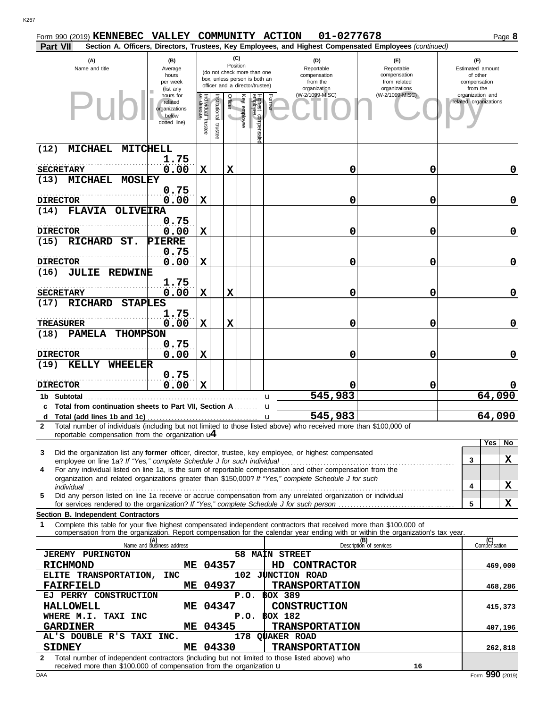| Form 990 (2019) KENNEBEC VALLEY COMMUNITY ACTION                                                                                                                                                                                                            |                                                   |                                   |                          |          |                    |                                                              |              | 01-0277678                                    |                                                                                                        |   |                                              | Page 8      |
|-------------------------------------------------------------------------------------------------------------------------------------------------------------------------------------------------------------------------------------------------------------|---------------------------------------------------|-----------------------------------|--------------------------|----------|--------------------|--------------------------------------------------------------|--------------|-----------------------------------------------|--------------------------------------------------------------------------------------------------------|---|----------------------------------------------|-------------|
| Part VII                                                                                                                                                                                                                                                    |                                                   |                                   |                          | (C)      |                    |                                                              |              |                                               | Section A. Officers, Directors, Trustees, Key Employees, and Highest Compensated Employees (continued) |   |                                              |             |
| (A)<br>Name and title                                                                                                                                                                                                                                       | (B)<br>Average<br>hours                           |                                   |                          | Position |                    | (do not check more than one<br>box, unless person is both an |              | (D)<br>Reportable<br>compensation<br>from the | (F)<br>Reportable<br>compensation<br>from related                                                      |   | (F)<br>Estimated amount<br>of other          |             |
|                                                                                                                                                                                                                                                             | per week<br>(list any<br>hours for                |                                   |                          |          |                    | officer and a director/trustee)                              |              | organization<br>(W-2/1099-MISC)               | organizations<br>(W-2/1099-MISC)                                                                       |   | compensation<br>from the<br>organization and |             |
|                                                                                                                                                                                                                                                             | related<br>organizations<br>below<br>dotted line) | Individual trustee<br>or director | Institutional<br>trustee | Officer  | <b>Ey employee</b> | Highest compensate<br>employee                               | Former       |                                               |                                                                                                        |   | related organizations                        |             |
| <b>MICHAEL</b><br>(12)<br>MITCHELL                                                                                                                                                                                                                          |                                                   |                                   |                          |          |                    |                                                              |              |                                               |                                                                                                        |   |                                              |             |
| <b>SECRETARY</b>                                                                                                                                                                                                                                            | 1.75<br>0.00                                      | X                                 |                          | X        |                    |                                                              |              | 0                                             | 0                                                                                                      |   |                                              | 0           |
| <b>MICHAEL</b><br>(13)<br><b>MOSLEY</b>                                                                                                                                                                                                                     |                                                   |                                   |                          |          |                    |                                                              |              |                                               |                                                                                                        |   |                                              |             |
| <b>DIRECTOR</b>                                                                                                                                                                                                                                             | 0.75<br>0.00                                      | X                                 |                          |          |                    |                                                              |              | 0                                             | 0                                                                                                      |   |                                              | 0           |
| <b>FLAVIA</b><br>(14)<br><b>OLIVEIRA</b>                                                                                                                                                                                                                    |                                                   |                                   |                          |          |                    |                                                              |              |                                               |                                                                                                        |   |                                              |             |
| <b>DIRECTOR</b>                                                                                                                                                                                                                                             | 0.75<br>0.00                                      | X                                 |                          |          |                    |                                                              |              | 0                                             | 0                                                                                                      |   |                                              | 0           |
| RICHARD ST.<br>(15)                                                                                                                                                                                                                                         | <b>PIERRE</b>                                     |                                   |                          |          |                    |                                                              |              |                                               |                                                                                                        |   |                                              |             |
| <b>DIRECTOR</b>                                                                                                                                                                                                                                             | 0.75<br>0.00                                      | X                                 |                          |          |                    |                                                              |              | 0                                             | 0                                                                                                      |   |                                              | 0           |
| <b>JULIE REDWINE</b><br>(16)                                                                                                                                                                                                                                |                                                   |                                   |                          |          |                    |                                                              |              |                                               |                                                                                                        |   |                                              |             |
| <b>SECRETARY</b>                                                                                                                                                                                                                                            | 1.75<br>0.00                                      | X                                 |                          | X        |                    |                                                              |              | 0                                             | 0                                                                                                      |   |                                              | 0           |
| <b>RICHARD</b><br><b>STAPLES</b><br>(17)                                                                                                                                                                                                                    |                                                   |                                   |                          |          |                    |                                                              |              |                                               |                                                                                                        |   |                                              |             |
|                                                                                                                                                                                                                                                             | 1.75                                              |                                   |                          |          |                    |                                                              |              |                                               |                                                                                                        |   |                                              |             |
| TREASURER<br>(18)<br><b>PAMELA</b><br><b>THOMPSON</b>                                                                                                                                                                                                       | 0.00                                              | X                                 |                          | X        |                    |                                                              |              | 0                                             | 0                                                                                                      |   |                                              | 0           |
|                                                                                                                                                                                                                                                             | 0.75                                              |                                   |                          |          |                    |                                                              |              |                                               |                                                                                                        |   |                                              |             |
| <b>DIRECTOR</b><br>(19)<br>KELLY<br>WHEELER                                                                                                                                                                                                                 | 0.00                                              | Х                                 |                          |          |                    |                                                              |              | 0                                             | 0                                                                                                      |   |                                              | $\mathbf 0$ |
|                                                                                                                                                                                                                                                             | 0.75                                              |                                   |                          |          |                    |                                                              |              |                                               |                                                                                                        |   |                                              |             |
| <b>DIRECTOR</b><br>1b Subtotal                                                                                                                                                                                                                              | 0.00                                              | X                                 |                          |          |                    |                                                              | u            | 545,983                                       | 0                                                                                                      |   | 64,090                                       |             |
| c Total from continuation sheets to Part VII, Section A                                                                                                                                                                                                     |                                                   |                                   |                          |          |                    |                                                              | u            |                                               |                                                                                                        |   |                                              |             |
| d<br>Total number of individuals (including but not limited to those listed above) who received more than \$100,000 of<br>$\mathbf{2}$                                                                                                                      |                                                   |                                   |                          |          |                    |                                                              | $\mathbf{u}$ | 545,983                                       |                                                                                                        |   | 64,090                                       |             |
| reportable compensation from the organization $\mathbf{u}$                                                                                                                                                                                                  |                                                   |                                   |                          |          |                    |                                                              |              |                                               |                                                                                                        |   | Yes                                          | No          |
| Did the organization list any former officer, director, trustee, key employee, or highest compensated<br>3                                                                                                                                                  |                                                   |                                   |                          |          |                    |                                                              |              |                                               |                                                                                                        |   |                                              |             |
| employee on line 1a? If "Yes," complete Schedule J for such individual<br>For any individual listed on line 1a, is the sum of reportable compensation and other compensation from the<br>4                                                                  |                                                   |                                   |                          |          |                    |                                                              |              |                                               |                                                                                                        | 3 |                                              | X           |
| organization and related organizations greater than \$150,000? If "Yes," complete Schedule J for such<br>individual                                                                                                                                         |                                                   |                                   |                          |          |                    |                                                              |              |                                               |                                                                                                        | 4 |                                              | X           |
| Did any person listed on line 1a receive or accrue compensation from any unrelated organization or individual<br>5                                                                                                                                          |                                                   |                                   |                          |          |                    |                                                              |              |                                               |                                                                                                        | 5 |                                              | X           |
| Section B. Independent Contractors                                                                                                                                                                                                                          |                                                   |                                   |                          |          |                    |                                                              |              |                                               |                                                                                                        |   |                                              |             |
| Complete this table for your five highest compensated independent contractors that received more than \$100,000 of<br>1<br>compensation from the organization. Report compensation for the calendar year ending with or within the organization's tax year. |                                                   |                                   |                          |          |                    |                                                              |              |                                               |                                                                                                        |   |                                              |             |
|                                                                                                                                                                                                                                                             | (A)<br>Name and business address                  |                                   |                          |          |                    |                                                              |              |                                               | (B)<br>Description of services                                                                         |   | (C)<br>Compensation                          |             |
| <b>JEREMY PURINGTON</b>                                                                                                                                                                                                                                     |                                                   |                                   |                          |          |                    |                                                              |              | 58 MAIN STREET                                |                                                                                                        |   |                                              |             |
| <b>RICHMOND</b><br>ELITE TRANSPORTATION,                                                                                                                                                                                                                    | <b>INC</b>                                        |                                   | ME 04357                 |          |                    |                                                              | HD.          | CONTRACTOR<br>102 JUNCTION ROAD               |                                                                                                        |   | 469,000                                      |             |
| <b>FAIRFIELD</b>                                                                                                                                                                                                                                            |                                                   |                                   | ME 04937                 |          |                    |                                                              |              | <b>TRANSPORTATION</b>                         |                                                                                                        |   | 468,286                                      |             |
| EJ PERRY CONSTRUCTION<br><b>HALLOWELL</b>                                                                                                                                                                                                                   |                                                   |                                   | ME 04347                 |          | P.O.               |                                                              |              | <b>BOX 389</b><br>CONSTRUCTION                |                                                                                                        |   | 415,373                                      |             |
| WHERE M.I. TAXI INC                                                                                                                                                                                                                                         |                                                   |                                   |                          |          | P.O.               |                                                              |              | <b>BOX 182</b>                                |                                                                                                        |   |                                              |             |
| <b>GARDINER</b><br>AL'S DOUBLE R'S TAXI INC.                                                                                                                                                                                                                |                                                   |                                   | ME 04345                 |          |                    |                                                              |              | <b>TRANSPORTATION</b><br>178 QUAKER ROAD      |                                                                                                        |   | 407,196                                      |             |
| <b>SIDNEY</b>                                                                                                                                                                                                                                               |                                                   |                                   | ME 04330                 |          |                    |                                                              |              | <b>TRANSPORTATION</b>                         |                                                                                                        |   | 262,818                                      |             |

**2** Total number of independent contractors (including but not limited to those listed above) who received more than  $$100,000$  of compensation from the organization  $\bf{u}$ **SIDEX 1889 <b>TRANSPORTATION 262,818 16**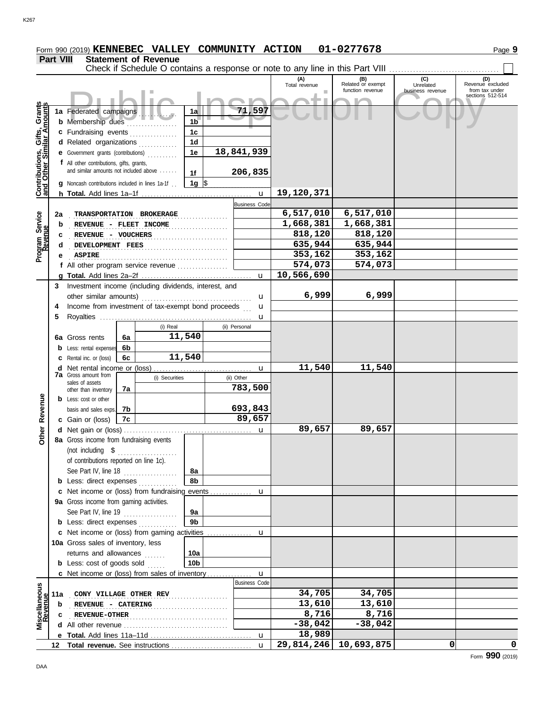K267

|                              | Part VIII<br><b>Statement of Revenue</b><br>Check if Schedule O contains a response or note to any line in this Part VIII |                                                         |    |                |                 |                           |                        |                          |                  |                                    |
|------------------------------|---------------------------------------------------------------------------------------------------------------------------|---------------------------------------------------------|----|----------------|-----------------|---------------------------|------------------------|--------------------------|------------------|------------------------------------|
|                              |                                                                                                                           |                                                         |    |                |                 |                           | (A)<br>Total revenue   | (B)<br>Related or exempt | (C)<br>Unrelated | (D)<br>Revenue excluded            |
|                              |                                                                                                                           |                                                         |    |                |                 |                           | ٠                      | function revenue         | business revenue | from tax under<br>sections 512-514 |
|                              |                                                                                                                           |                                                         |    |                |                 |                           |                        |                          |                  |                                    |
|                              |                                                                                                                           | 1a Federated campaigns                                  |    |                | 1a              | 71,597                    |                        |                          |                  |                                    |
|                              |                                                                                                                           | <b>b</b> Membership dues                                |    |                | 1 <sub>b</sub>  |                           |                        |                          |                  |                                    |
|                              |                                                                                                                           | c Fundraising events                                    |    |                | 1 <sub>c</sub>  |                           |                        |                          |                  |                                    |
|                              |                                                                                                                           | d Related organizations                                 |    |                | 1 <sub>d</sub>  |                           |                        |                          |                  |                                    |
|                              |                                                                                                                           | <b>e</b> Government grants (contributions)              |    |                | 1e              | 18,841,939                |                        |                          |                  |                                    |
|                              |                                                                                                                           | f All other contributions, gifts, grants,               |    |                |                 |                           |                        |                          |                  |                                    |
|                              |                                                                                                                           | and similar amounts not included above                  |    |                | 1f              | 206,835                   |                        |                          |                  |                                    |
| Contributions, Gifts, Grants |                                                                                                                           | <b>g</b> Noncash contributions included in lines 1a-1f. |    |                | 1g $\sqrt{ }$   |                           |                        |                          |                  |                                    |
|                              |                                                                                                                           |                                                         |    |                |                 | $\mathbf u$               | 19,120,371             |                          |                  |                                    |
|                              |                                                                                                                           |                                                         |    |                |                 | <b>Business Code</b>      |                        |                          |                  |                                    |
| Program Service              | 2a                                                                                                                        | TRANSPORTATION BROKERAGE                                |    |                |                 |                           | 6,517,010<br>1,668,381 | 6,517,010<br>1,668,381   |                  |                                    |
|                              | $\mathbf b$                                                                                                               | REVENUE - FLEET INCOME                                  |    |                |                 |                           | 818,120                | 818,120                  |                  |                                    |
|                              | c                                                                                                                         | REVENUE - VOUCHERS                                      |    |                |                 |                           | 635,944                | 635,944                  |                  |                                    |
|                              | d                                                                                                                         | DEVELOPMENT FEES                                        |    |                |                 |                           | 353,162                | 353,162                  |                  |                                    |
|                              | е                                                                                                                         | <b>ASPIRE</b>                                           |    |                |                 |                           | 574,073                | 574,073                  |                  |                                    |
|                              |                                                                                                                           | f All other program service revenue                     |    |                |                 | $\mathbf{u}$              | 10,566,690             |                          |                  |                                    |
|                              | 3                                                                                                                         | Investment income (including dividends, interest, and   |    |                |                 |                           |                        |                          |                  |                                    |
|                              |                                                                                                                           | other similar amounts)                                  |    |                |                 | u                         | 6,999                  | 6,999                    |                  |                                    |
|                              | 4                                                                                                                         | Income from investment of tax-exempt bond proceeds      |    |                |                 | u                         |                        |                          |                  |                                    |
|                              | 5                                                                                                                         |                                                         |    |                |                 | u                         |                        |                          |                  |                                    |
|                              |                                                                                                                           |                                                         |    | (i) Real       |                 | (ii) Personal             |                        |                          |                  |                                    |
|                              | 6а                                                                                                                        | Gross rents                                             | 6a |                | 11,540          |                           |                        |                          |                  |                                    |
|                              |                                                                                                                           | Less: rental expenses                                   | 6b |                |                 |                           |                        |                          |                  |                                    |
|                              |                                                                                                                           | Rental inc. or (loss)                                   | 6c |                | 11,540          |                           |                        |                          |                  |                                    |
|                              | d                                                                                                                         | Net rental income or (loss)                             |    |                |                 | u                         | 11,540                 | 11,540                   |                  |                                    |
|                              |                                                                                                                           | <b>7a</b> Gross amount from                             |    | (i) Securities |                 | (ii) Other                |                        |                          |                  |                                    |
|                              |                                                                                                                           | sales of assets<br>other than inventory                 | 7a |                |                 | 783,500                   |                        |                          |                  |                                    |
|                              |                                                                                                                           | <b>b</b> Less: cost or other                            |    |                |                 |                           |                        |                          |                  |                                    |
|                              |                                                                                                                           | basis and sales exps.                                   | 7b |                |                 | 693,843                   |                        |                          |                  |                                    |
| Revenue                      |                                                                                                                           | c Gain or (loss)                                        | 7c |                |                 | 89,657                    |                        |                          |                  |                                    |
| ther                         |                                                                                                                           |                                                         |    |                |                 | u                         | 89,657                 | 89,657                   |                  |                                    |
| Ò                            |                                                                                                                           | 8a Gross income from fundraising events                 |    |                |                 |                           |                        |                          |                  |                                    |
|                              |                                                                                                                           | (not including \$                                       |    |                |                 |                           |                        |                          |                  |                                    |
|                              |                                                                                                                           | of contributions reported on line 1c).                  |    |                |                 |                           |                        |                          |                  |                                    |
|                              |                                                                                                                           | See Part IV, line 18                                    |    | .              | 8a              |                           |                        |                          |                  |                                    |
|                              |                                                                                                                           | <b>b</b> Less: direct expenses <i>minimum</i>           |    |                | 8b              |                           |                        |                          |                  |                                    |
|                              |                                                                                                                           | c Net income or (loss) from fundraising events          |    |                |                 | u                         |                        |                          |                  |                                    |
|                              |                                                                                                                           | 9a Gross income from gaming activities.                 |    |                |                 |                           |                        |                          |                  |                                    |
|                              |                                                                                                                           | See Part IV, line 19                                    |    |                | 9a              |                           |                        |                          |                  |                                    |
|                              |                                                                                                                           | <b>b</b> Less: direct expenses                          |    |                | 9 <sub>b</sub>  |                           |                        |                          |                  |                                    |
|                              |                                                                                                                           | c Net income or (loss) from gaming activities           |    |                |                 | u                         |                        |                          |                  |                                    |
|                              |                                                                                                                           | 10a Gross sales of inventory, less                      |    |                |                 |                           |                        |                          |                  |                                    |
|                              |                                                                                                                           | returns and allowances                                  |    | 1.1.1.1.1      | 10a             |                           |                        |                          |                  |                                    |
|                              |                                                                                                                           | <b>b</b> Less: cost of goods sold                       |    |                | 10 <sub>b</sub> |                           |                        |                          |                  |                                    |
|                              |                                                                                                                           | c Net income or (loss) from sales of inventory          |    |                |                 | u<br><b>Business Code</b> |                        |                          |                  |                                    |
| Miscellaneous<br>Revenue     |                                                                                                                           |                                                         |    |                |                 |                           | 34,705                 | 34,705                   |                  |                                    |
|                              | 11a                                                                                                                       | CONY VILLAGE OTHER REV                                  |    |                |                 |                           | 13,610                 | 13,610                   |                  |                                    |
|                              | b<br>c                                                                                                                    | REVENUE - CATERING<br><b>REVENUE-OTHER</b>              |    |                |                 |                           | 8,716                  | 8,716                    |                  |                                    |
|                              |                                                                                                                           |                                                         |    |                |                 |                           | $-38,042$              | $-38,042$                |                  |                                    |
|                              |                                                                                                                           |                                                         |    |                |                 |                           | 18,989                 |                          |                  |                                    |
|                              | 12                                                                                                                        |                                                         |    |                |                 | $\mathbf{u}$              | 29,814,246             | 10,693,875               | 0                | 0                                  |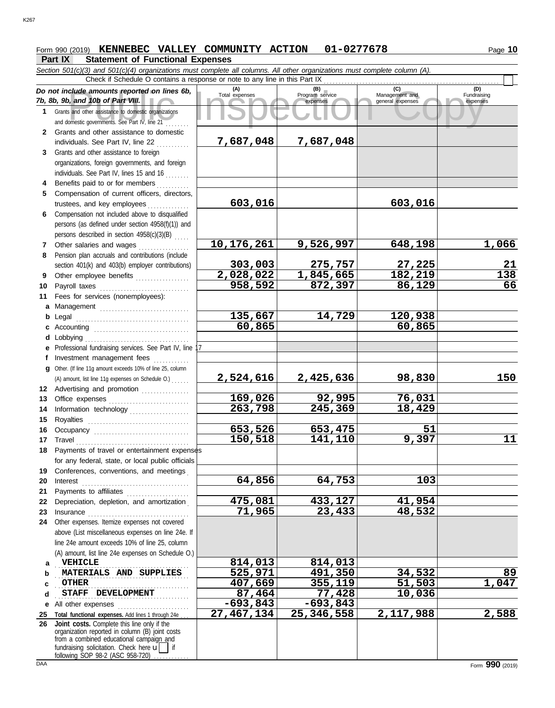# **Form 990 (2019) KENNEBEC VALLEY COMMUNITY ACTION 01-0277678** Page 10

# **Part IX Statement of Functional Expenses**<br>Section 501(c)(3) and 501(c)(4) organizations must complete all column

|              | Section 501(c)(3) and 501(c)(4) organizations must complete all columns. All other organizations must complete column (A).                                                                                                           |                       |                                    |                                           |                                |
|--------------|--------------------------------------------------------------------------------------------------------------------------------------------------------------------------------------------------------------------------------------|-----------------------|------------------------------------|-------------------------------------------|--------------------------------|
|              | Check if Schedule O contains a response or note to any line in this Part IX                                                                                                                                                          |                       |                                    |                                           |                                |
|              | Do not include amounts reported on lines 6b,<br>7b, 8b, 9b, and 10b of Part VIII.                                                                                                                                                    | (A)<br>Total expenses | (B)<br>Program service<br>expenses | (C)<br>Management and<br>general expenses | (D)<br>Fundraising<br>expenses |
| 1            | Grants and other assistance to domestic organizations<br>and domestic governments. See Part IV, line 21                                                                                                                              |                       |                                    |                                           |                                |
| $\mathbf{2}$ | Grants and other assistance to domestic<br>individuals. See Part IV, line 22                                                                                                                                                         | 7,687,048             | 7,687,048                          |                                           |                                |
| 3            | Grants and other assistance to foreign                                                                                                                                                                                               |                       |                                    |                                           |                                |
|              | organizations, foreign governments, and foreign                                                                                                                                                                                      |                       |                                    |                                           |                                |
|              | individuals. See Part IV, lines 15 and 16                                                                                                                                                                                            |                       |                                    |                                           |                                |
| 4            | Benefits paid to or for members                                                                                                                                                                                                      |                       |                                    |                                           |                                |
| 5            | Compensation of current officers, directors,                                                                                                                                                                                         |                       |                                    |                                           |                                |
|              | trustees, and key employees                                                                                                                                                                                                          | 603,016               |                                    | 603,016                                   |                                |
| 6.           | Compensation not included above to disqualified                                                                                                                                                                                      |                       |                                    |                                           |                                |
|              | persons (as defined under section 4958(f)(1)) and                                                                                                                                                                                    |                       |                                    |                                           |                                |
|              | persons described in section 4958(c)(3)(B)                                                                                                                                                                                           |                       |                                    |                                           |                                |
| 7            | Other salaries and wages<br><u>.</u><br>1980 - Paul Barbara, papa ang pangangan                                                                                                                                                      | 10,176,261            | 9,526,997                          | 648,198                                   | 1,066                          |
| 8            | Pension plan accruals and contributions (include                                                                                                                                                                                     |                       |                                    |                                           |                                |
|              | section 401(k) and 403(b) employer contributions)                                                                                                                                                                                    | 303,003<br>2,028,022  | 275,757<br>1,845,665               | 27,225<br>182,219                         | 21<br>$\overline{138}$         |
| 9<br>10      | Other employee benefits                                                                                                                                                                                                              | 958,592               | 872,397                            | 86,129                                    | 66                             |
| 11           | Fees for services (nonemployees):                                                                                                                                                                                                    |                       |                                    |                                           |                                |
| a            | Management                                                                                                                                                                                                                           |                       |                                    |                                           |                                |
| b            |                                                                                                                                                                                                                                      | 135,667               | 14,729                             | 120,938                                   |                                |
| c            |                                                                                                                                                                                                                                      | 60,865                |                                    | 60,865                                    |                                |
| d            | Lobbying                                                                                                                                                                                                                             |                       |                                    |                                           |                                |
| е            | Professional fundraising services. See Part IV, line 17                                                                                                                                                                              |                       |                                    |                                           |                                |
| f            | Investment management fees                                                                                                                                                                                                           |                       |                                    |                                           |                                |
| a            | Other. (If line 11g amount exceeds 10% of line 25, column                                                                                                                                                                            |                       |                                    |                                           |                                |
|              | (A) amount, list line 11g expenses on Schedule O.)                                                                                                                                                                                   | <u>2,524,616</u>      | 2,425,636                          | <u>98,830</u>                             | 150                            |
|              | 12 Advertising and promotion                                                                                                                                                                                                         |                       |                                    |                                           |                                |
| 13           | Office expenses                                                                                                                                                                                                                      | 169,026               | 92,995                             | 76,031                                    |                                |
| 14           | Information technology                                                                                                                                                                                                               | 263,798               | 245,369                            | 18,429                                    |                                |
| 15<br>16     |                                                                                                                                                                                                                                      | 653,526               | 653,475                            | 51                                        |                                |
| 17           | Occupancy                                                                                                                                                                                                                            | 150,518               | 141,110                            | 9,397                                     | 11                             |
| 18           | Payments of travel or entertainment expenses                                                                                                                                                                                         |                       |                                    |                                           |                                |
|              | for any federal, state, or local public officials                                                                                                                                                                                    |                       |                                    |                                           |                                |
| 19           | Conferences, conventions, and meetings                                                                                                                                                                                               |                       |                                    |                                           |                                |
| 20           | Interest                                                                                                                                                                                                                             | 64,856                | 64,753                             | 103                                       |                                |
| 21           | Payments to affiliates                                                                                                                                                                                                               |                       |                                    |                                           |                                |
| 22           | Depreciation, depletion, and amortization                                                                                                                                                                                            | 475,081               | 433,127                            | 41,954                                    |                                |
| 23           |                                                                                                                                                                                                                                      | 71,965                | 23,433                             | 48,532                                    |                                |
| 24           | Other expenses. Itemize expenses not covered                                                                                                                                                                                         |                       |                                    |                                           |                                |
|              | above (List miscellaneous expenses on line 24e. If                                                                                                                                                                                   |                       |                                    |                                           |                                |
|              | line 24e amount exceeds 10% of line 25, column                                                                                                                                                                                       |                       |                                    |                                           |                                |
|              | (A) amount, list line 24e expenses on Schedule O.)<br><b>VEHICLE</b>                                                                                                                                                                 | 814,013               | 814,013                            |                                           |                                |
| a<br>b       | MATERIALS AND SUPPLIES                                                                                                                                                                                                               | 525,971               | 491,350                            | 34,532                                    | 89                             |
| c            | <b>OTHER</b>                                                                                                                                                                                                                         | <u>407,669</u>        | 355,119                            | 51,503                                    | 1,047                          |
| d            | STAFF DEVELOPMENT                                                                                                                                                                                                                    | 87,464                | 77,428                             | <u> 10,036</u>                            |                                |
| е            | All other expenses                                                                                                                                                                                                                   | $-693,843$            | $-693,843$                         |                                           |                                |
| 25           | Total functional expenses. Add lines 1 through 24e                                                                                                                                                                                   | 27,467,134            | 25,346,558                         | 2,117,988                                 | 2,588                          |
| 26           | Joint costs. Complete this line only if the<br>organization reported in column (B) joint costs<br>from a combined educational campaign and<br>fundraising solicitation. Check here $\mathbf{u}$<br>following SOP 98-2 (ASC 958-720). |                       |                                    |                                           |                                |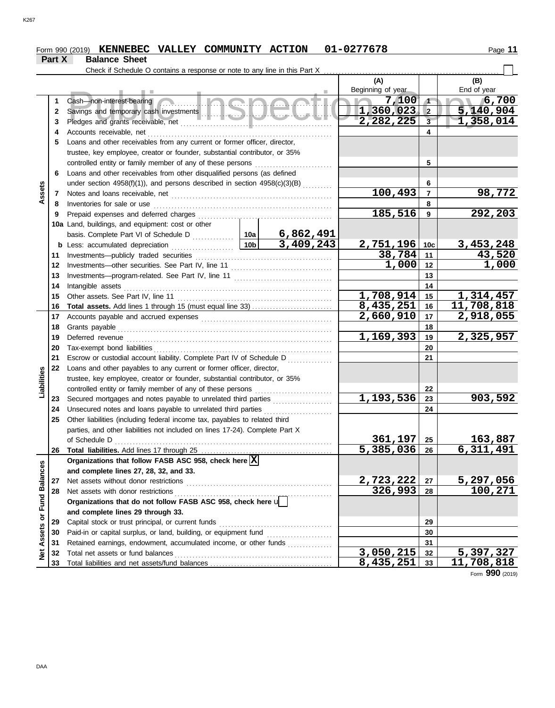#### Form 990 (2019) **KENNEBEC VALLEY COMMUNITY ACTION** 01-0277678 Page 11 **KENNEBEC VALLEY COMMUNITY ACTION 01-0277678**

|                 | Part X   | <b>Balance Sheet</b>                                                                                                                                                                                                           |                 |                                                     |                         |                |             |
|-----------------|----------|--------------------------------------------------------------------------------------------------------------------------------------------------------------------------------------------------------------------------------|-----------------|-----------------------------------------------------|-------------------------|----------------|-------------|
|                 |          | Check if Schedule O contains a response or note to any line in this Part X                                                                                                                                                     |                 |                                                     |                         |                |             |
|                 |          |                                                                                                                                                                                                                                |                 |                                                     | (A)                     |                | (B)         |
|                 |          |                                                                                                                                                                                                                                |                 |                                                     | Beginning of year       |                | End of year |
|                 | 1        | Ingha<br>Cash-non-interest-bearing                                                                                                                                                                                             |                 |                                                     | 7,100                   | $\sqrt{ }$     | 6,700       |
|                 | 2        |                                                                                                                                                                                                                                |                 |                                                     | 1,360,023               | $\vert$ 2      | 5,140,904   |
|                 | 3        |                                                                                                                                                                                                                                |                 | 2,282,225                                           | $\overline{\mathbf{3}}$ | 1,358,014      |             |
|                 | 4        | Accounts receivable, net                                                                                                                                                                                                       |                 |                                                     |                         | 4              |             |
|                 | 5        | Loans and other receivables from any current or former officer, director,                                                                                                                                                      |                 |                                                     |                         |                |             |
|                 |          | trustee, key employee, creator or founder, substantial contributor, or 35%                                                                                                                                                     |                 |                                                     |                         |                |             |
|                 |          | controlled entity or family member of any of these persons                                                                                                                                                                     |                 |                                                     |                         | 5              |             |
|                 | 6        | Loans and other receivables from other disqualified persons (as defined                                                                                                                                                        |                 |                                                     |                         |                |             |
|                 |          | under section $4958(f)(1)$ ), and persons described in section $4958(c)(3)(B)$ <sub>.</sub>                                                                                                                                    |                 |                                                     | 6                       |                |             |
| Assets          | 7        |                                                                                                                                                                                                                                |                 |                                                     | 100,493                 | $\overline{7}$ | 98,772      |
|                 | 8        | Inventories for sale or use                                                                                                                                                                                                    |                 |                                                     |                         | 8              |             |
|                 | 9        | Prepaid expenses and deferred charges                                                                                                                                                                                          |                 |                                                     | 185,516                 | 9              | 292,203     |
|                 |          | 10a Land, buildings, and equipment: cost or other                                                                                                                                                                              |                 |                                                     |                         |                |             |
|                 |          |                                                                                                                                                                                                                                | 10 <sub>b</sub> | <u>6,862,491</u>                                    |                         |                |             |
|                 | b        | Less: accumulated depreciation<br>. <b>.</b> .                                                                                                                                                                                 | 3,409,243       | 2,751,196                                           | 10 <sub>c</sub>         | 3,453,248      |             |
|                 | 11       | Investments--publicly traded securities                                                                                                                                                                                        |                 | 38,784                                              | 11                      | 43,520         |             |
|                 | 12       |                                                                                                                                                                                                                                |                 | 1,000                                               | 12                      | 1,000          |             |
|                 | 13       |                                                                                                                                                                                                                                |                 |                                                     | 13                      |                |             |
|                 | 14       | Intangible assets                                                                                                                                                                                                              |                 |                                                     | 14                      |                |             |
|                 | 15       | Other assets. See Part IV, line 11                                                                                                                                                                                             |                 |                                                     | 1,708,914               | 15             | 1, 314, 457 |
|                 | 16       | <b>Total assets.</b> Add lines 1 through 15 (must equal line 33)                                                                                                                                                               |                 |                                                     | 8,435,251               | 16             | 11,708,818  |
|                 | 17       | Accounts payable and accrued expenses [[11][11] Accounts payable and accrued expenses [[11] Accounts are not accrued to a set of the set of the set of the set of the set of the set of the set of the set of the set of the s |                 |                                                     | 2,660,910               | 17             | 2,918,055   |
|                 | 18       | Grants payable                                                                                                                                                                                                                 |                 | 1,169,393                                           | 18                      |                |             |
|                 | 19       | Deferred revenue                                                                                                                                                                                                               |                 | 19                                                  | 2,325,957               |                |             |
|                 | 20<br>21 |                                                                                                                                                                                                                                |                 |                                                     | 20                      |                |             |
|                 | 22       | Escrow or custodial account liability. Complete Part IV of Schedule D                                                                                                                                                          |                 |                                                     |                         | 21             |             |
| Liabilities     |          | Loans and other payables to any current or former officer, director,<br>trustee, key employee, creator or founder, substantial contributor, or 35%                                                                             |                 |                                                     |                         |                |             |
|                 |          | controlled entity or family member of any of these persons                                                                                                                                                                     |                 |                                                     |                         | 22             |             |
|                 | 23       | Secured mortgages and notes payable to unrelated third parties                                                                                                                                                                 |                 |                                                     | 1,193,536               | 23             | 903,592     |
|                 | 24       | Unsecured notes and loans payable to unrelated third parties                                                                                                                                                                   |                 |                                                     |                         | 24             |             |
|                 | 25       | Other liabilities (including federal income tax, payables to related third                                                                                                                                                     |                 | .                                                   |                         |                |             |
|                 |          | parties, and other liabilities not included on lines 17-24). Complete Part X                                                                                                                                                   |                 |                                                     |                         |                |             |
|                 |          | of Schedule D                                                                                                                                                                                                                  |                 |                                                     | 361,197                 | 25             | 163,887     |
|                 | 26       |                                                                                                                                                                                                                                |                 |                                                     | 5,385,036               | 26             | 6,311,491   |
|                 |          | Organizations that follow FASB ASC 958, check here $\boxed{\mathbf{X}}$                                                                                                                                                        |                 |                                                     |                         |                |             |
| <b>Balances</b> |          | and complete lines 27, 28, 32, and 33.                                                                                                                                                                                         |                 |                                                     |                         |                |             |
|                 | 27       | Net assets without donor restrictions                                                                                                                                                                                          |                 |                                                     | <u>2,723,222</u>        | 27             | 5,297,056   |
|                 | 28       | Net assets with donor restrictions                                                                                                                                                                                             |                 | 326,993                                             | 28                      | 100,271        |             |
| Fund            |          | Organizations that do not follow FASB ASC 958, check here u                                                                                                                                                                    |                 |                                                     |                         |                |             |
|                 |          | and complete lines 29 through 33.                                                                                                                                                                                              |                 |                                                     |                         |                |             |
| ŏ               | 29       | Capital stock or trust principal, or current funds                                                                                                                                                                             |                 |                                                     |                         | 29             |             |
| Assets          | 30       | Paid-in or capital surplus, or land, building, or equipment fund                                                                                                                                                               |                 | <u> 1986 - Johann Stoff, Amerikaansk kanton en </u> |                         | 30             |             |
|                 | 31       | Retained earnings, endowment, accumulated income, or other funds                                                                                                                                                               |                 |                                                     |                         | 31             |             |
| Net             | 32       | Total net assets or fund balances                                                                                                                                                                                              |                 |                                                     | 3,050,215               | 32             | 5, 397, 327 |
|                 | 33       |                                                                                                                                                                                                                                |                 |                                                     | 8,435,251               | 33             | 11,708,818  |

Form **990** (2019)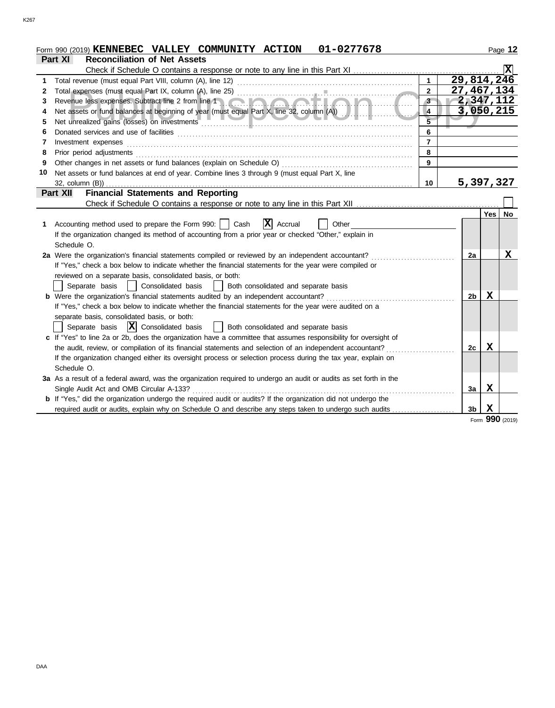|    | 01-0277678<br>Form 990 (2019) KENNEBEC VALLEY COMMUNITY ACTION                                                        |                |              |             | Page 12         |
|----|-----------------------------------------------------------------------------------------------------------------------|----------------|--------------|-------------|-----------------|
|    | <b>Reconciliation of Net Assets</b><br>Part XI                                                                        |                |              |             |                 |
|    | Check if Schedule O contains a response or note to any line in this Part XI                                           |                |              |             |                 |
| 1  |                                                                                                                       |                | 29,814,246   |             |                 |
| 2  |                                                                                                                       | $\overline{2}$ | 27, 467, 134 |             |                 |
| 3  | Revenue less expenses. Subtract line 2 from line 1                                                                    | 3              | 2,347,112    |             |                 |
| 4  | Net assets or fund balances at beginning of year (must equal Part X, line 32, column (A))                             | 4              | 3,050,215    |             |                 |
| 5  | Net unrealized gains (losses) on investments                                                                          |                |              |             |                 |
| 6  |                                                                                                                       | 6              |              |             |                 |
| 7  | Investment expenses                                                                                                   | $\overline{7}$ |              |             |                 |
| 8  | Prior period adjustments                                                                                              | 8              |              |             |                 |
| 9  |                                                                                                                       | 9              |              |             |                 |
| 10 | Net assets or fund balances at end of year. Combine lines 3 through 9 (must equal Part X, line                        |                |              |             |                 |
|    | 32, column (B))                                                                                                       | 10             | 5,397,327    |             |                 |
|    | <b>Financial Statements and Reporting</b><br>Part XII                                                                 |                |              |             |                 |
|    |                                                                                                                       |                |              |             |                 |
|    |                                                                                                                       |                |              | Yes   No    |                 |
| 1  | $ \mathbf{X} $ Accrual<br>Accounting method used to prepare the Form 990:     Cash<br>Other                           |                |              |             |                 |
|    | If the organization changed its method of accounting from a prior year or checked "Other," explain in                 |                |              |             |                 |
|    | Schedule O.                                                                                                           |                |              |             |                 |
|    | 2a Were the organization's financial statements compiled or reviewed by an independent accountant?                    |                | 2a           |             | х               |
|    | If "Yes," check a box below to indicate whether the financial statements for the year were compiled or                |                |              |             |                 |
|    | reviewed on a separate basis, consolidated basis, or both:                                                            |                |              |             |                 |
|    | Separate basis<br>Consolidated basis<br>Both consolidated and separate basis                                          |                |              |             |                 |
|    | <b>b</b> Were the organization's financial statements audited by an independent accountant?                           |                | 2b           | X           |                 |
|    | If "Yes," check a box below to indicate whether the financial statements for the year were audited on a               |                |              |             |                 |
|    | separate basis, consolidated basis, or both:                                                                          |                |              |             |                 |
|    | $ \mathbf{X} $ Consolidated basis<br>Separate basis<br>Both consolidated and separate basis                           |                |              |             |                 |
|    | c If "Yes" to line 2a or 2b, does the organization have a committee that assumes responsibility for oversight of      |                |              |             |                 |
|    | the audit, review, or compilation of its financial statements and selection of an independent accountant?             |                | 2c           | $\mathbf x$ |                 |
|    | If the organization changed either its oversight process or selection process during the tax year, explain on         |                |              |             |                 |
|    | Schedule O.                                                                                                           |                |              |             |                 |
|    | 3a As a result of a federal award, was the organization required to undergo an audit or audits as set forth in the    |                |              |             |                 |
|    | Single Audit Act and OMB Circular A-133?                                                                              |                | 3a           | X           |                 |
|    | <b>b</b> If "Yes," did the organization undergo the required audit or audits? If the organization did not undergo the |                |              |             |                 |
|    | required audit or audits, explain why on Schedule O and describe any steps taken to undergo such audits               |                | 3b           | X           |                 |
|    |                                                                                                                       |                |              |             | Form 990 (2019) |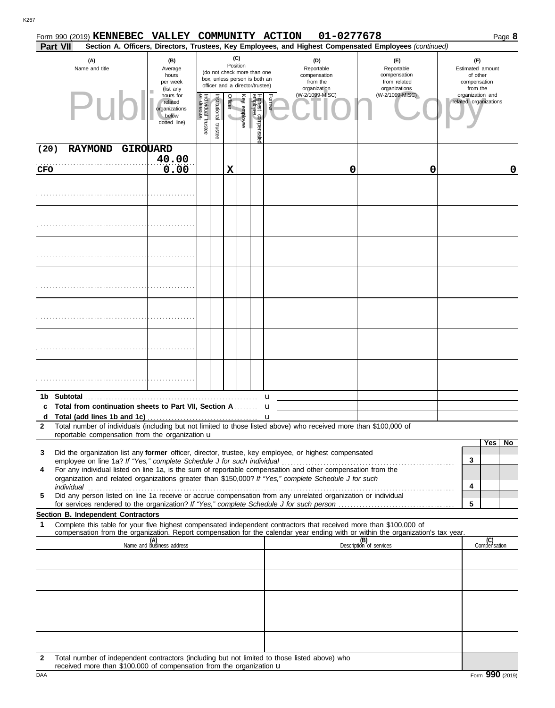|              |          | Form 990 (2019) <b>KENNEBEC</b>                                                                                                                                                                                                                                                                                                        | VALLEY COMMUNITY ACTION                                        |                                   |                                             |                  |              |                                |        |                 |   | 01-0277678                                                                                                                                                                                                                                             |                       |                     | Page 8 |
|--------------|----------|----------------------------------------------------------------------------------------------------------------------------------------------------------------------------------------------------------------------------------------------------------------------------------------------------------------------------------------|----------------------------------------------------------------|-----------------------------------|---------------------------------------------|------------------|--------------|--------------------------------|--------|-----------------|---|--------------------------------------------------------------------------------------------------------------------------------------------------------------------------------------------------------------------------------------------------------|-----------------------|---------------------|--------|
|              | Part VII |                                                                                                                                                                                                                                                                                                                                        |                                                                |                                   |                                             |                  |              |                                |        |                 |   | Section A. Officers, Directors, Trustees, Key Employees, and Highest Compensated Employees (continued)                                                                                                                                                 |                       |                     |        |
|              |          | (C)<br>(A)<br>(B)<br>(D)<br>(E)<br>Position<br>Reportable<br>Name and title<br>Reportable<br>Average<br>(do not check more than one<br>compensation<br>compensation<br>hours<br>box, unless person is both an<br>from the<br>from related<br>per week<br>officer and a director/trustee)<br>organization<br>organizations<br>(list any |                                                                |                                   | (F)<br>of other<br>compensation<br>from the | Estimated amount |              |                                |        |                 |   |                                                                                                                                                                                                                                                        |                       |                     |        |
|              |          | Pur                                                                                                                                                                                                                                                                                                                                    | hours for<br>related<br>organizations<br>below<br>dotted line) | Individual trustee<br>or director | nstitutional trustee                        | Officer          | Key employee | Highest compensate<br>employee | Former | (W-2/1099-MISC) |   | (W-2/1099-MISC)                                                                                                                                                                                                                                        | related organizations | organization and    |        |
| (20)         |          | <b>RAYMOND</b>                                                                                                                                                                                                                                                                                                                         | GIROUARD                                                       |                                   |                                             |                  |              |                                |        |                 |   |                                                                                                                                                                                                                                                        |                       |                     |        |
| CFO          |          |                                                                                                                                                                                                                                                                                                                                        | 40.00<br>0.00                                                  |                                   |                                             | X                |              |                                |        |                 | 0 | 0                                                                                                                                                                                                                                                      |                       |                     | 0      |
|              |          |                                                                                                                                                                                                                                                                                                                                        |                                                                |                                   |                                             |                  |              |                                |        |                 |   |                                                                                                                                                                                                                                                        |                       |                     |        |
|              |          |                                                                                                                                                                                                                                                                                                                                        |                                                                |                                   |                                             |                  |              |                                |        |                 |   |                                                                                                                                                                                                                                                        |                       |                     |        |
|              |          |                                                                                                                                                                                                                                                                                                                                        |                                                                |                                   |                                             |                  |              |                                |        |                 |   |                                                                                                                                                                                                                                                        |                       |                     |        |
|              |          |                                                                                                                                                                                                                                                                                                                                        |                                                                |                                   |                                             |                  |              |                                |        |                 |   |                                                                                                                                                                                                                                                        |                       |                     |        |
|              |          |                                                                                                                                                                                                                                                                                                                                        |                                                                |                                   |                                             |                  |              |                                |        |                 |   |                                                                                                                                                                                                                                                        |                       |                     |        |
|              |          |                                                                                                                                                                                                                                                                                                                                        |                                                                |                                   |                                             |                  |              |                                |        |                 |   |                                                                                                                                                                                                                                                        |                       |                     |        |
|              |          |                                                                                                                                                                                                                                                                                                                                        |                                                                |                                   |                                             |                  |              |                                |        |                 |   |                                                                                                                                                                                                                                                        |                       |                     |        |
|              |          |                                                                                                                                                                                                                                                                                                                                        |                                                                |                                   |                                             |                  |              |                                |        |                 |   |                                                                                                                                                                                                                                                        |                       |                     |        |
|              |          |                                                                                                                                                                                                                                                                                                                                        |                                                                |                                   |                                             |                  |              |                                |        |                 |   |                                                                                                                                                                                                                                                        |                       |                     |        |
|              |          |                                                                                                                                                                                                                                                                                                                                        |                                                                |                                   |                                             |                  |              |                                |        |                 |   |                                                                                                                                                                                                                                                        |                       |                     |        |
|              |          | 1b Subtotal                                                                                                                                                                                                                                                                                                                            |                                                                |                                   |                                             |                  |              |                                | u      |                 |   |                                                                                                                                                                                                                                                        |                       |                     |        |
|              |          | c Total from continuation sheets to Part VII, Section A                                                                                                                                                                                                                                                                                |                                                                |                                   |                                             |                  |              |                                | u      |                 |   |                                                                                                                                                                                                                                                        |                       |                     |        |
| $\mathbf{2}$ |          | Total number of individuals (including but not limited to those listed above) who received more than \$100,000 of                                                                                                                                                                                                                      |                                                                |                                   |                                             |                  |              |                                |        |                 |   |                                                                                                                                                                                                                                                        |                       |                     |        |
|              |          | reportable compensation from the organization $\mathbf u$                                                                                                                                                                                                                                                                              |                                                                |                                   |                                             |                  |              |                                |        |                 |   |                                                                                                                                                                                                                                                        |                       |                     |        |
| 3            |          | Did the organization list any former officer, director, trustee, key employee, or highest compensated                                                                                                                                                                                                                                  |                                                                |                                   |                                             |                  |              |                                |        |                 |   |                                                                                                                                                                                                                                                        |                       | Yes                 | No     |
|              |          |                                                                                                                                                                                                                                                                                                                                        |                                                                |                                   |                                             |                  |              |                                |        |                 |   |                                                                                                                                                                                                                                                        | 3                     |                     |        |
| 4            |          | For any individual listed on line 1a, is the sum of reportable compensation and other compensation from the<br>organization and related organizations greater than \$150,000? If "Yes," complete Schedule J for such                                                                                                                   |                                                                |                                   |                                             |                  |              |                                |        |                 |   |                                                                                                                                                                                                                                                        |                       |                     |        |
|              |          |                                                                                                                                                                                                                                                                                                                                        |                                                                |                                   |                                             |                  |              |                                |        |                 |   |                                                                                                                                                                                                                                                        | 4                     |                     |        |
| 5            |          | Did any person listed on line 1a receive or accrue compensation from any unrelated organization or individual                                                                                                                                                                                                                          |                                                                |                                   |                                             |                  |              |                                |        |                 |   |                                                                                                                                                                                                                                                        | 5                     |                     |        |
|              |          | Section B. Independent Contractors                                                                                                                                                                                                                                                                                                     |                                                                |                                   |                                             |                  |              |                                |        |                 |   |                                                                                                                                                                                                                                                        |                       |                     |        |
| 1            |          |                                                                                                                                                                                                                                                                                                                                        |                                                                |                                   |                                             |                  |              |                                |        |                 |   | Complete this table for your five highest compensated independent contractors that received more than \$100,000 of<br>compensation from the organization. Report compensation for the calendar year ending with or within the organization's tax year. |                       |                     |        |
|              |          |                                                                                                                                                                                                                                                                                                                                        | (A)<br>Name and business address                               |                                   |                                             |                  |              |                                |        |                 |   | (B)<br>Description of services                                                                                                                                                                                                                         |                       | (C)<br>Compensation |        |
|              |          |                                                                                                                                                                                                                                                                                                                                        |                                                                |                                   |                                             |                  |              |                                |        |                 |   |                                                                                                                                                                                                                                                        |                       |                     |        |
|              |          |                                                                                                                                                                                                                                                                                                                                        |                                                                |                                   |                                             |                  |              |                                |        |                 |   |                                                                                                                                                                                                                                                        |                       |                     |        |
|              |          |                                                                                                                                                                                                                                                                                                                                        |                                                                |                                   |                                             |                  |              |                                |        |                 |   |                                                                                                                                                                                                                                                        |                       |                     |        |
|              |          |                                                                                                                                                                                                                                                                                                                                        |                                                                |                                   |                                             |                  |              |                                |        |                 |   |                                                                                                                                                                                                                                                        |                       |                     |        |
|              |          |                                                                                                                                                                                                                                                                                                                                        |                                                                |                                   |                                             |                  |              |                                |        |                 |   |                                                                                                                                                                                                                                                        |                       |                     |        |
| $\sim$       |          | Total number of independent contractors (including but not limited to those listed above) who                                                                                                                                                                                                                                          |                                                                |                                   |                                             |                  |              |                                |        |                 |   |                                                                                                                                                                                                                                                        |                       |                     |        |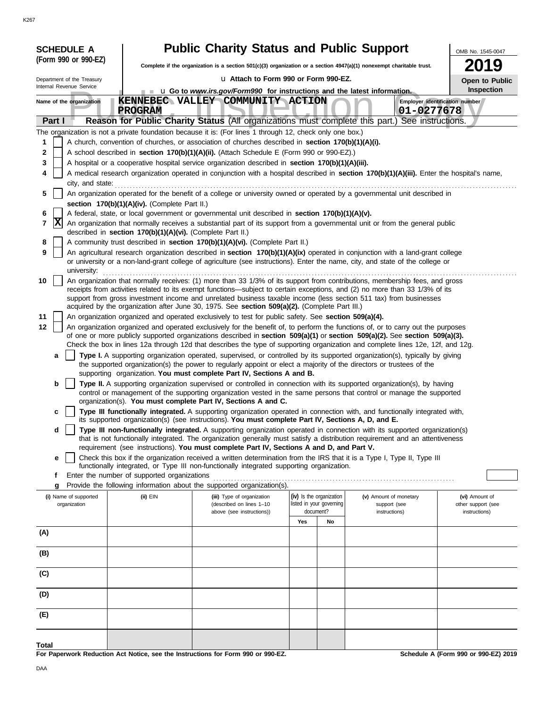| I |
|---|

| <b>SCHEDULE A</b>                     |                                                                                                                                            |                                                            | <b>Public Charity Status and Public Support</b>                                                                                                                                                                                  |     |                                                      |                                        | OMB No. 1545-0047                    |  |  |
|---------------------------------------|--------------------------------------------------------------------------------------------------------------------------------------------|------------------------------------------------------------|----------------------------------------------------------------------------------------------------------------------------------------------------------------------------------------------------------------------------------|-----|------------------------------------------------------|----------------------------------------|--------------------------------------|--|--|
| (Form 990 or 990-EZ)                  |                                                                                                                                            |                                                            | Complete if the organization is a section $501(c)(3)$ organization or a section $4947(a)(1)$ nonexempt charitable trust.                                                                                                         |     |                                                      |                                        | 9                                    |  |  |
| Department of the Treasury            |                                                                                                                                            |                                                            | La Attach to Form 990 or Form 990-EZ.                                                                                                                                                                                            |     |                                                      |                                        |                                      |  |  |
| Internal Revenue Service              |                                                                                                                                            |                                                            | u Go to www.irs.gov/Form990 for instructions and the latest information.                                                                                                                                                         |     |                                                      |                                        | Open to Public<br>Inspection         |  |  |
| Name of the organization              |                                                                                                                                            |                                                            | KENNEBEC VALLEY COMMUNITY ACTION                                                                                                                                                                                                 |     |                                                      |                                        | Employer identification number       |  |  |
|                                       |                                                                                                                                            | <b>PROGRAM</b>                                             |                                                                                                                                                                                                                                  |     |                                                      | 01-0277678                             |                                      |  |  |
| Part I                                |                                                                                                                                            |                                                            | Reason for Public Charity Status (All organizations must complete this part.) See instructions.                                                                                                                                  |     |                                                      |                                        |                                      |  |  |
|                                       |                                                                                                                                            |                                                            | The organization is not a private foundation because it is: (For lines 1 through 12, check only one box.)                                                                                                                        |     |                                                      |                                        |                                      |  |  |
|                                       |                                                                                                                                            |                                                            | A church, convention of churches, or association of churches described in section 170(b)(1)(A)(i).                                                                                                                               |     |                                                      |                                        |                                      |  |  |
| 2                                     |                                                                                                                                            |                                                            | A school described in section 170(b)(1)(A)(ii). (Attach Schedule E (Form 990 or 990-EZ).)                                                                                                                                        |     |                                                      |                                        |                                      |  |  |
| 3                                     |                                                                                                                                            |                                                            | A hospital or a cooperative hospital service organization described in section 170(b)(1)(A)(iii).                                                                                                                                |     |                                                      |                                        |                                      |  |  |
| 4                                     | A medical research organization operated in conjunction with a hospital described in section 170(b)(1)(A)(iii). Enter the hospital's name, |                                                            |                                                                                                                                                                                                                                  |     |                                                      |                                        |                                      |  |  |
| 5                                     |                                                                                                                                            |                                                            | An organization operated for the benefit of a college or university owned or operated by a governmental unit described in                                                                                                        |     |                                                      |                                        |                                      |  |  |
|                                       |                                                                                                                                            | section 170(b)(1)(A)(iv). (Complete Part II.)              |                                                                                                                                                                                                                                  |     |                                                      |                                        |                                      |  |  |
| 6                                     |                                                                                                                                            |                                                            | A federal, state, or local government or governmental unit described in section 170(b)(1)(A)(v).                                                                                                                                 |     |                                                      |                                        |                                      |  |  |
| X<br>7                                |                                                                                                                                            |                                                            | An organization that normally receives a substantial part of its support from a governmental unit or from the general public                                                                                                     |     |                                                      |                                        |                                      |  |  |
| 8                                     |                                                                                                                                            | described in section 170(b)(1)(A)(vi). (Complete Part II.) | A community trust described in section 170(b)(1)(A)(vi). (Complete Part II.)                                                                                                                                                     |     |                                                      |                                        |                                      |  |  |
| 9                                     |                                                                                                                                            |                                                            | An agricultural research organization described in section 170(b)(1)(A)(ix) operated in conjunction with a land-grant college                                                                                                    |     |                                                      |                                        |                                      |  |  |
| university:                           |                                                                                                                                            |                                                            | or university or a non-land-grant college of agriculture (see instructions). Enter the name, city, and state of the college or                                                                                                   |     |                                                      |                                        |                                      |  |  |
| 10                                    |                                                                                                                                            |                                                            | An organization that normally receives: (1) more than 33 1/3% of its support from contributions, membership fees, and gross                                                                                                      |     |                                                      |                                        |                                      |  |  |
|                                       |                                                                                                                                            |                                                            | receipts from activities related to its exempt functions—subject to certain exceptions, and (2) no more than 33 1/3% of its                                                                                                      |     |                                                      |                                        |                                      |  |  |
|                                       |                                                                                                                                            |                                                            | support from gross investment income and unrelated business taxable income (less section 511 tax) from businesses<br>acquired by the organization after June 30, 1975. See section 509(a)(2). (Complete Part III.)               |     |                                                      |                                        |                                      |  |  |
| 11                                    |                                                                                                                                            |                                                            | An organization organized and operated exclusively to test for public safety. See section 509(a)(4).                                                                                                                             |     |                                                      |                                        |                                      |  |  |
| 12                                    |                                                                                                                                            |                                                            | An organization organized and operated exclusively for the benefit of, to perform the functions of, or to carry out the purposes                                                                                                 |     |                                                      |                                        |                                      |  |  |
|                                       |                                                                                                                                            |                                                            | of one or more publicly supported organizations described in section 509(a)(1) or section 509(a)(2). See section 509(a)(3).                                                                                                      |     |                                                      |                                        |                                      |  |  |
|                                       |                                                                                                                                            |                                                            | Check the box in lines 12a through 12d that describes the type of supporting organization and complete lines 12e, 12f, and 12g.                                                                                                  |     |                                                      |                                        |                                      |  |  |
| a                                     |                                                                                                                                            |                                                            | Type I. A supporting organization operated, supervised, or controlled by its supported organization(s), typically by giving                                                                                                      |     |                                                      |                                        |                                      |  |  |
|                                       |                                                                                                                                            |                                                            | the supported organization(s) the power to regularly appoint or elect a majority of the directors or trustees of the<br>supporting organization. You must complete Part IV, Sections A and B.                                    |     |                                                      |                                        |                                      |  |  |
| b                                     |                                                                                                                                            |                                                            | Type II. A supporting organization supervised or controlled in connection with its supported organization(s), by having                                                                                                          |     |                                                      |                                        |                                      |  |  |
|                                       |                                                                                                                                            |                                                            | control or management of the supporting organization vested in the same persons that control or manage the supported                                                                                                             |     |                                                      |                                        |                                      |  |  |
|                                       |                                                                                                                                            |                                                            | organization(s). You must complete Part IV, Sections A and C.                                                                                                                                                                    |     |                                                      |                                        |                                      |  |  |
| c                                     |                                                                                                                                            |                                                            | Type III functionally integrated. A supporting organization operated in connection with, and functionally integrated with,<br>its supported organization(s) (see instructions). You must complete Part IV, Sections A, D, and E. |     |                                                      |                                        |                                      |  |  |
| d                                     |                                                                                                                                            |                                                            | Type III non-functionally integrated. A supporting organization operated in connection with its supported organization(s)                                                                                                        |     |                                                      |                                        |                                      |  |  |
|                                       |                                                                                                                                            |                                                            | that is not functionally integrated. The organization generally must satisfy a distribution requirement and an attentiveness                                                                                                     |     |                                                      |                                        |                                      |  |  |
| е                                     |                                                                                                                                            |                                                            | requirement (see instructions). You must complete Part IV, Sections A and D, and Part V.<br>Check this box if the organization received a written determination from the IRS that it is a Type I, Type II, Type III              |     |                                                      |                                        |                                      |  |  |
|                                       |                                                                                                                                            |                                                            | functionally integrated, or Type III non-functionally integrated supporting organization.                                                                                                                                        |     |                                                      |                                        |                                      |  |  |
| f                                     |                                                                                                                                            | Enter the number of supported organizations                |                                                                                                                                                                                                                                  |     |                                                      |                                        |                                      |  |  |
| g                                     |                                                                                                                                            |                                                            | Provide the following information about the supported organization(s).                                                                                                                                                           |     |                                                      |                                        |                                      |  |  |
| (i) Name of supported<br>organization |                                                                                                                                            | (ii) EIN                                                   | (iii) Type of organization<br>(described on lines 1-10                                                                                                                                                                           |     | (iv) Is the organization<br>listed in your governing | (v) Amount of monetary<br>support (see | (vi) Amount of<br>other support (see |  |  |
|                                       |                                                                                                                                            |                                                            | above (see instructions))                                                                                                                                                                                                        |     | document?                                            | instructions)                          | instructions)                        |  |  |
|                                       |                                                                                                                                            |                                                            |                                                                                                                                                                                                                                  | Yes | No                                                   |                                        |                                      |  |  |
| (A)                                   |                                                                                                                                            |                                                            |                                                                                                                                                                                                                                  |     |                                                      |                                        |                                      |  |  |
| (B)                                   |                                                                                                                                            |                                                            |                                                                                                                                                                                                                                  |     |                                                      |                                        |                                      |  |  |
|                                       |                                                                                                                                            |                                                            |                                                                                                                                                                                                                                  |     |                                                      |                                        |                                      |  |  |
| (C)                                   |                                                                                                                                            |                                                            |                                                                                                                                                                                                                                  |     |                                                      |                                        |                                      |  |  |
| (D)                                   |                                                                                                                                            |                                                            |                                                                                                                                                                                                                                  |     |                                                      |                                        |                                      |  |  |
|                                       |                                                                                                                                            |                                                            |                                                                                                                                                                                                                                  |     |                                                      |                                        |                                      |  |  |
| (E)                                   |                                                                                                                                            |                                                            |                                                                                                                                                                                                                                  |     |                                                      |                                        |                                      |  |  |
| Total                                 |                                                                                                                                            |                                                            |                                                                                                                                                                                                                                  |     |                                                      |                                        |                                      |  |  |

**For Paperwork Reduction Act Notice, see the Instructions for Form 990 or 990-EZ.**

**Schedule A (Form 990 or 990-EZ) 2019**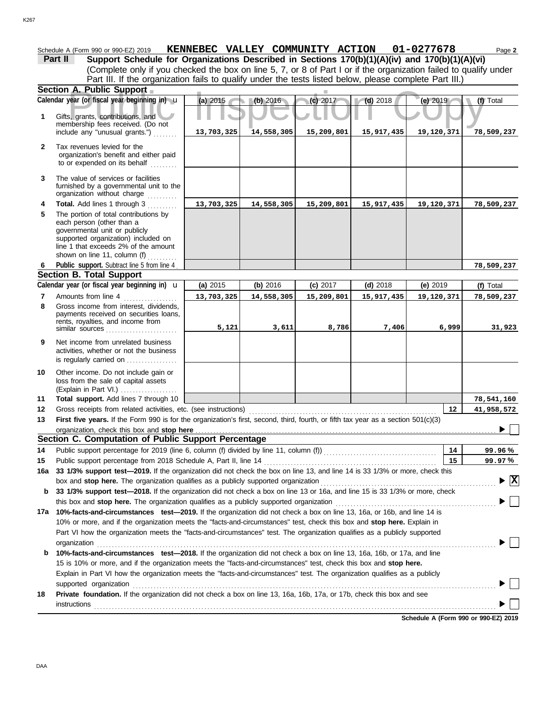|              | Schedule A (Form 990 or 990-EZ) 2019                                                                                                                                                                                           | KENNEBEC VALLEY COMMUNITY ACTION 01-0277678 |            |            |            |            | Page 2                          |
|--------------|--------------------------------------------------------------------------------------------------------------------------------------------------------------------------------------------------------------------------------|---------------------------------------------|------------|------------|------------|------------|---------------------------------|
|              | Support Schedule for Organizations Described in Sections 170(b)(1)(A)(iv) and 170(b)(1)(A)(vi)<br>Part II                                                                                                                      |                                             |            |            |            |            |                                 |
|              | (Complete only if you checked the box on line 5, 7, or 8 of Part I or if the organization failed to qualify under                                                                                                              |                                             |            |            |            |            |                                 |
|              | Part III. If the organization fails to qualify under the tests listed below, please complete Part III.)                                                                                                                        |                                             |            |            |            |            |                                 |
|              | Section A. Public Support                                                                                                                                                                                                      |                                             |            |            |            |            |                                 |
|              | Calendar year (or fiscal year beginning in) u                                                                                                                                                                                  | (a) 2015                                    | (b) 2016   | (c) 2017   | $(d)$ 2018 | (e) 2019   | (f) Total                       |
| 1            | Gifts, grants, contributions, and                                                                                                                                                                                              |                                             |            |            |            |            |                                 |
|              | membership fees received. (Do not                                                                                                                                                                                              |                                             |            |            |            |            |                                 |
|              | include any "unusual grants.")                                                                                                                                                                                                 | 13,703,325                                  | 14,558,305 | 15,209,801 | 15,917,435 | 19,120,371 | 78,509,237                      |
| $\mathbf{2}$ | Tax revenues levied for the                                                                                                                                                                                                    |                                             |            |            |            |            |                                 |
|              | organization's benefit and either paid                                                                                                                                                                                         |                                             |            |            |            |            |                                 |
|              | to or expended on its behalf                                                                                                                                                                                                   |                                             |            |            |            |            |                                 |
| 3            | The value of services or facilities                                                                                                                                                                                            |                                             |            |            |            |            |                                 |
|              | furnished by a governmental unit to the                                                                                                                                                                                        |                                             |            |            |            |            |                                 |
|              | organization without charge                                                                                                                                                                                                    |                                             |            |            |            |            |                                 |
| 4            | Total. Add lines 1 through 3                                                                                                                                                                                                   | 13,703,325                                  | 14,558,305 | 15,209,801 | 15,917,435 | 19,120,371 | 78,509,237                      |
| 5            | The portion of total contributions by<br>each person (other than a                                                                                                                                                             |                                             |            |            |            |            |                                 |
|              | governmental unit or publicly                                                                                                                                                                                                  |                                             |            |            |            |            |                                 |
|              | supported organization) included on                                                                                                                                                                                            |                                             |            |            |            |            |                                 |
|              | line 1 that exceeds 2% of the amount                                                                                                                                                                                           |                                             |            |            |            |            |                                 |
|              | shown on line 11, column $(f)$<br>Public support. Subtract line 5 from line 4                                                                                                                                                  |                                             |            |            |            |            | 78,509,237                      |
| 6            | <b>Section B. Total Support</b>                                                                                                                                                                                                |                                             |            |            |            |            |                                 |
|              | Calendar year (or fiscal year beginning in) <b>u</b>                                                                                                                                                                           | (a) 2015                                    | (b) 2016   | (c) 2017   | $(d)$ 2018 | (e) $2019$ | (f) Total                       |
| 7            | Amounts from line 4                                                                                                                                                                                                            | 13,703,325                                  | 14,558,305 | 15,209,801 | 15,917,435 | 19,120,371 | 78,509,237                      |
| 8            | Gross income from interest, dividends,                                                                                                                                                                                         |                                             |            |            |            |            |                                 |
|              | payments received on securities loans,                                                                                                                                                                                         |                                             |            |            |            |            |                                 |
|              | rents, royalties, and income from<br>similar sources                                                                                                                                                                           | 5,121                                       | 3,611      | 8,786      | 7,406      | 6,999      | 31,923                          |
|              |                                                                                                                                                                                                                                |                                             |            |            |            |            |                                 |
| 9            | Net income from unrelated business<br>activities, whether or not the business                                                                                                                                                  |                                             |            |            |            |            |                                 |
|              | is regularly carried on                                                                                                                                                                                                        |                                             |            |            |            |            |                                 |
| 10           | Other income. Do not include gain or                                                                                                                                                                                           |                                             |            |            |            |            |                                 |
|              | loss from the sale of capital assets                                                                                                                                                                                           |                                             |            |            |            |            |                                 |
|              | (Explain in Part VI.)                                                                                                                                                                                                          |                                             |            |            |            |            |                                 |
| 11           | Total support. Add lines 7 through 10                                                                                                                                                                                          |                                             |            |            |            |            | 78,541,160                      |
| 12           | Gross receipts from related activities, etc. (see instructions)                                                                                                                                                                |                                             |            |            |            | 12         | 41,958,572                      |
| 13           | First five years. If the Form 990 is for the organization's first, second, third, fourth, or fifth tax year as a section 501(c)(3)                                                                                             |                                             |            |            |            |            | $\overline{\phantom{0}}$        |
|              |                                                                                                                                                                                                                                |                                             |            |            |            |            |                                 |
|              | Section C. Computation of Public Support Percentage                                                                                                                                                                            |                                             |            |            |            |            |                                 |
| 14           | Public support percentage from 2018 Schedule A, Part II, line 14                                                                                                                                                               |                                             |            |            |            | 14<br>15   | 99.96%                          |
| 15<br>16a    | 33 1/3% support test-2019. If the organization did not check the box on line 13, and line 14 is 33 1/3% or more, check this                                                                                                    |                                             |            |            |            |            | 99.97%                          |
|              | box and stop here. The organization qualifies as a publicly supported organization                                                                                                                                             |                                             |            |            |            |            | $\blacktriangleright$ $\vert$ X |
| b            | 33 1/3% support test-2018. If the organization did not check a box on line 13 or 16a, and line 15 is 33 1/3% or more, check                                                                                                    |                                             |            |            |            |            |                                 |
|              | this box and stop here. The organization qualifies as a publicly supported organization                                                                                                                                        |                                             |            |            |            |            |                                 |
| 17а          | 10%-facts-and-circumstances test-2019. If the organization did not check a box on line 13, 16a, or 16b, and line 14 is                                                                                                         |                                             |            |            |            |            |                                 |
|              | 10% or more, and if the organization meets the "facts-and-circumstances" test, check this box and stop here. Explain in                                                                                                        |                                             |            |            |            |            |                                 |
|              | Part VI how the organization meets the "facts-and-circumstances" test. The organization qualifies as a publicly supported                                                                                                      |                                             |            |            |            |            |                                 |
|              | organization                                                                                                                                                                                                                   |                                             |            |            |            |            |                                 |
| b            | 10%-facts-and-circumstances test-2018. If the organization did not check a box on line 13, 16a, 16b, or 17a, and line                                                                                                          |                                             |            |            |            |            |                                 |
|              | 15 is 10% or more, and if the organization meets the "facts-and-circumstances" test, check this box and stop here.                                                                                                             |                                             |            |            |            |            |                                 |
|              | Explain in Part VI how the organization meets the "facts-and-circumstances" test. The organization qualifies as a publicly                                                                                                     |                                             |            |            |            |            |                                 |
|              | supported organization contains and contains a supported organization of the supported organization contains and contains a supported organization contains a supported or supported or supported or support of the support of |                                             |            |            |            |            |                                 |
| 18           | Private foundation. If the organization did not check a box on line 13, 16a, 16b, 17a, or 17b, check this box and see                                                                                                          |                                             |            |            |            |            |                                 |
|              | <b>instructions</b>                                                                                                                                                                                                            |                                             |            |            |            |            |                                 |

**Schedule A (Form 990 or 990-EZ) 2019**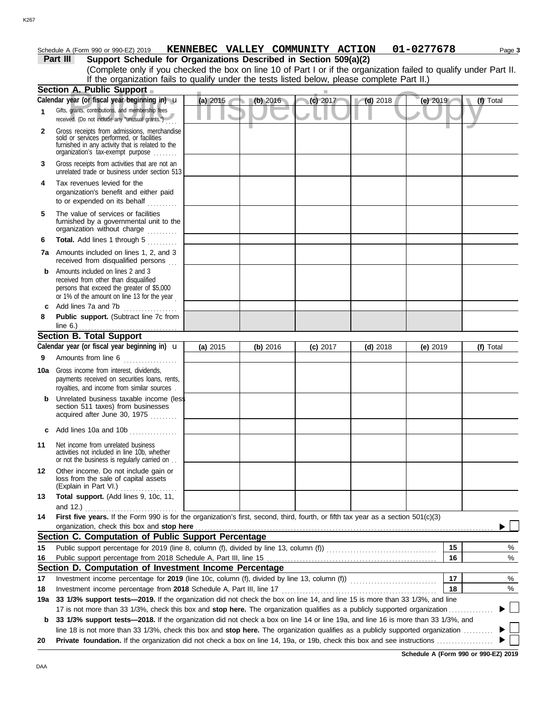#### **Part III** Support Schedule for Organizations Described in Section 509(a)(2) Schedule A (Form 990 or 990-EZ) 2019 **KENNEBEC VALLEY COMMUNITY ACTION 01-0277678** Page 3

|              | oupport ocheaule for organizations beschiped in oecuoir Jos(a)(z)<br>(Complete only if you checked the box on line 10 of Part I or if the organization failed to qualify under Part II.                                                                                                                                                                                   |            |          |            |            |            |           |  |  |
|--------------|---------------------------------------------------------------------------------------------------------------------------------------------------------------------------------------------------------------------------------------------------------------------------------------------------------------------------------------------------------------------------|------------|----------|------------|------------|------------|-----------|--|--|
|              | If the organization fails to qualify under the tests listed below, please complete Part II.)                                                                                                                                                                                                                                                                              |            |          |            |            |            |           |  |  |
|              | Section A. Public Support                                                                                                                                                                                                                                                                                                                                                 |            |          |            |            |            |           |  |  |
|              | Calendar year (or fiscal year beginning in) u                                                                                                                                                                                                                                                                                                                             | (a) $2015$ | (b) 2016 | (c) 2017   | $(d)$ 2018 | (e) 2019   | (f) Total |  |  |
| $\mathbf{1}$ | Gifts, grants, contributions, and membership fees<br>received. (Do not include any "unusual grants.")                                                                                                                                                                                                                                                                     |            |          |            |            |            |           |  |  |
| $\mathbf{2}$ | Gross receipts from admissions, merchandise<br>sold or services performed, or facilities<br>furnished in any activity that is related to the<br>organization's tax-exempt purpose                                                                                                                                                                                         |            |          |            |            |            |           |  |  |
| 3            | Gross receipts from activities that are not an<br>unrelated trade or business under section 513                                                                                                                                                                                                                                                                           |            |          |            |            |            |           |  |  |
| 4            | Tax revenues levied for the<br>organization's benefit and either paid<br>to or expended on its behalf                                                                                                                                                                                                                                                                     |            |          |            |            |            |           |  |  |
| 5            | The value of services or facilities<br>furnished by a governmental unit to the<br>organization without charge                                                                                                                                                                                                                                                             |            |          |            |            |            |           |  |  |
| 6            | Total. Add lines 1 through 5                                                                                                                                                                                                                                                                                                                                              |            |          |            |            |            |           |  |  |
|              | <b>7a</b> Amounts included on lines 1, 2, and 3<br>received from disqualified persons                                                                                                                                                                                                                                                                                     |            |          |            |            |            |           |  |  |
| b            | Amounts included on lines 2 and 3<br>received from other than disqualified<br>persons that exceed the greater of \$5,000<br>or 1% of the amount on line 13 for the year                                                                                                                                                                                                   |            |          |            |            |            |           |  |  |
| 8            | Add lines 7a and 7b<br>.<br>Public support. (Subtract line 7c from                                                                                                                                                                                                                                                                                                        |            |          |            |            |            |           |  |  |
|              | Section B. Total Support                                                                                                                                                                                                                                                                                                                                                  |            |          |            |            |            |           |  |  |
|              | Calendar year (or fiscal year beginning in) $\mathbf u$                                                                                                                                                                                                                                                                                                                   | (a) 2015   | (b) 2016 | $(c)$ 2017 | $(d)$ 2018 | (e) $2019$ | (f) Total |  |  |
| 9            | Amounts from line 6                                                                                                                                                                                                                                                                                                                                                       |            |          |            |            |            |           |  |  |
| 10a          | Gross income from interest, dividends,<br>payments received on securities loans, rents,<br>royalties, and income from similar sources.                                                                                                                                                                                                                                    |            |          |            |            |            |           |  |  |
| b            | Unrelated business taxable income (less<br>section 511 taxes) from businesses<br>acquired after June 30, 1975                                                                                                                                                                                                                                                             |            |          |            |            |            |           |  |  |
|              | c Add lines 10a and 10b                                                                                                                                                                                                                                                                                                                                                   |            |          |            |            |            |           |  |  |
|              | 11 Net income from unrelated business<br>activities not included in line 10b, whether<br>or not the business is regularly carried on                                                                                                                                                                                                                                      |            |          |            |            |            |           |  |  |
| 12           | Other income. Do not include gain or<br>loss from the sale of capital assets<br>(Explain in Part VI.)                                                                                                                                                                                                                                                                     |            |          |            |            |            |           |  |  |
| 13           | Total support. (Add lines 9, 10c, 11,                                                                                                                                                                                                                                                                                                                                     |            |          |            |            |            |           |  |  |
|              |                                                                                                                                                                                                                                                                                                                                                                           |            |          |            |            |            |           |  |  |
| 14           | First five years. If the Form 990 is for the organization's first, second, third, fourth, or fifth tax year as a section 501(c)(3)<br>organization, check this box and stop here <b>construction</b> and construction of the state of the state of the state of the state of the state of the state of the state of the state of the state of the state of the state of t |            |          |            |            |            |           |  |  |
|              | Section C. Computation of Public Support Percentage                                                                                                                                                                                                                                                                                                                       |            |          |            |            |            |           |  |  |
| 15           |                                                                                                                                                                                                                                                                                                                                                                           |            |          |            |            | 15         | %         |  |  |
| 16           |                                                                                                                                                                                                                                                                                                                                                                           |            |          |            |            | 16         | %         |  |  |
|              | Section D. Computation of Investment Income Percentage                                                                                                                                                                                                                                                                                                                    |            |          |            |            |            |           |  |  |
| 17           |                                                                                                                                                                                                                                                                                                                                                                           |            |          |            |            | 17         | %         |  |  |
| 18           | Investment income percentage from 2018 Schedule A, Part III, line 17                                                                                                                                                                                                                                                                                                      |            |          |            |            | 18         | %         |  |  |
| 19a          | 33 1/3% support tests-2019. If the organization did not check the box on line 14, and line 15 is more than 33 1/3%, and line                                                                                                                                                                                                                                              |            |          |            |            |            |           |  |  |
|              | 17 is not more than 33 1/3%, check this box and stop here. The organization qualifies as a publicly supported organization                                                                                                                                                                                                                                                |            |          |            |            |            | $\sim$    |  |  |
| b            | 33 1/3% support tests-2018. If the organization did not check a box on line 14 or line 19a, and line 16 is more than 33 1/3%, and                                                                                                                                                                                                                                         |            |          |            |            |            |           |  |  |
|              | line 18 is not more than 33 1/3%, check this box and stop here. The organization qualifies as a publicly supported organization                                                                                                                                                                                                                                           |            |          |            |            |            |           |  |  |
| 20           |                                                                                                                                                                                                                                                                                                                                                                           |            |          |            |            |            |           |  |  |

**Schedule A (Form 990 or 990-EZ) 2019**

DAA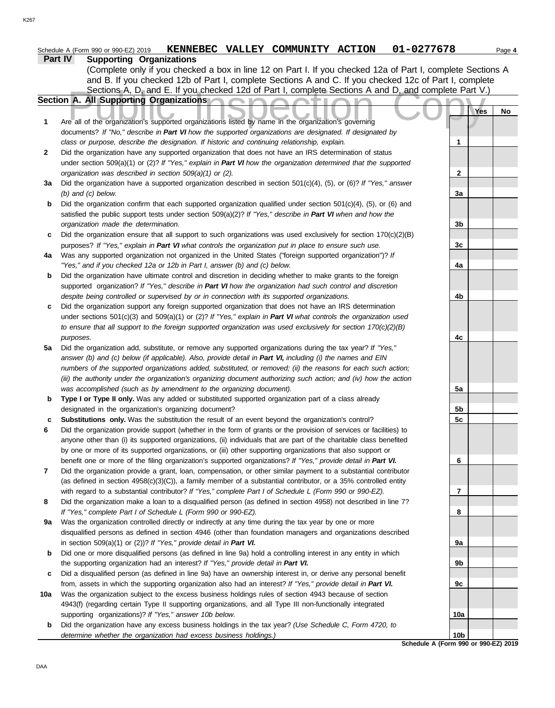|     | 01-0277678<br>KENNEBEC VALLEY COMMUNITY ACTION<br>Schedule A (Form 990 or 990-EZ) 2019                              |     | Page 4 |
|-----|---------------------------------------------------------------------------------------------------------------------|-----|--------|
|     | <b>Part IV</b><br><b>Supporting Organizations</b>                                                                   |     |        |
|     | (Complete only if you checked a box in line 12 on Part I. If you checked 12a of Part I, complete Sections A         |     |        |
|     | and B. If you checked 12b of Part I, complete Sections A and C. If you checked 12c of Part I, complete              |     |        |
|     | Sections A, D, and E. If you checked 12d of Part I, complete Sections A and D, and complete Part V.)                |     |        |
|     | Section A. All Supporting Organizations                                                                             |     |        |
|     |                                                                                                                     | Yes | No     |
| 1   | Are all of the organization's supported organizations listed by name in the organization's governing                |     |        |
|     | documents? If "No," describe in Part VI how the supported organizations are designated. If designated by            |     |        |
|     | class or purpose, describe the designation. If historic and continuing relationship, explain.                       | 1   |        |
|     |                                                                                                                     |     |        |
| 2   | Did the organization have any supported organization that does not have an IRS determination of status              |     |        |
|     | under section 509(a)(1) or (2)? If "Yes," explain in Part VI how the organization determined that the supported     |     |        |
|     | organization was described in section 509(a)(1) or (2).                                                             | 2   |        |
| 3a  | Did the organization have a supported organization described in section 501(c)(4), (5), or (6)? If "Yes," answer    |     |        |
|     | $(b)$ and $(c)$ below.                                                                                              | 3a  |        |
| b   | Did the organization confirm that each supported organization qualified under section $501(c)(4)$ , (5), or (6) and |     |        |
|     | satisfied the public support tests under section 509(a)(2)? If "Yes," describe in Part VI when and how the          |     |        |
|     | organization made the determination.                                                                                | 3b  |        |
| c   | Did the organization ensure that all support to such organizations was used exclusively for section $170(c)(2)(B)$  |     |        |
|     | purposes? If "Yes," explain in Part VI what controls the organization put in place to ensure such use.              | 3c  |        |
| 4a  | Was any supported organization not organized in the United States ("foreign supported organization")? If            |     |        |
|     | "Yes," and if you checked 12a or 12b in Part I, answer (b) and (c) below.                                           | 4a  |        |
| b   | Did the organization have ultimate control and discretion in deciding whether to make grants to the foreign         |     |        |
|     | supported organization? If "Yes," describe in Part VI how the organization had such control and discretion          |     |        |
|     | despite being controlled or supervised by or in connection with its supported organizations.                        | 4b  |        |
| c   | Did the organization support any foreign supported organization that does not have an IRS determination             |     |        |
|     | under sections $501(c)(3)$ and $509(a)(1)$ or (2)? If "Yes," explain in Part VI what controls the organization used |     |        |
|     | to ensure that all support to the foreign supported organization was used exclusively for section $170(c)(2)(B)$    |     |        |
|     | purposes.                                                                                                           | 4c  |        |
| 5a  | Did the organization add, substitute, or remove any supported organizations during the tax year? If "Yes,"          |     |        |
|     | answer (b) and (c) below (if applicable). Also, provide detail in Part VI, including (i) the names and EIN          |     |        |
|     | numbers of the supported organizations added, substituted, or removed; (ii) the reasons for each such action;       |     |        |
|     | (iii) the authority under the organization's organizing document authorizing such action; and (iv) how the action   |     |        |
|     | was accomplished (such as by amendment to the organizing document).                                                 | 5a  |        |
| b   | Type I or Type II only. Was any added or substituted supported organization part of a class already                 |     |        |
|     | designated in the organization's organizing document?                                                               | 5b  |        |
| c   | <b>Substitutions only.</b> Was the substitution the result of an event beyond the organization's control?           | 5c  |        |
| 6   | Did the organization provide support (whether in the form of grants or the provision of services or facilities) to  |     |        |
|     | anyone other than (i) its supported organizations, (ii) individuals that are part of the charitable class benefited |     |        |
|     | by one or more of its supported organizations, or (iii) other supporting organizations that also support or         |     |        |
|     | benefit one or more of the filing organization's supported organizations? If "Yes," provide detail in Part VI.      | 6   |        |
| 7   | Did the organization provide a grant, loan, compensation, or other similar payment to a substantial contributor     |     |        |
|     | (as defined in section $4958(c)(3)(C)$ ), a family member of a substantial contributor, or a 35% controlled entity  |     |        |
|     | with regard to a substantial contributor? If "Yes," complete Part I of Schedule L (Form 990 or 990-EZ).             | 7   |        |
| 8   | Did the organization make a loan to a disqualified person (as defined in section 4958) not described in line 7?     |     |        |
|     | If "Yes," complete Part I of Schedule L (Form 990 or 990-EZ).                                                       | 8   |        |
| 9а  | Was the organization controlled directly or indirectly at any time during the tax year by one or more               |     |        |
|     | disqualified persons as defined in section 4946 (other than foundation managers and organizations described         |     |        |
|     | in section 509(a)(1) or (2))? If "Yes," provide detail in Part VI.                                                  | 9а  |        |
| b   | Did one or more disqualified persons (as defined in line 9a) hold a controlling interest in any entity in which     |     |        |
|     | the supporting organization had an interest? If "Yes," provide detail in Part VI.                                   | 9b  |        |
| c   | Did a disqualified person (as defined in line 9a) have an ownership interest in, or derive any personal benefit     |     |        |
|     | from, assets in which the supporting organization also had an interest? If "Yes," provide detail in Part VI.        | 9с  |        |
| 10a | Was the organization subject to the excess business holdings rules of section 4943 because of section               |     |        |
|     | 4943(f) (regarding certain Type II supporting organizations, and all Type III non-functionally integrated           |     |        |
|     | supporting organizations)? If "Yes," answer 10b below.                                                              | 10a |        |

**b** Did the organization have any excess business holdings in the tax year? *(Use Schedule C, Form 4720, to determine whether the organization had excess business holdings.)*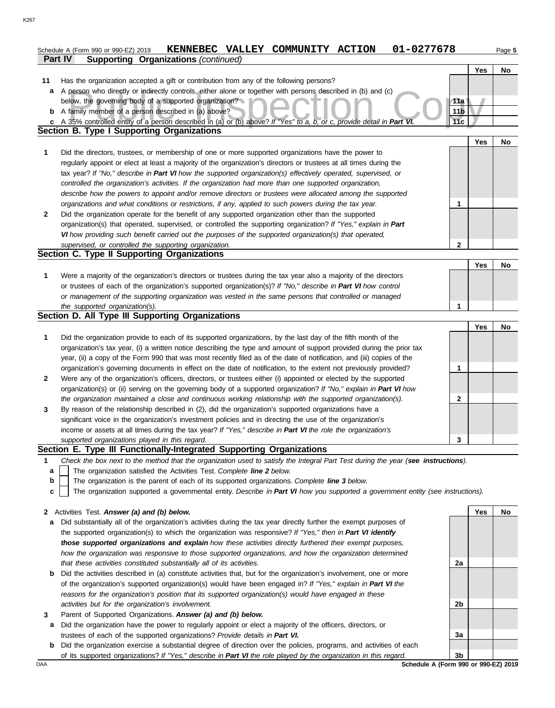|              | 01-0277678<br>KENNEBEC VALLEY COMMUNITY ACTION<br>Schedule A (Form 990 or 990-EZ) 2019                                                                                                                                           |                        |     | Page 5 |
|--------------|----------------------------------------------------------------------------------------------------------------------------------------------------------------------------------------------------------------------------------|------------------------|-----|--------|
|              | <b>Supporting Organizations (continued)</b><br>Part IV                                                                                                                                                                           |                        |     |        |
|              |                                                                                                                                                                                                                                  |                        | Yes | No     |
| 11           | Has the organization accepted a gift or contribution from any of the following persons?                                                                                                                                          |                        |     |        |
| a            | A person who directly or indirectly controls, either alone or together with persons described in (b) and (c)<br>below, the governing body of a supported organization?                                                           |                        |     |        |
|              | <b>b</b> A family member of a person described in (a) above?                                                                                                                                                                     | 11a<br>11 <sub>b</sub> |     |        |
| c            | A 35% controlled entity of a person described in (a) or (b) above? If "Yes" to a, b, or c, provide detail in Part VI.                                                                                                            | 11c                    |     |        |
|              | <b>Section B. Type I Supporting Organizations</b>                                                                                                                                                                                |                        |     |        |
|              |                                                                                                                                                                                                                                  |                        | Yes | No     |
| 1            | Did the directors, trustees, or membership of one or more supported organizations have the power to                                                                                                                              |                        |     |        |
|              | regularly appoint or elect at least a majority of the organization's directors or trustees at all times during the                                                                                                               |                        |     |        |
|              | tax year? If "No," describe in Part VI how the supported organization(s) effectively operated, supervised, or                                                                                                                    |                        |     |        |
|              | controlled the organization's activities. If the organization had more than one supported organization,                                                                                                                          |                        |     |        |
|              | describe how the powers to appoint and/or remove directors or trustees were allocated among the supported                                                                                                                        |                        |     |        |
|              | organizations and what conditions or restrictions, if any, applied to such powers during the tax year.                                                                                                                           | 1                      |     |        |
| $\mathbf{2}$ | Did the organization operate for the benefit of any supported organization other than the supported                                                                                                                              |                        |     |        |
|              | organization(s) that operated, supervised, or controlled the supporting organization? If "Yes," explain in Part                                                                                                                  |                        |     |        |
|              | VI how providing such benefit carried out the purposes of the supported organization(s) that operated,                                                                                                                           |                        |     |        |
|              | supervised, or controlled the supporting organization.                                                                                                                                                                           | $\mathbf{2}$           |     |        |
|              | Section C. Type II Supporting Organizations                                                                                                                                                                                      |                        |     |        |
|              |                                                                                                                                                                                                                                  |                        | Yes | No     |
| 1            | Were a majority of the organization's directors or trustees during the tax year also a majority of the directors                                                                                                                 |                        |     |        |
|              | or trustees of each of the organization's supported organization(s)? If "No," describe in Part VI how control                                                                                                                    |                        |     |        |
|              | or management of the supporting organization was vested in the same persons that controlled or managed                                                                                                                           |                        |     |        |
|              | the supported organization(s).<br>Section D. All Type III Supporting Organizations                                                                                                                                               | 1                      |     |        |
|              |                                                                                                                                                                                                                                  |                        | Yes | No     |
| 1            | Did the organization provide to each of its supported organizations, by the last day of the fifth month of the                                                                                                                   |                        |     |        |
|              | organization's tax year, (i) a written notice describing the type and amount of support provided during the prior tax                                                                                                            |                        |     |        |
|              | year, (ii) a copy of the Form 990 that was most recently filed as of the date of notification, and (iii) copies of the                                                                                                           |                        |     |        |
|              | organization's governing documents in effect on the date of notification, to the extent not previously provided?                                                                                                                 | 1                      |     |        |
| $\mathbf{2}$ | Were any of the organization's officers, directors, or trustees either (i) appointed or elected by the supported                                                                                                                 |                        |     |        |
|              | organization(s) or (ii) serving on the governing body of a supported organization? If "No," explain in Part VI how                                                                                                               |                        |     |        |
|              | the organization maintained a close and continuous working relationship with the supported organization(s).                                                                                                                      | $\mathbf{2}$           |     |        |
| 3            | By reason of the relationship described in (2), did the organization's supported organizations have a                                                                                                                            |                        |     |        |
|              | significant voice in the organization's investment policies and in directing the use of the organization's                                                                                                                       |                        |     |        |
|              | income or assets at all times during the tax year? If "Yes," describe in Part VI the role the organization's                                                                                                                     |                        |     |        |
|              | supported organizations played in this regard.                                                                                                                                                                                   | 3                      |     |        |
|              | Section E. Type III Functionally-Integrated Supporting Organizations                                                                                                                                                             |                        |     |        |
| 1            | Check the box next to the method that the organization used to satisfy the Integral Part Test during the year (see instructions).                                                                                                |                        |     |        |
| a            | The organization satisfied the Activities Test. Complete line 2 below.                                                                                                                                                           |                        |     |        |
| b            | The organization is the parent of each of its supported organizations. Complete line 3 below.                                                                                                                                    |                        |     |        |
| C            | The organization supported a governmental entity. Describe in Part VI how you supported a government entity (see instructions).                                                                                                  |                        |     |        |
|              |                                                                                                                                                                                                                                  |                        |     |        |
| $\mathbf{z}$ | Activities Test. Answer (a) and (b) below.                                                                                                                                                                                       |                        | Yes | No     |
| a            | Did substantially all of the organization's activities during the tax year directly further the exempt purposes of<br>the supported organization(s) to which the organization was responsive? If "Yes," then in Part VI identify |                        |     |        |
|              | those supported organizations and explain how these activities directly furthered their exempt purposes,                                                                                                                         |                        |     |        |
|              | how the organization was responsive to those supported organizations, and how the organization determined                                                                                                                        |                        |     |        |
|              | that these activities constituted substantially all of its activities.                                                                                                                                                           | 2a                     |     |        |
| b            | Did the activities described in (a) constitute activities that, but for the organization's involvement, one or more                                                                                                              |                        |     |        |
|              | of the organization's supported organization(s) would have been engaged in? If "Yes," explain in Part VI the                                                                                                                     |                        |     |        |
|              | reasons for the organization's position that its supported organization(s) would have engaged in these                                                                                                                           |                        |     |        |
|              | activities but for the organization's involvement.                                                                                                                                                                               | 2b                     |     |        |
| 3            | Parent of Supported Organizations. Answer (a) and (b) below.                                                                                                                                                                     |                        |     |        |

- **a** Did the organization have the power to regularly appoint or elect a majority of the officers, directors, or trustees of each of the supported organizations? *Provide details in Part VI.*
- **b** Did the organization exercise a substantial degree of direction over the policies, programs, and activities of each Did the organization exercise a substantial degree of direction over the policies, programs, and activities of each of its supported organizations? *If "Yes," describe in Part VI the role played by the organization in this regard.* **3b**

DAA **Schedule A (Form 990 or 990-EZ) 2019**

**3a**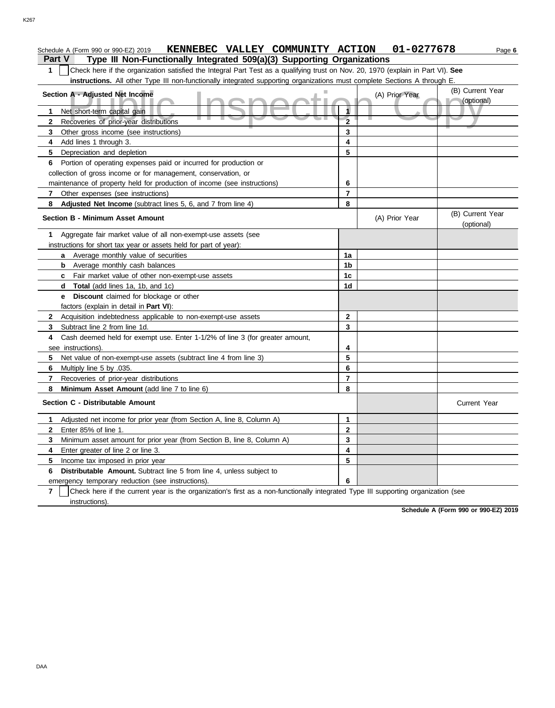# **1** Check here if the organization satisfied the Integral Part Test as a qualifying trust on Nov. 20, 1970 (explain in Part VI). **See instructions.** All other Type III non-functionally integrated supporting organizations must complete Sections A through E.

| Section A - Adjusted Net Income<br>ÞШ                                                                                                               |                         | (A) Prior Year | (B) Current Year<br>(optional) |
|-----------------------------------------------------------------------------------------------------------------------------------------------------|-------------------------|----------------|--------------------------------|
| Net short-term capital gain<br>1.                                                                                                                   | 1                       |                |                                |
| ш<br>Recoveries of prior-year distributions<br>$\mathbf{2}$                                                                                         | $\overline{2}$          |                |                                |
| 3 <sup>1</sup><br>Other gross income (see instructions)                                                                                             | 3                       |                |                                |
| Add lines 1 through 3.<br>4                                                                                                                         | 4                       |                |                                |
| 5<br>Depreciation and depletion                                                                                                                     | 5                       |                |                                |
| Portion of operating expenses paid or incurred for production or<br>6                                                                               |                         |                |                                |
| collection of gross income or for management, conservation, or                                                                                      |                         |                |                                |
| maintenance of property held for production of income (see instructions)                                                                            | 6                       |                |                                |
| $\mathbf{7}$<br>Other expenses (see instructions)                                                                                                   | $\overline{7}$          |                |                                |
| 8<br>Adjusted Net Income (subtract lines 5, 6, and 7 from line 4)                                                                                   | 8                       |                |                                |
| <b>Section B - Minimum Asset Amount</b>                                                                                                             |                         | (A) Prior Year | (B) Current Year<br>(optional) |
| Aggregate fair market value of all non-exempt-use assets (see<br>1<br>instructions for short tax year or assets held for part of year):             |                         |                |                                |
| <b>a</b> Average monthly value of securities                                                                                                        | 1a                      |                |                                |
| <b>b</b> Average monthly cash balances                                                                                                              | 1b                      |                |                                |
| <b>c</b> Fair market value of other non-exempt-use assets                                                                                           | 1c                      |                |                                |
| <b>d</b> Total (add lines 1a, 1b, and 1c)                                                                                                           | 1d                      |                |                                |
| e Discount claimed for blockage or other                                                                                                            |                         |                |                                |
| factors (explain in detail in Part VI):                                                                                                             |                         |                |                                |
| Acquisition indebtedness applicable to non-exempt-use assets<br>$\mathbf{2}$                                                                        | $\mathbf 2$             |                |                                |
| Subtract line 2 from line 1d.<br>3.                                                                                                                 | 3                       |                |                                |
| Cash deemed held for exempt use. Enter 1-1/2% of line 3 (for greater amount,<br>4                                                                   |                         |                |                                |
| see instructions).                                                                                                                                  | 4                       |                |                                |
| Net value of non-exempt-use assets (subtract line 4 from line 3)<br>5                                                                               | 5                       |                |                                |
| 6<br>Multiply line 5 by .035.                                                                                                                       | 6                       |                |                                |
| $\overline{7}$<br>Recoveries of prior-year distributions                                                                                            | $\overline{7}$          |                |                                |
| Minimum Asset Amount (add line 7 to line 6)<br>8                                                                                                    | 8                       |                |                                |
| Section C - Distributable Amount                                                                                                                    |                         |                | <b>Current Year</b>            |
| Adjusted net income for prior year (from Section A, line 8, Column A)<br>1                                                                          | 1                       |                |                                |
| Enter 85% of line 1.<br>$\mathbf{2}$                                                                                                                | $\mathbf{2}$            |                |                                |
| Minimum asset amount for prior year (from Section B, line 8, Column A)<br>3                                                                         | 3                       |                |                                |
| 4<br>Enter greater of line 2 or line 3.                                                                                                             | $\overline{\mathbf{4}}$ |                |                                |
| 5<br>Income tax imposed in prior year                                                                                                               | 5                       |                |                                |
| <b>Distributable Amount.</b> Subtract line 5 from line 4, unless subject to<br>6                                                                    |                         |                |                                |
| emergency temporary reduction (see instructions).                                                                                                   | 6                       |                |                                |
| $\overline{7}$<br>Check here if the current year is the organization's first as a non-functionally integrated Type III supporting organization (see |                         |                |                                |
| instructions).                                                                                                                                      |                         |                |                                |

**Schedule A (Form 990 or 990-EZ) 2019**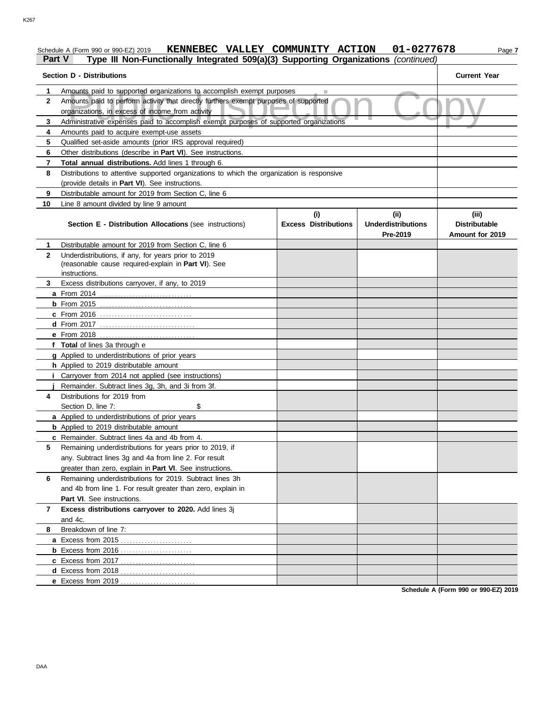#### Schedule A (Form 990 or 990-EZ) 2019 **KENNEBEC VALLEY COMMUNITY ACTION 01-0277678** Page 7 **Part V Type III Non-Functionally Integrated 509(a)(3) Supporting Organizations** *(continued)*

#### Amounts paid to supported organizations to accomplish exempt purposes<br>Amounts paid to perform activity that directly furthers exempt purposes of supported<br>Organizations, in excess of income from activity<br>Administrative exp **Section D - Distributions Current Year 1 2 3 4 5 6 7 8 9 10** Amounts paid to supported organizations to accomplish exempt purposes Amounts paid to perform activity that directly furthers exempt purposes of supported organizations, in excess of income from activity Amounts paid to acquire exempt-use assets Qualified set-aside amounts (prior IRS approval required) Other distributions (describe in **Part VI**). See instructions. **Total annual distributions.** Add lines 1 through 6. Distributions to attentive supported organizations to which the organization is responsive (provide details in **Part VI**). See instructions. Distributable amount for 2019 from Section C, line 6 Line 8 amount divided by line 9 amount **Section E - Distribution Allocations** (see instructions) **Excess Distributions (i) (ii) Underdistributions Pre-2019 (iii) Distributable Amount for 2019 8** Breakdown of line 7: **7 6 5 4** Distributions for 2019 from **3 2 1 a** From 2014 . . . . . . . . . . . . . . . . . . . . . . . . . . . . . . . **b** From 2015 . . . . . . . . . . . . . . . . . . . . . . . . . . . . . . . **c** From 2016 . . . . . . . . . . . . . . . . . . . . . . . . . . . . . . . **d** From 2017 . . . . . . . . . . . . . . . . . . . . . . . . . . . . . . . . **e** From 2018 . . . . . . . . . . . . . . . . . . . . . . . . . . . . . . . . **f Total** of lines 3a through e **g** Applied to underdistributions of prior years **h** Applied to 2019 distributable amount **i** Carryover from 2014 not applied (see instructions) **j a** Applied to underdistributions of prior years **b** Applied to 2019 distributable amount **c** Remainder. Subtract lines 4a and 4b from 4. **a** Excess from 2015 . . . . . . . . . . . . . . . . . . . . . . . . **b** Excess from 2016 . . . . . . . . . . . . . . . . . . . . . . . . **c** Excess from 2017 . . . . . . . . . . . . . . . . . . . . . . . . . **d** Excess from 2018 . . . . . . . . . . . . . . . . . . . . . . . . . **e** Excess from 2019 . . . . . . . . . . . . . . . . . . . . . . . . . Distributable amount for 2019 from Section C, line 6 Underdistributions, if any, for years prior to 2019 (reasonable cause required-explain in **Part VI**). See Excess distributions carryover, if any, to 2019 Remainder. Subtract lines 3g, 3h, and 3i from 3f. Section D, line 7: \$ Remaining underdistributions for years prior to 2019, if any. Subtract lines 3g and 4a from line 2. For result greater than zero, explain in **Part VI**. See instructions. Remaining underdistributions for 2019. Subtract lines 3h and 4b from line 1. For result greater than zero, explain in Part VI. See instructions. **Excess distributions carryover to 2020.** Add lines 3j and 4c. instructions.

**Schedule A (Form 990 or 990-EZ) 2019**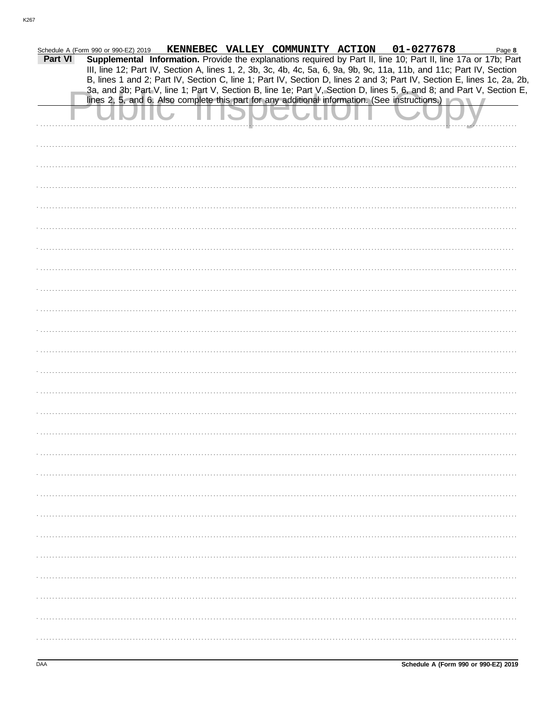|         | Schedule A (Form 990 or 990-EZ) 2019 |  | KENNEBEC VALLEY COMMUNITY ACTION | 01-0277678                                                                                                                                                                                                                                     | Page 8 |
|---------|--------------------------------------|--|----------------------------------|------------------------------------------------------------------------------------------------------------------------------------------------------------------------------------------------------------------------------------------------|--------|
| Part VI |                                      |  |                                  | Supplemental Information. Provide the explanations required by Part II, line 10; Part II, line 17a or 17b; Part                                                                                                                                |        |
|         |                                      |  |                                  | III, line 12; Part IV, Section A, lines 1, 2, 3b, 3c, 4b, 4c, 5a, 6, 9a, 9b, 9c, 11a, 11b, and 11c; Part IV, Section                                                                                                                           |        |
|         |                                      |  |                                  | B, lines 1 and 2; Part IV, Section C, line 1; Part IV, Section D, lines 2 and 3; Part IV, Section E, lines 1c, 2a, 2b,<br>3a, and 3b; Part V, line 1; Part V, Section B, line 1e; Part V, Section D, lines 5, 6, and 8; and Part V, Section E, |        |
|         |                                      |  |                                  | lines 2, 5, and 6. Also complete this part for any additional information. (See instructions.)                                                                                                                                                 |        |
|         |                                      |  |                                  |                                                                                                                                                                                                                                                |        |
|         |                                      |  |                                  |                                                                                                                                                                                                                                                |        |
|         |                                      |  |                                  |                                                                                                                                                                                                                                                |        |
|         |                                      |  |                                  |                                                                                                                                                                                                                                                |        |
|         |                                      |  |                                  |                                                                                                                                                                                                                                                |        |
|         |                                      |  |                                  |                                                                                                                                                                                                                                                |        |
|         |                                      |  |                                  |                                                                                                                                                                                                                                                |        |
|         |                                      |  |                                  |                                                                                                                                                                                                                                                |        |
|         |                                      |  |                                  |                                                                                                                                                                                                                                                |        |
|         |                                      |  |                                  |                                                                                                                                                                                                                                                |        |
|         |                                      |  |                                  |                                                                                                                                                                                                                                                |        |
|         |                                      |  |                                  |                                                                                                                                                                                                                                                |        |
|         |                                      |  |                                  |                                                                                                                                                                                                                                                |        |
|         |                                      |  |                                  |                                                                                                                                                                                                                                                |        |
|         |                                      |  |                                  |                                                                                                                                                                                                                                                |        |
|         |                                      |  |                                  |                                                                                                                                                                                                                                                |        |
|         |                                      |  |                                  |                                                                                                                                                                                                                                                |        |
|         |                                      |  |                                  |                                                                                                                                                                                                                                                |        |
|         |                                      |  |                                  |                                                                                                                                                                                                                                                |        |
|         |                                      |  |                                  |                                                                                                                                                                                                                                                |        |
|         |                                      |  |                                  |                                                                                                                                                                                                                                                |        |
|         |                                      |  |                                  |                                                                                                                                                                                                                                                |        |
|         |                                      |  |                                  |                                                                                                                                                                                                                                                |        |
|         |                                      |  |                                  |                                                                                                                                                                                                                                                |        |
|         |                                      |  |                                  |                                                                                                                                                                                                                                                |        |
|         |                                      |  |                                  |                                                                                                                                                                                                                                                |        |
|         |                                      |  |                                  |                                                                                                                                                                                                                                                |        |
|         |                                      |  |                                  |                                                                                                                                                                                                                                                |        |
|         |                                      |  |                                  |                                                                                                                                                                                                                                                |        |
|         |                                      |  |                                  |                                                                                                                                                                                                                                                |        |
|         |                                      |  |                                  |                                                                                                                                                                                                                                                |        |
|         |                                      |  |                                  |                                                                                                                                                                                                                                                |        |
|         |                                      |  |                                  |                                                                                                                                                                                                                                                |        |
|         |                                      |  |                                  |                                                                                                                                                                                                                                                |        |
|         |                                      |  |                                  |                                                                                                                                                                                                                                                |        |
|         |                                      |  |                                  |                                                                                                                                                                                                                                                |        |
|         |                                      |  |                                  |                                                                                                                                                                                                                                                |        |
|         |                                      |  |                                  |                                                                                                                                                                                                                                                |        |
|         |                                      |  |                                  |                                                                                                                                                                                                                                                |        |
|         |                                      |  |                                  |                                                                                                                                                                                                                                                |        |
|         |                                      |  |                                  |                                                                                                                                                                                                                                                |        |
|         |                                      |  |                                  |                                                                                                                                                                                                                                                |        |
|         |                                      |  |                                  |                                                                                                                                                                                                                                                |        |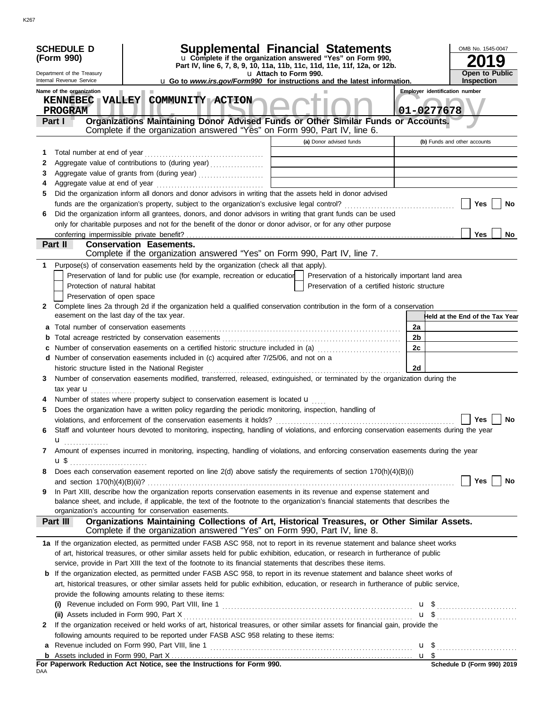|              | <b>SCHEDULE D</b><br>(Form 990)                    | <b>Supplemental Financial Statements</b><br>u Complete if the organization answered "Yes" on Form 990,                                                                                                                                                               |                       |                                                |                                                     | OMB No. 1545-0047<br>9          |
|--------------|----------------------------------------------------|----------------------------------------------------------------------------------------------------------------------------------------------------------------------------------------------------------------------------------------------------------------------|-----------------------|------------------------------------------------|-----------------------------------------------------|---------------------------------|
|              | Department of the Treasury                         | Part IV, line 6, 7, 8, 9, 10, 11a, 11b, 11c, 11d, 11e, 11f, 12a, or 12b.                                                                                                                                                                                             | u Attach to Form 990. |                                                |                                                     | <b>Open to Public</b>           |
|              | Internal Revenue Service                           | u Go to www.irs.gov/Form990 for instructions and the latest information.                                                                                                                                                                                             |                       |                                                |                                                     | <b>Inspection</b>               |
|              | Name of the organization<br><b>PROGRAM</b>         | KENNEBEC VALLEY COMMUNITY ACTION                                                                                                                                                                                                                                     |                       |                                                | <b>Employer identification number</b><br>01-0277678 |                                 |
|              | Part I                                             | Organizations Maintaining Donor Advised Funds or Other Similar Funds or Accounts.<br>Complete if the organization answered "Yes" on Form 990, Part IV, line 6.                                                                                                       |                       |                                                |                                                     |                                 |
|              |                                                    |                                                                                                                                                                                                                                                                      |                       | (a) Donor advised funds                        |                                                     | (b) Funds and other accounts    |
| 1            | Total number at end of year                        |                                                                                                                                                                                                                                                                      |                       |                                                |                                                     |                                 |
| 2            |                                                    |                                                                                                                                                                                                                                                                      |                       |                                                |                                                     |                                 |
| 3            |                                                    |                                                                                                                                                                                                                                                                      |                       |                                                |                                                     |                                 |
| 4            | Aggregate value at end of year                     |                                                                                                                                                                                                                                                                      |                       |                                                |                                                     |                                 |
| 5            |                                                    | Did the organization inform all donors and donor advisors in writing that the assets held in donor advised                                                                                                                                                           |                       |                                                |                                                     |                                 |
|              |                                                    |                                                                                                                                                                                                                                                                      |                       |                                                |                                                     | <b>Yes</b><br>No                |
| 6            |                                                    | Did the organization inform all grantees, donors, and donor advisors in writing that grant funds can be used<br>only for charitable purposes and not for the benefit of the donor or donor advisor, or for any other purpose                                         |                       |                                                |                                                     |                                 |
|              |                                                    |                                                                                                                                                                                                                                                                      |                       |                                                |                                                     | <b>Yes</b><br>No                |
|              | Part II                                            | <b>Conservation Easements.</b>                                                                                                                                                                                                                                       |                       |                                                |                                                     |                                 |
|              |                                                    | Complete if the organization answered "Yes" on Form 990, Part IV, line 7.                                                                                                                                                                                            |                       |                                                |                                                     |                                 |
| 1.           |                                                    | Purpose(s) of conservation easements held by the organization (check all that apply).                                                                                                                                                                                |                       |                                                |                                                     |                                 |
|              |                                                    | Preservation of land for public use (for example, recreation or education   Preservation of a historically important land area                                                                                                                                       |                       |                                                |                                                     |                                 |
|              | Protection of natural habitat                      |                                                                                                                                                                                                                                                                      |                       | Preservation of a certified historic structure |                                                     |                                 |
|              | Preservation of open space                         |                                                                                                                                                                                                                                                                      |                       |                                                |                                                     |                                 |
| $\mathbf{2}$ |                                                    | Complete lines 2a through 2d if the organization held a qualified conservation contribution in the form of a conservation                                                                                                                                            |                       |                                                |                                                     |                                 |
|              | easement on the last day of the tax year.          |                                                                                                                                                                                                                                                                      |                       |                                                |                                                     | Held at the End of the Tax Year |
| а            |                                                    |                                                                                                                                                                                                                                                                      |                       |                                                | 2a                                                  |                                 |
| b            |                                                    |                                                                                                                                                                                                                                                                      |                       |                                                | 2 <sub>b</sub>                                      |                                 |
|              |                                                    | Number of conservation easements on a certified historic structure included in (a)                                                                                                                                                                                   |                       |                                                | 2c                                                  |                                 |
|              | historic structure listed in the National Register | d Number of conservation easements included in (c) acquired after 7/25/06, and not on a                                                                                                                                                                              |                       |                                                | 2d                                                  |                                 |
| 3            |                                                    | Number of conservation easements modified, transferred, released, extinguished, or terminated by the organization during the                                                                                                                                         |                       |                                                |                                                     |                                 |
|              | tax year <b>u</b>                                  |                                                                                                                                                                                                                                                                      |                       |                                                |                                                     |                                 |
|              |                                                    | Number of states where property subject to conservation easement is located <b>u</b>                                                                                                                                                                                 |                       |                                                |                                                     |                                 |
| 5            |                                                    | Does the organization have a written policy regarding the periodic monitoring, inspection, handling of                                                                                                                                                               |                       |                                                |                                                     |                                 |
|              |                                                    | violations, and enforcement of the conservation easements it holds?                                                                                                                                                                                                  |                       |                                                |                                                     | Yes<br><b>No</b>                |
| 6            |                                                    | Staff and volunteer hours devoted to monitoring, inspecting, handling of violations, and enforcing conservation easements during the year                                                                                                                            |                       |                                                |                                                     |                                 |
|              | u                                                  |                                                                                                                                                                                                                                                                      |                       |                                                |                                                     |                                 |
| 7            | $\mathbf{u}$                                       | Amount of expenses incurred in monitoring, inspecting, handling of violations, and enforcing conservation easements during the year                                                                                                                                  |                       |                                                |                                                     |                                 |
| 8            |                                                    | Does each conservation easement reported on line 2(d) above satisfy the requirements of section 170(h)(4)(B)(i)                                                                                                                                                      |                       |                                                |                                                     |                                 |
|              |                                                    |                                                                                                                                                                                                                                                                      |                       |                                                |                                                     | Yes<br><b>No</b>                |
| 9            |                                                    | In Part XIII, describe how the organization reports conservation easements in its revenue and expense statement and<br>balance sheet, and include, if applicable, the text of the footnote to the organization's financial statements that describes the             |                       |                                                |                                                     |                                 |
|              |                                                    | organization's accounting for conservation easements.                                                                                                                                                                                                                |                       |                                                |                                                     |                                 |
|              | Part III                                           | Organizations Maintaining Collections of Art, Historical Treasures, or Other Similar Assets.<br>Complete if the organization answered "Yes" on Form 990, Part IV, line 8.                                                                                            |                       |                                                |                                                     |                                 |
|              |                                                    | 1a If the organization elected, as permitted under FASB ASC 958, not to report in its revenue statement and balance sheet works<br>of art, historical treasures, or other similar assets held for public exhibition, education, or research in furtherance of public |                       |                                                |                                                     |                                 |
|              |                                                    | service, provide in Part XIII the text of the footnote to its financial statements that describes these items.                                                                                                                                                       |                       |                                                |                                                     |                                 |
| b            |                                                    | If the organization elected, as permitted under FASB ASC 958, to report in its revenue statement and balance sheet works of                                                                                                                                          |                       |                                                |                                                     |                                 |
|              |                                                    | art, historical treasures, or other similar assets held for public exhibition, education, or research in furtherance of public service,                                                                                                                              |                       |                                                |                                                     |                                 |
|              |                                                    | provide the following amounts relating to these items:                                                                                                                                                                                                               |                       |                                                |                                                     |                                 |
|              |                                                    |                                                                                                                                                                                                                                                                      |                       |                                                |                                                     |                                 |
|              |                                                    |                                                                                                                                                                                                                                                                      |                       |                                                |                                                     | $\mathbf{u}$ \$                 |
| 2            |                                                    | If the organization received or held works of art, historical treasures, or other similar assets for financial gain, provide the                                                                                                                                     |                       |                                                |                                                     |                                 |
|              |                                                    | following amounts required to be reported under FASB ASC 958 relating to these items:                                                                                                                                                                                |                       |                                                |                                                     |                                 |
| a            |                                                    |                                                                                                                                                                                                                                                                      |                       |                                                |                                                     |                                 |
| b            |                                                    |                                                                                                                                                                                                                                                                      |                       |                                                |                                                     |                                 |
| DAA          |                                                    | For Paperwork Reduction Act Notice, see the Instructions for Form 990.                                                                                                                                                                                               |                       |                                                |                                                     | Schedule D (Form 990) 2019      |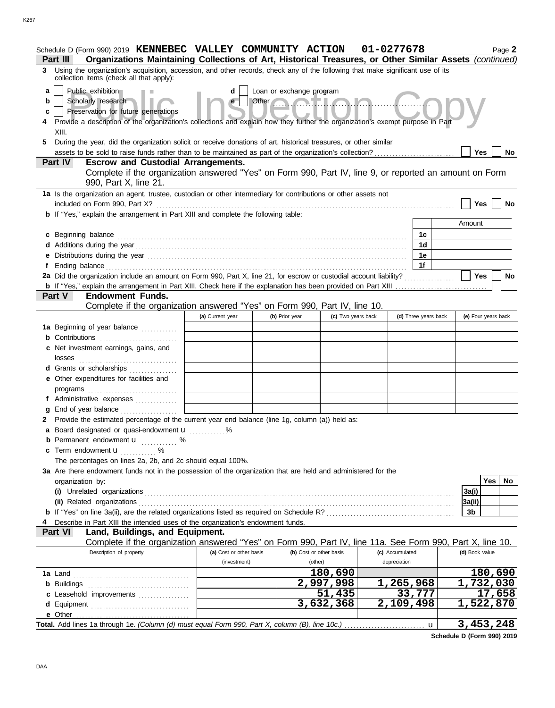|                       | Schedule D (Form 990) 2019 KENNEBEC VALLEY COMMUNITY ACTION<br>Organizations Maintaining Collections of Art, Historical Treasures, or Other Similar Assets (continued)<br><b>Part III</b>                                                                                                                                                      |                         |                                                 |                         | 01-0277678      |                      |                | Page 2              |
|-----------------------|------------------------------------------------------------------------------------------------------------------------------------------------------------------------------------------------------------------------------------------------------------------------------------------------------------------------------------------------|-------------------------|-------------------------------------------------|-------------------------|-----------------|----------------------|----------------|---------------------|
| 3                     | Using the organization's acquisition, accession, and other records, check any of the following that make significant use of its<br>collection items (check all that apply):                                                                                                                                                                    |                         |                                                 |                         |                 |                      |                |                     |
| a<br>b<br>c<br>4<br>5 | Public exhibition<br>Scholarly research<br>Preservation for future generations<br>Provide a description of the organization's collections and explain how they further the organization's exempt purpose in Part<br>XIII.<br>During the year, did the organization solicit or receive donations of art, historical treasures, or other similar | d<br>e                  | Loan or exchange program<br>Other Communication |                         |                 |                      | Yes            | No                  |
|                       | <b>Escrow and Custodial Arrangements.</b><br>Part IV<br>Complete if the organization answered "Yes" on Form 990, Part IV, line 9, or reported an amount on Form<br>990, Part X, line 21.                                                                                                                                                       |                         |                                                 |                         |                 |                      |                |                     |
|                       | 1a Is the organization an agent, trustee, custodian or other intermediary for contributions or other assets not<br>included on Form 990, Part X?                                                                                                                                                                                               |                         |                                                 |                         |                 |                      | Yes            | No                  |
|                       | <b>b</b> If "Yes," explain the arrangement in Part XIII and complete the following table:                                                                                                                                                                                                                                                      |                         |                                                 |                         |                 |                      |                |                     |
|                       |                                                                                                                                                                                                                                                                                                                                                |                         |                                                 |                         |                 |                      | Amount         |                     |
|                       | c Beginning balance                                                                                                                                                                                                                                                                                                                            |                         |                                                 |                         |                 | 1c<br>1 <sub>d</sub> |                |                     |
|                       |                                                                                                                                                                                                                                                                                                                                                |                         |                                                 |                         |                 | 1e                   |                |                     |
|                       |                                                                                                                                                                                                                                                                                                                                                |                         |                                                 |                         |                 | 1f                   |                |                     |
|                       | 2a Did the organization include an amount on Form 990, Part X, line 21, for escrow or custodial account liability?                                                                                                                                                                                                                             |                         |                                                 |                         |                 |                      | Yes            | <b>No</b>           |
|                       |                                                                                                                                                                                                                                                                                                                                                |                         |                                                 |                         |                 |                      |                |                     |
|                       | <b>Endowment Funds.</b><br>Part V                                                                                                                                                                                                                                                                                                              |                         |                                                 |                         |                 |                      |                |                     |
|                       | Complete if the organization answered "Yes" on Form 990, Part IV, line 10.                                                                                                                                                                                                                                                                     |                         |                                                 |                         |                 |                      |                |                     |
|                       | 1a Beginning of year balance                                                                                                                                                                                                                                                                                                                   | (a) Current year        | (b) Prior year                                  | (c) Two years back      |                 | (d) Three years back |                | (e) Four years back |
|                       | <b>b</b> Contributions                                                                                                                                                                                                                                                                                                                         |                         |                                                 |                         |                 |                      |                |                     |
|                       | c Net investment earnings, gains, and                                                                                                                                                                                                                                                                                                          |                         |                                                 |                         |                 |                      |                |                     |
|                       | losses                                                                                                                                                                                                                                                                                                                                         |                         |                                                 |                         |                 |                      |                |                     |
|                       | d Grants or scholarships                                                                                                                                                                                                                                                                                                                       |                         |                                                 |                         |                 |                      |                |                     |
|                       | e Other expenditures for facilities and                                                                                                                                                                                                                                                                                                        |                         |                                                 |                         |                 |                      |                |                     |
|                       |                                                                                                                                                                                                                                                                                                                                                |                         |                                                 |                         |                 |                      |                |                     |
|                       | f Administrative expenses                                                                                                                                                                                                                                                                                                                      |                         |                                                 |                         |                 |                      |                |                     |
| a                     | End of year balance<br>Provide the estimated percentage of the current year end balance (line 1g, column (a)) held as:                                                                                                                                                                                                                         |                         |                                                 |                         |                 |                      |                |                     |
| 2                     | a Board designated or quasi-endowment u                                                                                                                                                                                                                                                                                                        |                         |                                                 |                         |                 |                      |                |                     |
|                       | <b>b</b> Permanent endowment <b>u</b> %                                                                                                                                                                                                                                                                                                        |                         |                                                 |                         |                 |                      |                |                     |
|                       | c Term endowment u<br>.                                                                                                                                                                                                                                                                                                                        |                         |                                                 |                         |                 |                      |                |                     |
|                       | The percentages on lines 2a, 2b, and 2c should equal 100%.                                                                                                                                                                                                                                                                                     |                         |                                                 |                         |                 |                      |                |                     |
|                       | 3a Are there endowment funds not in the possession of the organization that are held and administered for the                                                                                                                                                                                                                                  |                         |                                                 |                         |                 |                      |                |                     |
|                       | organization by:                                                                                                                                                                                                                                                                                                                               |                         |                                                 |                         |                 |                      |                | Yes<br>No           |
|                       |                                                                                                                                                                                                                                                                                                                                                |                         |                                                 |                         |                 |                      | 3a(i)          |                     |
|                       |                                                                                                                                                                                                                                                                                                                                                |                         |                                                 |                         |                 |                      | 3a(ii)<br>3b   |                     |
|                       | Describe in Part XIII the intended uses of the organization's endowment funds.                                                                                                                                                                                                                                                                 |                         |                                                 |                         |                 |                      |                |                     |
|                       | Land, Buildings, and Equipment.<br><b>Part VI</b>                                                                                                                                                                                                                                                                                              |                         |                                                 |                         |                 |                      |                |                     |
|                       | Complete if the organization answered "Yes" on Form 990, Part IV, line 11a. See Form 990, Part X, line 10.                                                                                                                                                                                                                                     |                         |                                                 |                         |                 |                      |                |                     |
|                       | Description of property                                                                                                                                                                                                                                                                                                                        | (a) Cost or other basis |                                                 | (b) Cost or other basis | (c) Accumulated |                      | (d) Book value |                     |
|                       |                                                                                                                                                                                                                                                                                                                                                | (investment)            |                                                 | (other)                 | depreciation    |                      |                |                     |
|                       |                                                                                                                                                                                                                                                                                                                                                |                         |                                                 | 180,690                 |                 |                      |                | 180,690             |
|                       | <b>b</b> Buildings                                                                                                                                                                                                                                                                                                                             |                         |                                                 | 2,997,998<br>51,435     | 1,265,968       | 33,777               |                | 1,732,030<br>17,658 |
|                       | c Leasehold improvements<br>d Equipment                                                                                                                                                                                                                                                                                                        |                         |                                                 | 3,632,368               | 2,109,498       |                      |                | 1,522,870           |
|                       |                                                                                                                                                                                                                                                                                                                                                |                         |                                                 |                         |                 |                      |                |                     |
|                       |                                                                                                                                                                                                                                                                                                                                                |                         |                                                 |                         |                 | $\mathbf{u}$         |                | 3,453,248           |

**Schedule D (Form 990) 2019**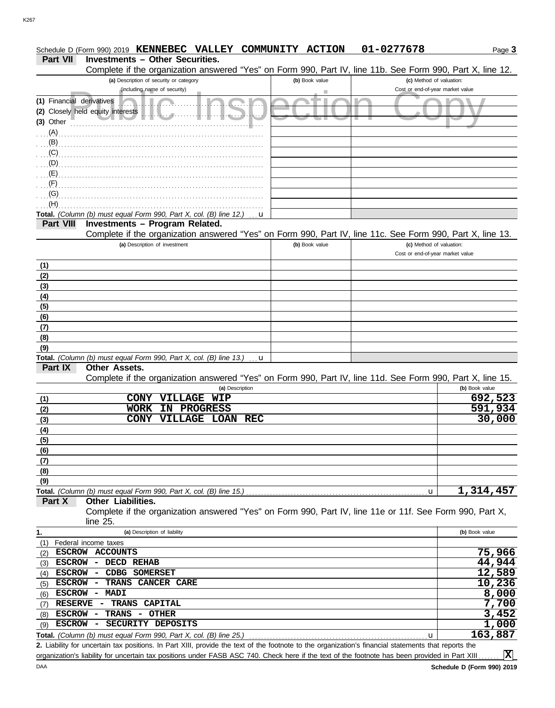|                                  | Schedule D (Form 990) 2019 KENNEBEC VALLEY COMMUNITY ACTION                                                                                          |                | 01-0277678                                                   | Page 3             |
|----------------------------------|------------------------------------------------------------------------------------------------------------------------------------------------------|----------------|--------------------------------------------------------------|--------------------|
| Part VII                         | <b>Investments - Other Securities.</b>                                                                                                               |                |                                                              |                    |
|                                  | Complete if the organization answered "Yes" on Form 990, Part IV, line 11b. See Form 990, Part X, line 12.                                           |                |                                                              |                    |
|                                  | (a) Description of security or category<br>(including name of security)                                                                              | (b) Book value | (c) Method of valuation:<br>Cost or end-of-year market value |                    |
|                                  |                                                                                                                                                      |                |                                                              |                    |
| (1) Financial derivatives        |                                                                                                                                                      |                |                                                              |                    |
| (3) Other                        | (2) Closely held equity interests                                                                                                                    |                |                                                              |                    |
|                                  |                                                                                                                                                      |                |                                                              |                    |
| $\ldots$ (A) $\ldots$<br>$(B)$ . |                                                                                                                                                      |                |                                                              |                    |
|                                  | (C)                                                                                                                                                  |                |                                                              |                    |
|                                  |                                                                                                                                                      |                |                                                              |                    |
|                                  |                                                                                                                                                      |                |                                                              |                    |
| (F)                              |                                                                                                                                                      |                |                                                              |                    |
| (G)                              |                                                                                                                                                      |                |                                                              |                    |
| (H)                              |                                                                                                                                                      |                |                                                              |                    |
|                                  | Total. (Column (b) must equal Form 990, Part X, col. (B) line 12.)                                                                                   | u              |                                                              |                    |
| <b>Part VIII</b>                 | Investments - Program Related.                                                                                                                       |                |                                                              |                    |
|                                  | Complete if the organization answered "Yes" on Form 990, Part IV, line 11c. See Form 990, Part X, line 13.                                           |                |                                                              |                    |
|                                  | (a) Description of investment                                                                                                                        | (b) Book value | (c) Method of valuation:                                     |                    |
|                                  |                                                                                                                                                      |                | Cost or end-of-year market value                             |                    |
| (1)                              |                                                                                                                                                      |                |                                                              |                    |
| (2)                              |                                                                                                                                                      |                |                                                              |                    |
| (3)                              |                                                                                                                                                      |                |                                                              |                    |
| (4)                              |                                                                                                                                                      |                |                                                              |                    |
| (5)                              |                                                                                                                                                      |                |                                                              |                    |
| (6)                              |                                                                                                                                                      |                |                                                              |                    |
| (7)                              |                                                                                                                                                      |                |                                                              |                    |
| (8)                              |                                                                                                                                                      |                |                                                              |                    |
| (9)                              |                                                                                                                                                      |                |                                                              |                    |
|                                  | Total. (Column (b) must equal Form 990, Part X, col. (B) line 13.)                                                                                   | u              |                                                              |                    |
| Part IX                          | Other Assets.                                                                                                                                        |                |                                                              |                    |
|                                  | Complete if the organization answered "Yes" on Form 990, Part IV, line 11d. See Form 990, Part X, line 15.                                           |                |                                                              |                    |
|                                  | (a) Description                                                                                                                                      |                |                                                              | (b) Book value     |
| (1)                              | <b>CONY</b><br>VILLAGE<br><b>WIP</b><br><b>PROGRESS</b><br><b>WORK</b><br>IN                                                                         |                |                                                              | 692,523<br>591,934 |
| (2)                              | <b>VILLAGE</b><br><b>CONY</b><br><b>LOAN</b><br><b>REC</b>                                                                                           |                |                                                              | 30,000             |
| (3)                              |                                                                                                                                                      |                |                                                              |                    |
| (4)                              |                                                                                                                                                      |                |                                                              |                    |
| <u>(5)</u>                       |                                                                                                                                                      |                |                                                              |                    |
| (6)                              |                                                                                                                                                      |                |                                                              |                    |
| (7)<br>(8)                       |                                                                                                                                                      |                |                                                              |                    |
| (9)                              |                                                                                                                                                      |                |                                                              |                    |
|                                  | Total. (Column (b) must equal Form 990, Part X, col. (B) line 15.)                                                                                   |                | u                                                            | 1,314,457          |
| Part X                           | <b>Other Liabilities.</b>                                                                                                                            |                |                                                              |                    |
|                                  | Complete if the organization answered "Yes" on Form 990, Part IV, line 11e or 11f. See Form 990, Part X,                                             |                |                                                              |                    |
|                                  | line 25.                                                                                                                                             |                |                                                              |                    |
| 1.                               | (a) Description of liability                                                                                                                         |                |                                                              | (b) Book value     |
| (1)                              | Federal income taxes                                                                                                                                 |                |                                                              |                    |
| (2)                              | ESCROW ACCOUNTS                                                                                                                                      |                |                                                              | 75,966             |
| (3)                              | ESCROW - DECD REHAB                                                                                                                                  |                |                                                              | 44,944             |
| (4)                              | ESCROW - CDBG SOMERSET                                                                                                                               |                |                                                              | 12,589             |
| <b>ESCROW</b><br>(5)             | TRANS CANCER CARE<br>$\sim$                                                                                                                          |                |                                                              | 10,236             |
| (6)                              | ESCROW - MADI                                                                                                                                        |                |                                                              | 8,000              |
| <b>RESERVE</b><br>(7)            | TRANS<br>CAPITAL<br>$\overline{\phantom{0}}$                                                                                                         |                |                                                              | 7,700              |
| (8)                              | ESCROW - TRANS - OTHER                                                                                                                               |                |                                                              | 3,452              |
| <b>ESCROW</b><br>(9)             | SECURITY DEPOSITS<br>$\sim$                                                                                                                          |                |                                                              | 1,000              |
|                                  | Total. (Column (b) must equal Form 990, Part X, col. (B) line 25.)                                                                                   |                | u                                                            | 163,887            |
|                                  | 2. Liability for uncertain tax positions. In Part XIII, provide the text of the footnote to the organization's financial statements that reports the |                |                                                              |                    |

organization's liability for uncertain tax positions under FASB ASC 740. Check here if the text of the footnote has been provided in Part XIII.

**X**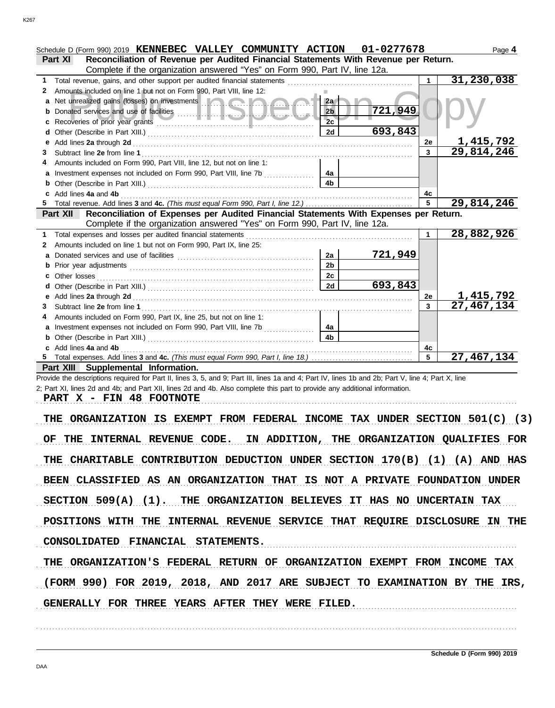| Schedule D (Form 990) 2019 KENNEBEC VALLEY COMMUNITY ACTION 01-0277678                                                                                                                                                                   |                |         |                 | Page 4           |  |  |
|------------------------------------------------------------------------------------------------------------------------------------------------------------------------------------------------------------------------------------------|----------------|---------|-----------------|------------------|--|--|
| Reconciliation of Revenue per Audited Financial Statements With Revenue per Return.<br>Part XI                                                                                                                                           |                |         |                 |                  |  |  |
| Complete if the organization answered "Yes" on Form 990, Part IV, line 12a.                                                                                                                                                              |                |         |                 |                  |  |  |
| 1                                                                                                                                                                                                                                        |                |         | $\mathbf 1$     | 31,230,038       |  |  |
| Amounts included on line 1 but not on Form 990, Part VIII, line 12:<br>2                                                                                                                                                                 |                |         |                 |                  |  |  |
| a Net unrealized gains (losses) on investments <b>and a state of the state of the state of the state of the state of the state of the state of the state of the state of the state of the state of the state of the state of the</b>     | 2a             |         |                 |                  |  |  |
|                                                                                                                                                                                                                                          | 2 <sub>b</sub> | 721,949 |                 |                  |  |  |
|                                                                                                                                                                                                                                          | 2c             |         |                 |                  |  |  |
|                                                                                                                                                                                                                                          |                | 693,843 |                 |                  |  |  |
|                                                                                                                                                                                                                                          | 2d             |         |                 |                  |  |  |
| е                                                                                                                                                                                                                                        |                |         | 2e              | 1, 415, 792      |  |  |
| 3                                                                                                                                                                                                                                        |                |         | $\overline{3}$  | 29,814,246       |  |  |
| Amounts included on Form 990, Part VIII, line 12, but not on line 1:                                                                                                                                                                     |                |         |                 |                  |  |  |
| a Investment expenses not included on Form 990, Part VIII, line 7b                                                                                                                                                                       | 4a             |         |                 |                  |  |  |
|                                                                                                                                                                                                                                          | 4 <sub>b</sub> |         |                 |                  |  |  |
| Add lines 4a and 4b <b>container and 4b</b> and 4b and 4b and 4b and 4b and 4b and 4b and 4b and 4b and 4b and 4b and 4b and 4b and 4b and 4b and 4b and 4b and 4b and 4b and 4b and 4b and 4b and 4b and 4b and 4b and 4b and 4b a<br>C |                |         | 4с              |                  |  |  |
|                                                                                                                                                                                                                                          |                |         | 5               | 29,814,246       |  |  |
| Reconciliation of Expenses per Audited Financial Statements With Expenses per Return.<br><b>Part XII</b>                                                                                                                                 |                |         |                 |                  |  |  |
| Complete if the organization answered "Yes" on Form 990, Part IV, line 12a.                                                                                                                                                              |                |         |                 |                  |  |  |
| Total expenses and losses per audited financial statements<br>1                                                                                                                                                                          |                |         | $\mathbf 1$     | 28,882,926       |  |  |
| Amounts included on line 1 but not on Form 990, Part IX, line 25:<br>2                                                                                                                                                                   |                |         |                 |                  |  |  |
|                                                                                                                                                                                                                                          | 2a             | 721,949 |                 |                  |  |  |
|                                                                                                                                                                                                                                          | 2 <sub>b</sub> |         |                 |                  |  |  |
|                                                                                                                                                                                                                                          | 2c             |         |                 |                  |  |  |
|                                                                                                                                                                                                                                          |                |         |                 |                  |  |  |
|                                                                                                                                                                                                                                          | 2d             | 693,843 |                 |                  |  |  |
|                                                                                                                                                                                                                                          |                |         | <b>2e</b>       | <u>1,415,792</u> |  |  |
| 3                                                                                                                                                                                                                                        |                |         | $\mathbf{3}$    | 27,467,134       |  |  |
| Amounts included on Form 990, Part IX, line 25, but not on line 1:                                                                                                                                                                       |                |         |                 |                  |  |  |
| a Investment expenses not included on Form 990, Part VIII, line 7b                                                                                                                                                                       | 4a             |         |                 |                  |  |  |
|                                                                                                                                                                                                                                          | 4 <sub>b</sub> |         |                 |                  |  |  |
| c Add lines 4a and 4b                                                                                                                                                                                                                    |                |         | 4с              |                  |  |  |
|                                                                                                                                                                                                                                          |                |         | $5\overline{5}$ | 27,467,134       |  |  |
| Part XIII Supplemental Information.                                                                                                                                                                                                      |                |         |                 |                  |  |  |
| Provide the descriptions required for Part II, lines 3, 5, and 9; Part III, lines 1a and 4; Part IV, lines 1b and 2b; Part V, line 4; Part X, line                                                                                       |                |         |                 |                  |  |  |
| 2; Part XI, lines 2d and 4b; and Part XII, lines 2d and 4b. Also complete this part to provide any additional information.                                                                                                               |                |         |                 |                  |  |  |
| PART X - FIN 48 FOOTNOTE                                                                                                                                                                                                                 |                |         |                 |                  |  |  |
|                                                                                                                                                                                                                                          |                |         |                 |                  |  |  |
| THE ORGANIZATION IS EXEMPT FROM FEDERAL INCOME TAX UNDER SECTION 501(C) (3)                                                                                                                                                              |                |         |                 |                  |  |  |
|                                                                                                                                                                                                                                          |                |         |                 |                  |  |  |
| OF THE INTERNAL REVENUE CODE. IN ADDITION, THE ORGANIZATION QUALIFIES FOR                                                                                                                                                                |                |         |                 |                  |  |  |
|                                                                                                                                                                                                                                          |                |         |                 |                  |  |  |
|                                                                                                                                                                                                                                          |                |         |                 |                  |  |  |
| THE CHARITABLE CONTRIBUTION DEDUCTION UNDER SECTION 170(B) (1) (A) AND HAS                                                                                                                                                               |                |         |                 |                  |  |  |
|                                                                                                                                                                                                                                          |                |         |                 |                  |  |  |
| BEEN CLASSIFIED AS AN ORGANIZATION THAT IS NOT A PRIVATE FOUNDATION UNDER                                                                                                                                                                |                |         |                 |                  |  |  |
|                                                                                                                                                                                                                                          |                |         |                 |                  |  |  |
| SECTION 509(A) (1). THE ORGANIZATION BELIEVES IT HAS NO UNCERTAIN TAX                                                                                                                                                                    |                |         |                 |                  |  |  |
|                                                                                                                                                                                                                                          |                |         |                 |                  |  |  |
| POSITIONS WITH THE INTERNAL REVENUE SERVICE THAT REQUIRE DISCLOSURE IN THE                                                                                                                                                               |                |         |                 |                  |  |  |
|                                                                                                                                                                                                                                          |                |         |                 |                  |  |  |
| CONSOLIDATED FINANCIAL STATEMENTS.                                                                                                                                                                                                       |                |         |                 |                  |  |  |
|                                                                                                                                                                                                                                          |                |         |                 |                  |  |  |
| THE ORGANIZATION'S FEDERAL RETURN OF ORGANIZATION EXEMPT FROM INCOME TAX                                                                                                                                                                 |                |         |                 |                  |  |  |
|                                                                                                                                                                                                                                          |                |         |                 |                  |  |  |
| (FORM 990) FOR 2019, 2018, AND 2017 ARE SUBJECT TO EXAMINATION BY THE IRS,                                                                                                                                                               |                |         |                 |                  |  |  |
|                                                                                                                                                                                                                                          |                |         |                 |                  |  |  |
|                                                                                                                                                                                                                                          |                |         |                 |                  |  |  |
| GENERALLY FOR THREE YEARS AFTER THEY WERE FILED.                                                                                                                                                                                         |                |         |                 |                  |  |  |
|                                                                                                                                                                                                                                          |                |         |                 |                  |  |  |
|                                                                                                                                                                                                                                          |                |         |                 |                  |  |  |
|                                                                                                                                                                                                                                          |                |         |                 |                  |  |  |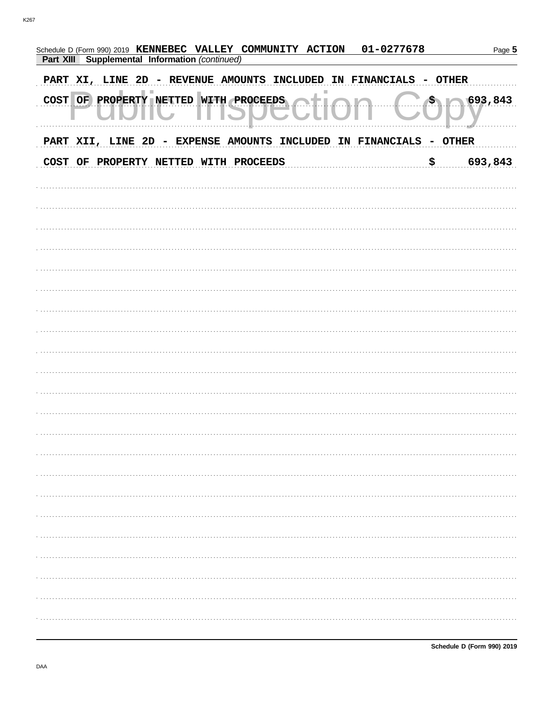| 01-0277678<br>Schedule D (Form 990) 2019 KENNEBEC VALLEY COMMUNITY ACTION<br>Part XIII Supplemental Information (continued) |                             | Page 5  |
|-----------------------------------------------------------------------------------------------------------------------------|-----------------------------|---------|
| PART XI, LINE 2D - REVENUE AMOUNTS INCLUDED<br><b>FINANCIALS</b><br>IN                                                      | <b>OTHER</b>                |         |
| COST OF PROPERTY NETTED WITH PROCEEDS                                                                                       | $\mathcal{S}_{\mathcal{A}}$ | 693,843 |
| PART XII, LINE 2D - EXPENSE AMOUNTS INCLUDED<br>IN FINANCIALS                                                               | - OTHER                     |         |
| COST OF PROPERTY NETTED WITH PROCEEDS                                                                                       | \$                          | 693,843 |
|                                                                                                                             |                             |         |
|                                                                                                                             |                             |         |
|                                                                                                                             |                             |         |
|                                                                                                                             |                             |         |
|                                                                                                                             |                             |         |
|                                                                                                                             |                             |         |
|                                                                                                                             |                             |         |
|                                                                                                                             |                             |         |
|                                                                                                                             |                             |         |
|                                                                                                                             |                             |         |
|                                                                                                                             |                             |         |
|                                                                                                                             |                             |         |
|                                                                                                                             |                             |         |
|                                                                                                                             |                             |         |
|                                                                                                                             |                             |         |
|                                                                                                                             |                             |         |
|                                                                                                                             |                             |         |
|                                                                                                                             |                             |         |
|                                                                                                                             |                             |         |
|                                                                                                                             |                             |         |
|                                                                                                                             |                             |         |
|                                                                                                                             |                             |         |
|                                                                                                                             |                             |         |
|                                                                                                                             |                             |         |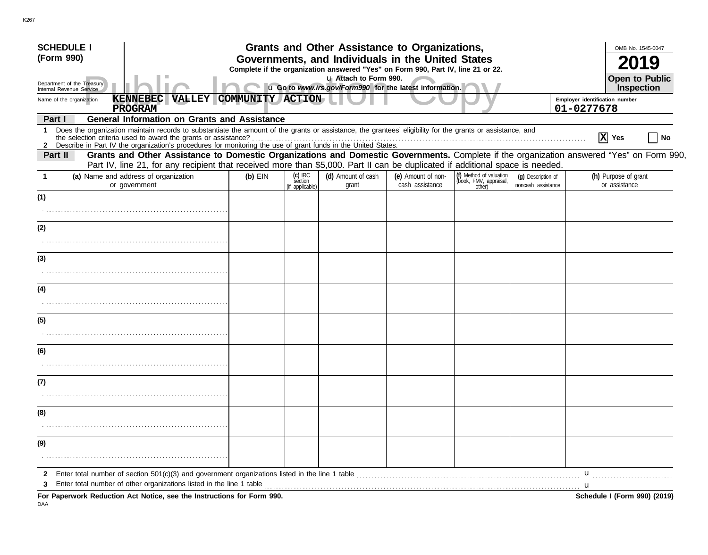| <b>SCHEDULE I</b>                                      |                                                                                                                                                                                                                                                                               |                  |                                       | Grants and Other Assistance to Organizations,                                                                                         |                                       |                                                             |                                          |                                       | OMB No. 1545-0047                   |
|--------------------------------------------------------|-------------------------------------------------------------------------------------------------------------------------------------------------------------------------------------------------------------------------------------------------------------------------------|------------------|---------------------------------------|---------------------------------------------------------------------------------------------------------------------------------------|---------------------------------------|-------------------------------------------------------------|------------------------------------------|---------------------------------------|-------------------------------------|
| (Form 990)                                             |                                                                                                                                                                                                                                                                               |                  |                                       | Governments, and Individuals in the United States<br>Complete if the organization answered "Yes" on Form 990, Part IV, line 21 or 22. |                                       |                                                             |                                          |                                       |                                     |
| Department of the Treasury<br>Internal Revenue Service |                                                                                                                                                                                                                                                                               |                  |                                       | u Attach to Form 990.<br>u Go to www.irs.gov/Form990 for the latest information.                                                      |                                       |                                                             |                                          |                                       | <b>Open to Public</b><br>Inspection |
| Name of the organization                               | <b>KENNEBEC VALLEY</b>                                                                                                                                                                                                                                                        | COMMUNITY ACTION |                                       |                                                                                                                                       |                                       |                                                             |                                          | Employer identification number        |                                     |
| Part I                                                 | <b>PROGRAM</b><br><b>General Information on Grants and Assistance</b>                                                                                                                                                                                                         |                  |                                       |                                                                                                                                       |                                       |                                                             |                                          | 01-0277678                            |                                     |
| 1                                                      | Does the organization maintain records to substantiate the amount of the grants or assistance, the grantees' eligibility for the grants or assistance, and<br>2 Describe in Part IV the organization's procedures for monitoring the use of grant funds in the United States. |                  |                                       |                                                                                                                                       |                                       |                                                             |                                          | $ \mathbf{X} $ Yes                    | No                                  |
| Part II                                                | Grants and Other Assistance to Domestic Organizations and Domestic Governments. Complete if the organization answered "Yes" on Form 990,<br>Part IV, line 21, for any recipient that received more than \$5,000. Part II can be duplicated if additional space is needed.     |                  |                                       |                                                                                                                                       |                                       |                                                             |                                          |                                       |                                     |
|                                                        | (a) Name and address of organization<br>or government                                                                                                                                                                                                                         | $(b)$ EIN        | (c) IRC<br>section<br>(if applicable) | (d) Amount of cash<br>grant                                                                                                           | (e) Amount of non-<br>cash assistance | (f) Method of valuation<br>(book, FMV, appraisal,<br>other) | (g) Description of<br>noncash assistance | (h) Purpose of grant<br>or assistance |                                     |
| (1)                                                    |                                                                                                                                                                                                                                                                               |                  |                                       |                                                                                                                                       |                                       |                                                             |                                          |                                       |                                     |
| (2)                                                    |                                                                                                                                                                                                                                                                               |                  |                                       |                                                                                                                                       |                                       |                                                             |                                          |                                       |                                     |
| (3)                                                    |                                                                                                                                                                                                                                                                               |                  |                                       |                                                                                                                                       |                                       |                                                             |                                          |                                       |                                     |
|                                                        |                                                                                                                                                                                                                                                                               |                  |                                       |                                                                                                                                       |                                       |                                                             |                                          |                                       |                                     |
| (4)                                                    |                                                                                                                                                                                                                                                                               |                  |                                       |                                                                                                                                       |                                       |                                                             |                                          |                                       |                                     |
| (5)                                                    |                                                                                                                                                                                                                                                                               |                  |                                       |                                                                                                                                       |                                       |                                                             |                                          |                                       |                                     |
|                                                        |                                                                                                                                                                                                                                                                               |                  |                                       |                                                                                                                                       |                                       |                                                             |                                          |                                       |                                     |
| (6)                                                    |                                                                                                                                                                                                                                                                               |                  |                                       |                                                                                                                                       |                                       |                                                             |                                          |                                       |                                     |
| (7)                                                    |                                                                                                                                                                                                                                                                               |                  |                                       |                                                                                                                                       |                                       |                                                             |                                          |                                       |                                     |
| (8)                                                    |                                                                                                                                                                                                                                                                               |                  |                                       |                                                                                                                                       |                                       |                                                             |                                          |                                       |                                     |
| (9)                                                    |                                                                                                                                                                                                                                                                               |                  |                                       |                                                                                                                                       |                                       |                                                             |                                          |                                       |                                     |
|                                                        |                                                                                                                                                                                                                                                                               |                  |                                       |                                                                                                                                       |                                       |                                                             |                                          |                                       |                                     |
| $\mathbf{2}$<br>3                                      | Enter total number of other organizations listed in the line 1 table <i>manufacture in the series contained in the line</i> 1 table manufacture in the line of the line 1 table manufacture in the line of the line of the line of                                            |                  |                                       |                                                                                                                                       |                                       |                                                             |                                          | u                                     |                                     |
|                                                        | For Paperwork Reduction Act Notice, see the Instructions for Form 990.                                                                                                                                                                                                        |                  |                                       |                                                                                                                                       |                                       |                                                             |                                          | Schedule I (Form 990) (2019)          |                                     |

K267

DAA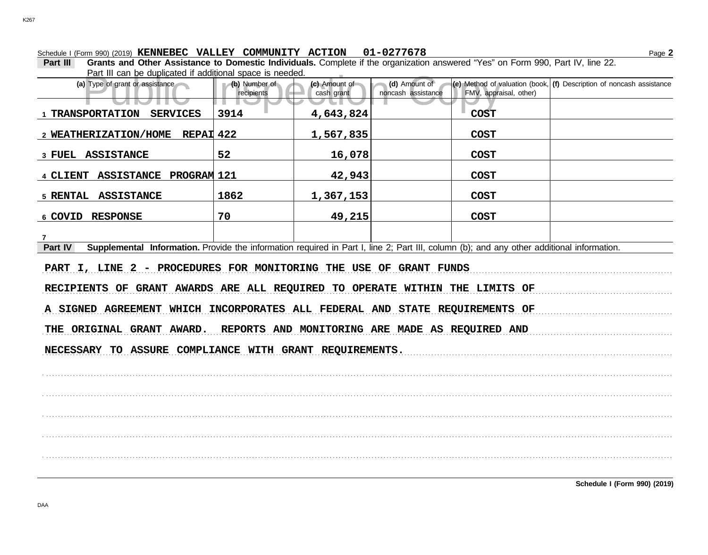Schedule I (Form 990) (2019) Page **2 KENNEBEC VALLEY COMMUNITY ACTION 01-0277678**

**Part III Grants and Other Assistance to Domestic Individuals.** Complete if the organization answered "Yes" on Form 990, Part IV, line 22. Part III can be duplicated if additional space is needed.

| Part in can be duplicated if additional space is needed.                                                                                             |                                                 |                             |                                     |                        |                                                                                                                          |
|------------------------------------------------------------------------------------------------------------------------------------------------------|-------------------------------------------------|-----------------------------|-------------------------------------|------------------------|--------------------------------------------------------------------------------------------------------------------------|
| (a) Type of grant or assistance                                                                                                                      | (b) Number of<br>recipients                     | (c) Amount of<br>cash grant | (d) Amount of<br>noncash assistance | FMV, appraisal, other) | $\left  \textbf{(e)} \right $ Method of valuation (book, $\left  \textbf{(f)} \right $ Description of noncash assistance |
| . .<br>1 TRANSPORTATION SERVICES                                                                                                                     | 3914                                            | 4,643,824                   |                                     | <b>COST</b>            |                                                                                                                          |
| 2 WEATHERIZATION/HOME REPAI 422                                                                                                                      |                                                 | 1,567,835                   |                                     | <b>COST</b>            |                                                                                                                          |
| 3 FUEL ASSISTANCE                                                                                                                                    | 52                                              | 16,078                      |                                     | <b>COST</b>            |                                                                                                                          |
| 4 CLIENT ASSISTANCE PROGRAM 121                                                                                                                      |                                                 | 42,943                      |                                     | <b>COST</b>            |                                                                                                                          |
| 5 RENTAL ASSISTANCE                                                                                                                                  | 1862                                            | 1,367,153                   |                                     | <b>COST</b>            |                                                                                                                          |
| 6 COVID RESPONSE                                                                                                                                     | 70                                              | 49,215                      |                                     | <b>COST</b>            |                                                                                                                          |
| $\mathbf{7}$                                                                                                                                         |                                                 |                             |                                     |                        |                                                                                                                          |
| Supplemental Information. Provide the information required in Part I, line 2; Part III, column (b); and any other additional information.<br>Part IV |                                                 |                             |                                     |                        |                                                                                                                          |
| PART I, LINE 2 - PROCEDURES FOR MONITORING THE USE OF GRANT FUNDS                                                                                    |                                                 |                             |                                     |                        |                                                                                                                          |
| RECIPIENTS OF GRANT AWARDS ARE ALL REQUIRED TO OPERATE WITHIN THE LIMITS OF                                                                          |                                                 |                             |                                     |                        |                                                                                                                          |
| A SIGNED AGREEMENT WHICH INCORPORATES ALL FEDERAL AND STATE REQUIREMENTS OF                                                                          |                                                 |                             |                                     |                        |                                                                                                                          |
| THE ORIGINAL GRANT AWARD.                                                                                                                            | REPORTS AND MONITORING ARE MADE AS REQUIRED AND |                             |                                     |                        |                                                                                                                          |
| NECESSARY TO ASSURE COMPLIANCE WITH GRANT REQUIREMENTS.                                                                                              |                                                 |                             |                                     |                        |                                                                                                                          |
|                                                                                                                                                      |                                                 |                             |                                     |                        |                                                                                                                          |
|                                                                                                                                                      |                                                 |                             |                                     |                        |                                                                                                                          |
|                                                                                                                                                      |                                                 |                             |                                     |                        |                                                                                                                          |
|                                                                                                                                                      |                                                 |                             |                                     |                        |                                                                                                                          |
|                                                                                                                                                      |                                                 |                             |                                     |                        |                                                                                                                          |
|                                                                                                                                                      |                                                 |                             |                                     |                        |                                                                                                                          |
|                                                                                                                                                      |                                                 |                             |                                     |                        |                                                                                                                          |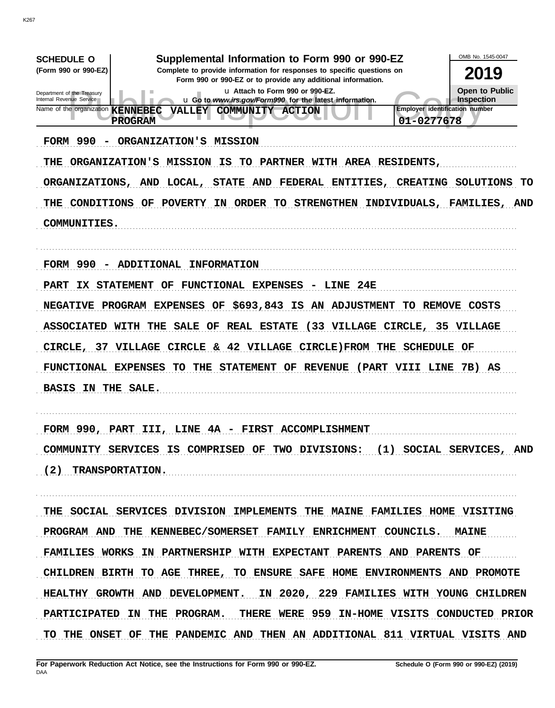| OMB No. 1545-0047<br>Supplemental Information to Form 990 or 990-EZ<br><b>SCHEDULE O</b><br>(Form 990 or 990-EZ)<br>Complete to provide information for responses to specific questions on<br>2019<br>Form 990 or 990-EZ or to provide any additional information.<br>Open to Public<br>u Attach to Form 990 or 990-EZ.<br>Department of the Treasury<br>Internal Revenue Service<br>Inspection<br>u Go to www.irs.gov/Form990 for the latest information.<br><b>Employer identification number</b><br>Name of the organization <b>KENNEBEC</b><br><b>VALLEY</b><br><b>COMMUNITY</b><br><b>ACTION</b><br><b>PROGRAM</b><br>01-0277678<br>FORM 990 -<br>ORGANIZATION'S MISSION<br>ORGANIZATION'S MISSION<br>IS<br>TO<br>PARTNER WITH AREA RESIDENTS,<br>THE .<br>ORGANIZATIONS, AND LOCAL,<br><b>STATE AND</b><br>FEDERAL ENTITIES, CREATING SOLUTIONS<br>CONDITIONS OF POVERTY<br>IN ORDER TO STRENGTHEN INDIVIDUALS, FAMILIES, AND<br>THE<br><b>COMMUNITIES.</b> | TO |
|-------------------------------------------------------------------------------------------------------------------------------------------------------------------------------------------------------------------------------------------------------------------------------------------------------------------------------------------------------------------------------------------------------------------------------------------------------------------------------------------------------------------------------------------------------------------------------------------------------------------------------------------------------------------------------------------------------------------------------------------------------------------------------------------------------------------------------------------------------------------------------------------------------------------------------------------------------------------|----|
| FORM 990 - ADDITIONAL INFORMATION<br>IX STATEMENT OF FUNCTIONAL EXPENSES - LINE 24E<br><b>PART</b><br>NEGATIVE PROGRAM EXPENSES OF \$693,843 IS AN ADJUSTMENT TO REMOVE COSTS<br>ASSOCIATED WITH THE SALE OF REAL ESTATE (33 VILLAGE CIRCLE, 35 VILLAGE<br>CIRCLE, 37 VILLAGE CIRCLE & 42 VILLAGE CIRCLE) FROM THE SCHEDULE OF<br>FUNCTIONAL EXPENSES TO THE STATEMENT OF REVENUE (PART VIII LINE 7B) AS<br>BASIS IN THE SALE.                                                                                                                                                                                                                                                                                                                                                                                                                                                                                                                                    |    |
| FORM 990, PART III, LINE 4A - FIRST ACCOMPLISHMENT<br>COMMUNITY SERVICES IS COMPRISED OF TWO DIVISIONS: (1) SOCIAL SERVICES, AND<br>(2) TRANSPORTATION.                                                                                                                                                                                                                                                                                                                                                                                                                                                                                                                                                                                                                                                                                                                                                                                                           |    |
| THE SOCIAL SERVICES DIVISION IMPLEMENTS THE MAINE FAMILIES HOME VISITING<br>PROGRAM AND THE KENNEBEC/SOMERSET FAMILY ENRICHMENT COUNCILS. MAINE<br>FAMILIES WORKS IN PARTNERSHIP WITH EXPECTANT PARENTS AND PARENTS OF<br>CHILDREN BIRTH TO AGE THREE, TO ENSURE SAFE HOME ENVIRONMENTS AND PROMOTE<br>HEALTHY GROWTH AND DEVELOPMENT. IN 2020, 229 FAMILIES WITH YOUNG CHILDREN<br>PARTICIPATED IN THE PROGRAM. THERE WERE 959 IN-HOME VISITS CONDUCTED PRIOR<br>TO THE ONSET OF THE PANDEMIC AND THEN AN ADDITIONAL 811 VIRTUAL VISITS AND                                                                                                                                                                                                                                                                                                                                                                                                                      |    |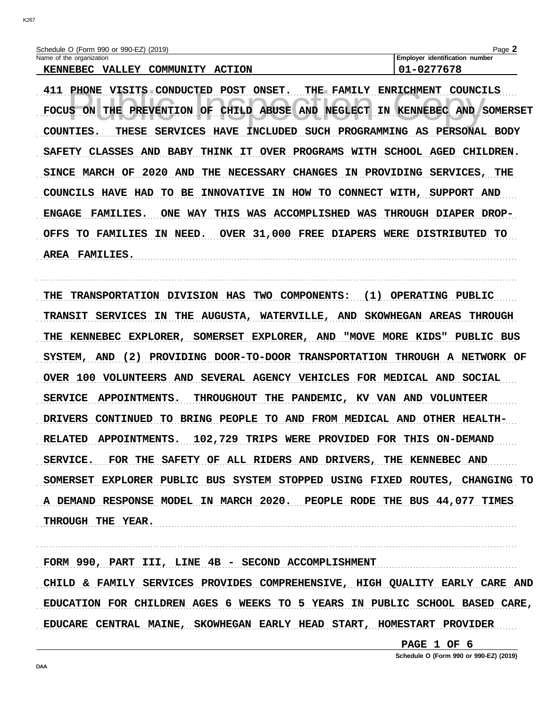| Schedule O (Form 990 or 990-EZ) (2019)               | Page $\blacktriangle$          |
|------------------------------------------------------|--------------------------------|
| Name of the organization                             | Employer identification number |
| <b>VALLEY</b><br>COMMUNITY ACTION<br><b>KENNEBEC</b> | $01 - 0277678$                 |

411 PHONE VISITS CONDUCTED POST ONSET. THE FAMILY ENRICHMENT COUNCILS FOCUS ON THE PREVENTION OF CHILD ABUSE AND NEGLECT IN KENNEBEC AND SOMERSET COUNTIES. THESE SERVICES HAVE INCLUDED SUCH PROGRAMMING AS PERSONAL BODY SAFETY CLASSES AND BABY THINK IT OVER PROGRAMS WITH SCHOOL AGED CHILDREN. SINCE MARCH OF 2020 AND THE NECESSARY CHANGES IN PROVIDING SERVICES, THE COUNCILS HAVE HAD TO BE INNOVATIVE IN HOW TO CONNECT WITH, SUPPORT AND ENGAGE FAMILIES. ONE WAY THIS WAS ACCOMPLISHED WAS THROUGH DIAPER DROP-OFFS TO FAMILIES IN NEED. OVER 31,000 FREE DIAPERS WERE DISTRIBUTED TO AREA FAMILIES.

THE TRANSPORTATION DIVISION HAS TWO COMPONENTS: (1) OPERATING PUBLIC TRANSIT SERVICES IN THE AUGUSTA, WATERVILLE, AND SKOWHEGAN AREAS THROUGH THE KENNEBEC EXPLORER, SOMERSET EXPLORER, AND "MOVE MORE KIDS" PUBLIC BUS SYSTEM, AND (2) PROVIDING DOOR-TO-DOOR TRANSPORTATION THROUGH A NETWORK OF OVER 100 VOLUNTEERS AND SEVERAL AGENCY VEHICLES FOR MEDICAL AND SOCIAL SERVICE APPOINTMENTS. THROUGHOUT THE PANDEMIC, KV VAN AND VOLUNTEER DRIVERS CONTINUED TO BRING PEOPLE TO AND FROM MEDICAL AND OTHER HEALTH-RELATED APPOINTMENTS. 102,729 TRIPS WERE PROVIDED FOR THIS ON-DEMAND SERVICE. FOR THE SAFETY OF ALL RIDERS AND DRIVERS, THE KENNEBEC AND SOMERSET EXPLORER PUBLIC BUS SYSTEM STOPPED USING FIXED ROUTES, CHANGING TO A DEMAND RESPONSE MODEL IN MARCH 2020. PEOPLE RODE THE BUS 44,077 TIMES THROUGH THE YEAR.

FORM 990, PART III, LINE 4B - SECOND ACCOMPLISHMENT CHILD & FAMILY SERVICES PROVIDES COMPREHENSIVE, HIGH QUALITY EARLY CARE AND EDUCATION FOR CHILDREN AGES 6 WEEKS TO 5 YEARS IN PUBLIC SCHOOL BASED CARE, EDUCARE CENTRAL MAINE, SKOWHEGAN EARLY HEAD START, HOMESTART PROVIDER

PAGE 1 OF 6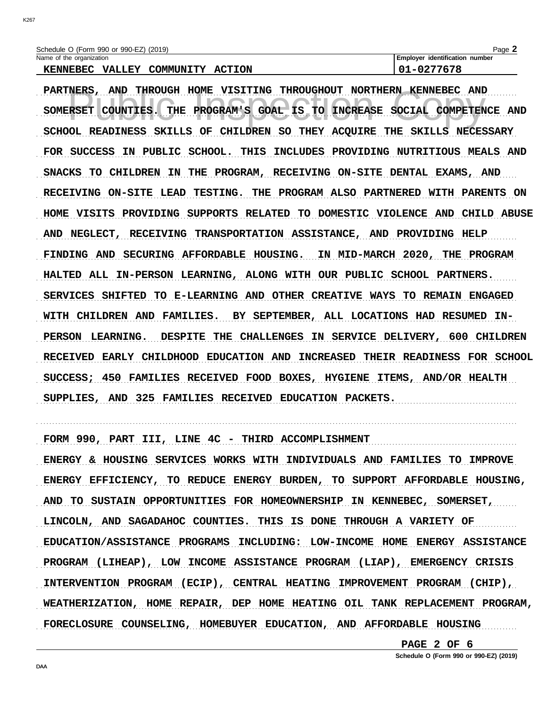Schedule O (Form 990 or 990-EZ) (2019) Name of the organization

KENNEBEC VALLEY COMMUNITY ACTION

Employer identification number 01-0277678

PARTNERS, AND THROUGH HOME VISITING THROUGHOUT NORTHERN KENNEBEC AND THE PROGRAM'S GOAL IS TO INCREASE SOCIAL COMPETENCE AND SOMERSET COUNTIES. SCHOOL READINESS SKILLS OF CHILDREN SO THEY ACQUIRE THE SKILLS NECESSARY FOR SUCCESS IN PUBLIC SCHOOL. THIS INCLUDES PROVIDING NUTRITIOUS MEALS AND SNACKS TO CHILDREN IN THE PROGRAM, RECEIVING ON-SITE DENTAL EXAMS, AND RECEIVING ON-SITE LEAD TESTING. THE PROGRAM ALSO PARTNERED WITH PARENTS ON HOME VISITS PROVIDING SUPPORTS RELATED TO DOMESTIC VIOLENCE AND CHILD ABUSE AND NEGLECT, RECEIVING TRANSPORTATION ASSISTANCE, AND PROVIDING HELP FINDING AND SECURING AFFORDABLE HOUSING. IN MID-MARCH 2020, THE PROGRAM HALTED ALL IN-PERSON LEARNING, ALONG WITH OUR PUBLIC SCHOOL PARTNERS. SERVICES SHIFTED TO E-LEARNING AND OTHER CREATIVE WAYS TO REMAIN ENGAGED WITH CHILDREN AND FAMILIES. BY SEPTEMBER, ALL LOCATIONS HAD RESUMED IN-PERSON LEARNING. DESPITE THE CHALLENGES IN SERVICE DELIVERY, 600 CHILDREN RECEIVED EARLY CHILDHOOD EDUCATION AND INCREASED THEIR READINESS FOR SCHOOL SUCCESS; 450 FAMILIES RECEIVED FOOD BOXES, HYGIENE ITEMS, AND/OR HEALTH SUPPLIES, AND 325 FAMILIES RECEIVED EDUCATION PACKETS.

FORM 990, PART III, LINE 4C - THIRD ACCOMPLISHMENT

ENERGY & HOUSING SERVICES WORKS WITH INDIVIDUALS AND FAMILIES TO IMPROVE ENERGY EFFICIENCY, TO REDUCE ENERGY BURDEN, TO SUPPORT AFFORDABLE HOUSING, AND TO SUSTAIN OPPORTUNITIES FOR HOMEOWNERSHIP IN KENNEBEC, SOMERSET, LINCOLN, AND SAGADAHOC COUNTIES. THIS IS DONE THROUGH A VARIETY OF EDUCATION/ASSISTANCE PROGRAMS INCLUDING: LOW-INCOME HOME ENERGY ASSISTANCE PROGRAM (LIHEAP), LOW INCOME ASSISTANCE PROGRAM (LIAP), EMERGENCY CRISIS INTERVENTION PROGRAM (ECIP), CENTRAL HEATING IMPROVEMENT PROGRAM (CHIP), WEATHERIZATION, HOME REPAIR, DEP HOME HEATING OIL TANK REPLACEMENT PROGRAM, FORECLOSURE COUNSELING, HOMEBUYER EDUCATION, AND AFFORDABLE HOUSING

> PAGE 2 OF 6 Schedule O (Form 990 or 990-EZ) (2019)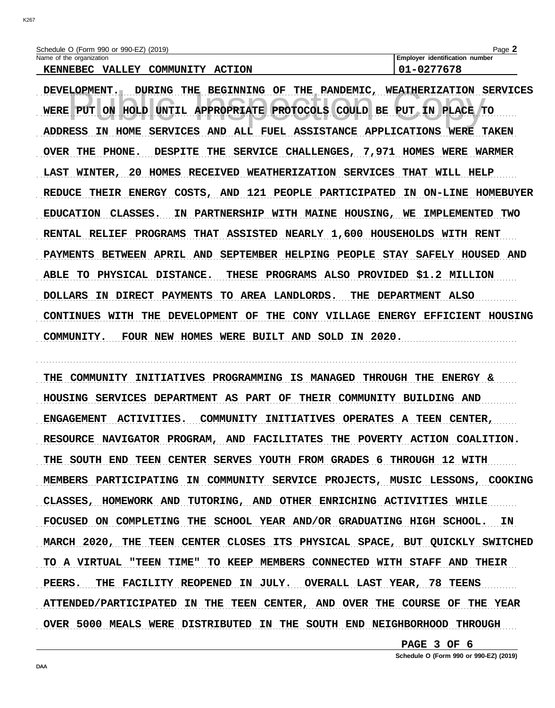| Schedule O (Form 990 or 990-EZ) (2019)               | $P$ aqe $\blacktriangle$              |
|------------------------------------------------------|---------------------------------------|
| Name of the organization                             | <b>Employer identification number</b> |
| COMMUNITY ACTION<br><b>KENNEBEC</b><br><b>VALLEY</b> | 01-0277678                            |

DEVELOPMENT. DURING THE BEGINNING OF THE PANDEMIC, WEATHERIZATION SERVICES WERE PUT ON HOLD UNTIL APPROPRIATE PROTOCOLS COULD BE PUT IN PLACE TO ADDRESS IN HOME SERVICES AND ALL FUEL ASSISTANCE APPLICATIONS WERE TAKEN OVER THE PHONE. DESPITE THE SERVICE CHALLENGES, 7,971 HOMES WERE WARMER LAST WINTER, 20 HOMES RECEIVED WEATHERIZATION SERVICES THAT WILL HELP REDUCE THEIR ENERGY COSTS, AND 121 PEOPLE PARTICIPATED IN ON-LINE HOMEBUYER EDUCATION CLASSES. IN PARTNERSHIP WITH MAINE HOUSING, WE IMPLEMENTED TWO RENTAL RELIEF PROGRAMS THAT ASSISTED NEARLY 1,600 HOUSEHOLDS WITH RENT PAYMENTS BETWEEN APRIL AND SEPTEMBER HELPING PEOPLE STAY SAFELY HOUSED AND ABLE TO PHYSICAL DISTANCE. THESE PROGRAMS ALSO PROVIDED \$1.2 MILLION DOLLARS IN DIRECT PAYMENTS TO AREA LANDLORDS. THE DEPARTMENT ALSO CONTINUES WITH THE DEVELOPMENT OF THE CONY VILLAGE ENERGY EFFICIENT HOUSING COMMUNITY. FOUR NEW HOMES WERE BUILT AND SOLD IN 2020.

THE COMMUNITY INITIATIVES PROGRAMMING IS MANAGED THROUGH THE ENERGY & HOUSING SERVICES DEPARTMENT AS PART OF THEIR COMMUNITY BUILDING AND ENGAGEMENT ACTIVITIES. COMMUNITY INITIATIVES OPERATES A TEEN CENTER, RESOURCE NAVIGATOR PROGRAM, AND FACILITATES THE POVERTY ACTION COALITION. THE SOUTH END TEEN CENTER SERVES YOUTH FROM GRADES 6 THROUGH 12 WITH MEMBERS PARTICIPATING IN COMMUNITY SERVICE PROJECTS, MUSIC LESSONS, COOKING CLASSES, HOMEWORK AND TUTORING, AND OTHER ENRICHING ACTIVITIES WHILE FOCUSED ON COMPLETING THE SCHOOL YEAR AND/OR GRADUATING HIGH SCHOOL. IN MARCH 2020, THE TEEN CENTER CLOSES ITS PHYSICAL SPACE, BUT QUICKLY SWITCHED TO A VIRTUAL "TEEN TIME" TO KEEP MEMBERS CONNECTED WITH STAFF AND THEIR PEERS. THE FACILITY REOPENED IN JULY. OVERALL LAST YEAR, 78 TEENS ATTENDED/PARTICIPATED IN THE TEEN CENTER, AND OVER THE COURSE OF THE YEAR OVER 5000 MEALS WERE DISTRIBUTED IN THE SOUTH END NEIGHBORHOOD THROUGH

> PAGE 3 OF 6 Schedule O (Form 990 or 990-EZ) (2019)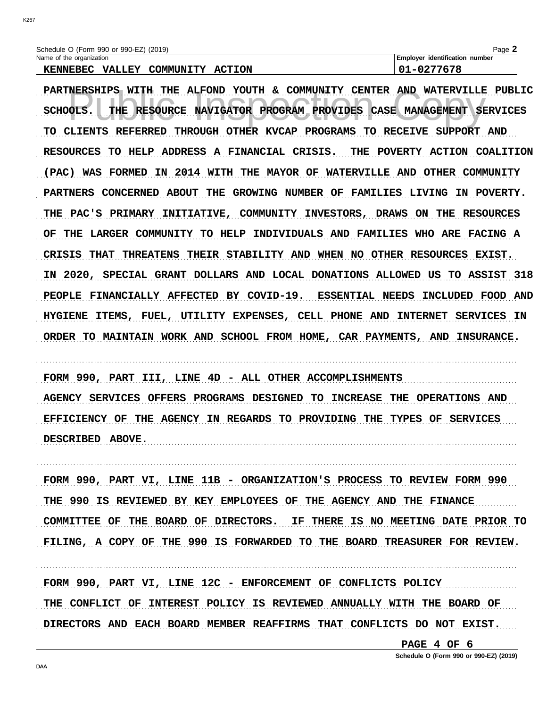**K267** 

| Schedule O (Form 990 or 990-EZ) (2019) |                  | Page.                                 |
|----------------------------------------|------------------|---------------------------------------|
| Name of the organization               |                  | <b>Employer identification number</b> |
| <b>KENNEBEC</b><br><b>VALLEY</b>       | COMMUNITY ACTION | 01-0277678                            |

PARTNERSHIPS WITH THE ALFOND YOUTH & COMMUNITY CENTER AND WATERVILLE PUBLIC SCHOOLS. THE RESOURCE NAVIGATOR PROGRAM PROVIDES CASE MANAGEMENT SERVICES TO CLIENTS REFERRED THROUGH OTHER KVCAP PROGRAMS TO RECEIVE SUPPORT AND RESOURCES TO HELP ADDRESS A FINANCIAL CRISIS. THE POVERTY ACTION COALITION (PAC) WAS FORMED IN 2014 WITH THE MAYOR OF WATERVILLE AND OTHER COMMUNITY PARTNERS CONCERNED ABOUT THE GROWING NUMBER OF FAMILIES LIVING IN POVERTY. THE PAC'S PRIMARY INITIATIVE, COMMUNITY INVESTORS, DRAWS ON THE RESOURCES OF THE LARGER COMMUNITY TO HELP INDIVIDUALS AND FAMILIES WHO ARE FACING A CRISIS THAT THREATENS THEIR STABILITY AND WHEN NO OTHER RESOURCES EXIST. IN 2020, SPECIAL GRANT DOLLARS AND LOCAL DONATIONS ALLOWED US TO ASSIST 318 PEOPLE FINANCIALLY AFFECTED BY COVID-19. ESSENTIAL NEEDS INCLUDED FOOD AND HYGIENE ITEMS, FUEL, UTILITY EXPENSES, CELL PHONE AND INTERNET SERVICES IN ORDER TO MAINTAIN WORK AND SCHOOL FROM HOME, CAR PAYMENTS, AND INSURANCE.

FORM 990, PART III, LINE 4D - ALL OTHER ACCOMPLISHMENTS AGENCY SERVICES OFFERS PROGRAMS DESIGNED TO INCREASE THE OPERATIONS AND EFFICIENCY OF THE AGENCY IN REGARDS TO PROVIDING THE TYPES OF SERVICES DESCRIBED ABOVE.

FORM 990, PART VI, LINE 11B - ORGANIZATION'S PROCESS TO REVIEW FORM 990 THE 990 IS REVIEWED BY KEY EMPLOYEES OF THE AGENCY AND THE FINANCE COMMITTEE OF THE BOARD OF DIRECTORS. IF THERE IS NO MEETING DATE PRIOR TO FILING, A COPY OF THE 990 IS FORWARDED TO THE BOARD TREASURER FOR REVIEW.

FORM 990, PART VI, LINE 12C - ENFORCEMENT OF CONFLICTS POLICY THE CONFLICT OF INTEREST POLICY IS REVIEWED ANNUALLY WITH THE BOARD OF DIRECTORS AND EACH BOARD MEMBER REAFFIRMS THAT CONFLICTS DO NOT EXIST.

PAGE 4 OF 6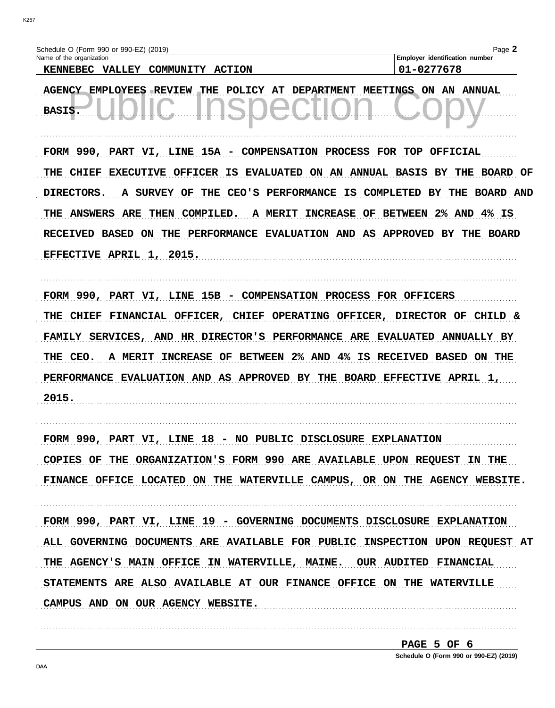**K267** 

| Schedule O (Form 990 or 990-EZ) (2019)             | Page                           |
|----------------------------------------------------|--------------------------------|
| Name of the organization                           | Employer identification number |
| A<br><b>ACTRAIT</b><br>173 T T TV<br><b>MENDEA</b> | 01 0277670                     |

KENNEBEC VALLEY COMMUNITY ACTION

101-0277678

AGENCY EMPLOYEES REVIEW THE POLICY AT DEPARTMENT MEETINGS ON AN ANNUAL BASIS.

FORM 990, PART VI, LINE 15A - COMPENSATION PROCESS FOR TOP OFFICIAL THE CHIEF EXECUTIVE OFFICER IS EVALUATED ON AN ANNUAL BASIS BY THE BOARD OF DIRECTORS. A SURVEY OF THE CEO'S PERFORMANCE IS COMPLETED BY THE BOARD AND THE ANSWERS ARE THEN COMPILED. A MERIT INCREASE OF BETWEEN 2% AND 4% IS RECEIVED BASED ON THE PERFORMANCE EVALUATION AND AS APPROVED BY THE BOARD EFFECTIVE APRIL 1, 2015.

FORM 990, PART VI, LINE 15B - COMPENSATION PROCESS FOR OFFICERS

THE CHIEF FINANCIAL OFFICER, CHIEF OPERATING OFFICER, DIRECTOR OF CHILD & FAMILY SERVICES, AND HR DIRECTOR'S PERFORMANCE ARE EVALUATED ANNUALLY BY THE CEO. A MERIT INCREASE OF BETWEEN 2% AND 4% IS RECEIVED BASED ON THE PERFORMANCE EVALUATION AND AS APPROVED BY THE BOARD EFFECTIVE APRIL 1, 2015.

FORM 990, PART VI, LINE 18 - NO PUBLIC DISCLOSURE EXPLANATION COPIES OF THE ORGANIZATION'S FORM 990 ARE AVAILABLE UPON REQUEST IN THE FINANCE OFFICE LOCATED ON THE WATERVILLE CAMPUS, OR ON THE AGENCY WEBSITE.

FORM 990, PART VI, LINE 19 - GOVERNING DOCUMENTS DISCLOSURE EXPLANATION ALL GOVERNING DOCUMENTS ARE AVAILABLE FOR PUBLIC INSPECTION UPON REQUEST AT THE AGENCY'S MAIN OFFICE IN WATERVILLE, MAINE. OUR AUDITED FINANCIAL STATEMENTS ARE ALSO AVAILABLE AT OUR FINANCE OFFICE ON THE WATERVILLE CAMPUS AND ON OUR AGENCY WEBSITE.

PAGE 5 OF 6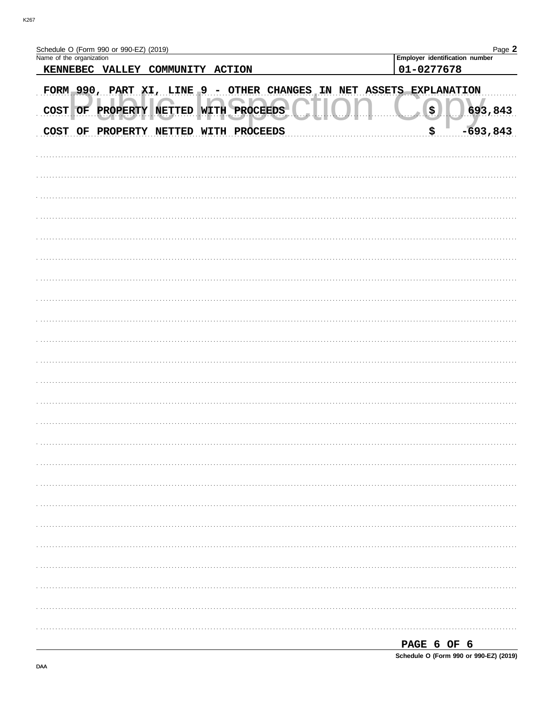| Schedule O (Form 990 or 990-EZ) (2019)<br>Name of the organization | Page 2<br>Employer identification number   |
|--------------------------------------------------------------------|--------------------------------------------|
| KENNEBEC VALLEY COMMUNITY ACTION                                   | 01-0277678                                 |
|                                                                    |                                            |
| FORM 990, PART XI, LINE 9 - OTHER CHANGES<br>IN                    | NET ASSETS EXPLANATION                     |
| COST OF PROPERTY NETTED WITH PROCEEDS                              | $\left(\mathbf{\hat{z}}\right)$<br>693,843 |
| COST OF PROPERTY NETTED WITH PROCEEDS                              | $-693,843$<br>\$                           |
|                                                                    |                                            |
|                                                                    |                                            |
|                                                                    |                                            |
|                                                                    |                                            |
|                                                                    |                                            |
|                                                                    |                                            |
|                                                                    |                                            |
|                                                                    |                                            |
|                                                                    |                                            |
|                                                                    |                                            |
|                                                                    |                                            |
|                                                                    |                                            |
|                                                                    |                                            |
|                                                                    |                                            |
|                                                                    |                                            |
|                                                                    |                                            |
|                                                                    |                                            |
|                                                                    |                                            |
|                                                                    |                                            |
|                                                                    |                                            |
|                                                                    |                                            |
|                                                                    |                                            |
|                                                                    |                                            |
|                                                                    | PAGE 6 OF 6                                |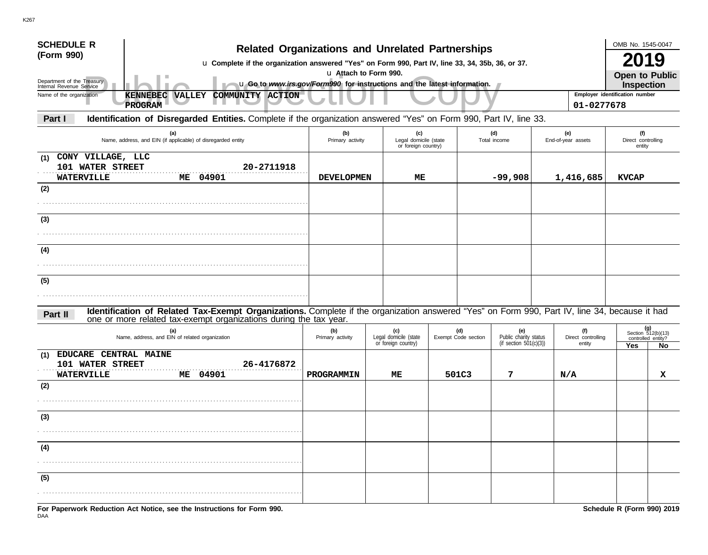| <b>SCHEDULE R</b><br><b>Related Organizations and Unrelated Partnerships</b>                                                                                                                                                  |                         |                                                     |  |                            |                                                           |                           |                                     | OMB No. 1545-0047                                      |    |  |
|-------------------------------------------------------------------------------------------------------------------------------------------------------------------------------------------------------------------------------|-------------------------|-----------------------------------------------------|--|----------------------------|-----------------------------------------------------------|---------------------------|-------------------------------------|--------------------------------------------------------|----|--|
| (Form 990)<br>u Complete if the organization answered "Yes" on Form 990, Part IV, line 33, 34, 35b, 36, or 37.                                                                                                                |                         |                                                     |  |                            |                                                           |                           |                                     |                                                        | 19 |  |
| u Attach to Form 990.<br>Department of the Treasury<br>u Go to www.irs.gov/Form990 for instructions and the latest information.<br>Internal Revenue Service                                                                   |                         |                                                     |  |                            |                                                           |                           |                                     |                                                        |    |  |
| Employer identification number<br>Name of the organization<br>COMMUNITY ACTION<br>KENNEBEC<br><b>VALLEY</b>                                                                                                                   |                         |                                                     |  |                            |                                                           |                           |                                     |                                                        |    |  |
| <b>PROGRAM</b><br>01-0277678                                                                                                                                                                                                  |                         |                                                     |  |                            |                                                           |                           |                                     |                                                        |    |  |
| Identification of Disregarded Entities. Complete if the organization answered "Yes" on Form 990, Part IV, line 33.<br>Part I                                                                                                  |                         |                                                     |  |                            |                                                           |                           |                                     |                                                        |    |  |
| (a)<br>Name, address, and EIN (if applicable) of disregarded entity                                                                                                                                                           | (b)<br>Primary activity | (c)<br>Legal domicile (state<br>or foreign country) |  |                            | (d)<br>Total income                                       | (e)<br>End-of-year assets |                                     | (f)<br>Direct controlling<br>entity                    |    |  |
| CONY VILLAGE, LLC<br>(1)<br>101 WATER STREET<br>20-2711918<br><b>WATERVILLE</b><br>ME 04901                                                                                                                                   | <b>DEVELOPMEN</b>       | ME                                                  |  |                            | $-99,908$                                                 |                           | 1,416,685                           | <b>KVCAP</b>                                           |    |  |
| (2)                                                                                                                                                                                                                           |                         |                                                     |  |                            |                                                           |                           |                                     |                                                        |    |  |
| (3)                                                                                                                                                                                                                           |                         |                                                     |  |                            |                                                           |                           |                                     |                                                        |    |  |
|                                                                                                                                                                                                                               |                         |                                                     |  |                            |                                                           |                           |                                     |                                                        |    |  |
| (4)                                                                                                                                                                                                                           |                         |                                                     |  |                            |                                                           |                           |                                     |                                                        |    |  |
|                                                                                                                                                                                                                               |                         |                                                     |  |                            |                                                           |                           |                                     |                                                        |    |  |
| (5)                                                                                                                                                                                                                           |                         |                                                     |  |                            |                                                           |                           |                                     |                                                        |    |  |
|                                                                                                                                                                                                                               |                         |                                                     |  |                            |                                                           |                           |                                     |                                                        |    |  |
| Identification of Related Tax-Exempt Organizations. Complete if the organization answered "Yes" on Form 990, Part IV, line 34, because it had<br>Part II<br>one or more related tax-exempt organizations during the tax year. |                         |                                                     |  |                            |                                                           |                           |                                     |                                                        |    |  |
| (a)<br>Name, address, and EIN of related organization                                                                                                                                                                         | (b)<br>Primary activity | (c)<br>Legal domicile (state<br>or foreign country) |  | (d)<br>Exempt Code section | (e)<br>Public charity status<br>(if section $501(c)(3)$ ) |                           | (f)<br>Direct controlling<br>entity | (g)<br>Section 512(b)(13)<br>controlled entity?<br>Yes | No |  |
| EDUCARE CENTRAL MAINE<br>(1)<br>26-4176872<br>101 WATER STREET<br>ME 04901<br><b>WATERVILLE</b>                                                                                                                               | PROGRAMMIN              | МE                                                  |  | 501C3                      | 7                                                         | N/A                       |                                     |                                                        | x  |  |
| (2)                                                                                                                                                                                                                           |                         |                                                     |  |                            |                                                           |                           |                                     |                                                        |    |  |
|                                                                                                                                                                                                                               |                         |                                                     |  |                            |                                                           |                           |                                     |                                                        |    |  |
| $\sim$<br>७                                                                                                                                                                                                                   |                         |                                                     |  |                            |                                                           |                           |                                     |                                                        |    |  |
|                                                                                                                                                                                                                               |                         |                                                     |  |                            |                                                           |                           |                                     |                                                        |    |  |
| (4)                                                                                                                                                                                                                           |                         |                                                     |  |                            |                                                           |                           |                                     |                                                        |    |  |
|                                                                                                                                                                                                                               |                         |                                                     |  |                            |                                                           |                           |                                     |                                                        |    |  |
| (5)                                                                                                                                                                                                                           |                         |                                                     |  |                            |                                                           |                           |                                     |                                                        |    |  |
|                                                                                                                                                                                                                               |                         |                                                     |  |                            |                                                           |                           |                                     |                                                        |    |  |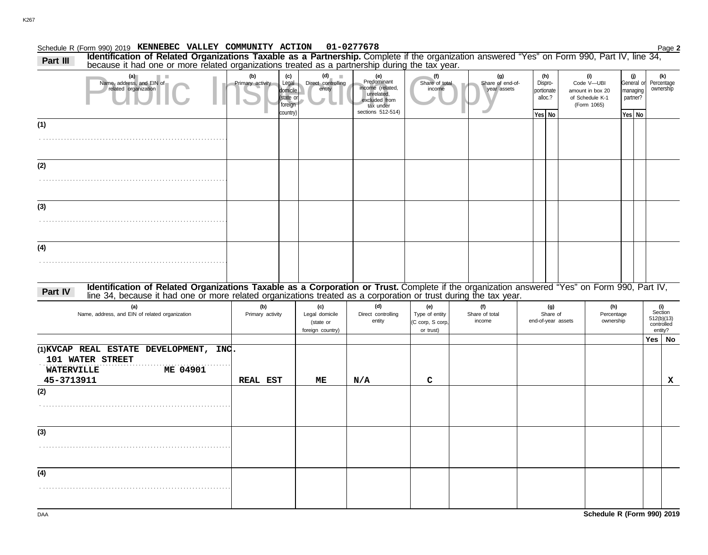#### **KENNEBEC VALLEY COMMUNITY ACTION 01-0277678**

Schedule R (Form 990) 2019 Page **2 (g) (h)** Part III Identification of Related Organizations Taxable as a Partnership. Complete if the organization answered "Yes" on Form 990, Part IV, line 34, Part IV, line 34, Part IV, line 34, **(i) (j)**

| (a)<br>Name, address, and EIN of<br>related organization                                                                                                                                                                                  | (b)<br>Primary activity | (c)<br>Legal<br>domicile<br>(state or<br>foreign<br>country) | (d)<br><b>III</b><br>Direct controlling<br>entity      | (e)<br>Predominant<br>income (related,<br>unrelated,<br>excluded from<br>tax under<br>sections 512-514) | (f)<br>Share of total<br>income                        |                                 | (g)<br>Share of end-of-<br>year assets | (h)<br>Dispro-<br>portionate<br>alloc.?<br>Yes No | (i)<br>Code V-UBI<br>amount in box 20<br>of Schedule K-1<br>(Form 1065) | (j)<br>General or<br>managing<br>partner?<br>Yes No | (k)<br>Percentage<br>ownership                        |
|-------------------------------------------------------------------------------------------------------------------------------------------------------------------------------------------------------------------------------------------|-------------------------|--------------------------------------------------------------|--------------------------------------------------------|---------------------------------------------------------------------------------------------------------|--------------------------------------------------------|---------------------------------|----------------------------------------|---------------------------------------------------|-------------------------------------------------------------------------|-----------------------------------------------------|-------------------------------------------------------|
| (1)                                                                                                                                                                                                                                       |                         |                                                              |                                                        |                                                                                                         |                                                        |                                 |                                        |                                                   |                                                                         |                                                     |                                                       |
| (2)                                                                                                                                                                                                                                       |                         |                                                              |                                                        |                                                                                                         |                                                        |                                 |                                        |                                                   |                                                                         |                                                     |                                                       |
| (3)                                                                                                                                                                                                                                       |                         |                                                              |                                                        |                                                                                                         |                                                        |                                 |                                        |                                                   |                                                                         |                                                     |                                                       |
| (4)                                                                                                                                                                                                                                       |                         |                                                              |                                                        |                                                                                                         |                                                        |                                 |                                        |                                                   |                                                                         |                                                     |                                                       |
| Identification of Related Organizations Taxable as a Corporation or Trust. Complete if the organization answered "Yes" on Form 990, Part IV, line 34, because it had one or more related organizations treated as a corporatio<br>Part IV |                         |                                                              |                                                        |                                                                                                         |                                                        |                                 |                                        |                                                   |                                                                         |                                                     |                                                       |
| (a)<br>Name, address, and EIN of related organization                                                                                                                                                                                     | (b)<br>Primary activity |                                                              | (c)<br>Legal domicile<br>(state or<br>foreign country) | (d)<br>Direct controlling<br>entity                                                                     | (e)<br>Type of entity<br>(C corp, S corp,<br>or trust) | (f)<br>Share of total<br>income |                                        | (g)<br>Share of<br>end-of-year assets             | (h)<br>Percentage<br>ownership                                          |                                                     | (i)<br>Section<br>512(b)(13)<br>controlled<br>entity? |
| (1) KVCAP REAL ESTATE DEVELOPMENT, INC.<br>101 WATER STREET<br><b>WATERVILLE</b><br>ME 04901<br>45-3713911                                                                                                                                | <b>REAL EST</b>         |                                                              | MЕ                                                     | N/A                                                                                                     | $\mathbf C$                                            |                                 |                                        |                                                   |                                                                         |                                                     | Yes $\vert$ No<br>$\mathbf x$                         |
| (2)                                                                                                                                                                                                                                       |                         |                                                              |                                                        |                                                                                                         |                                                        |                                 |                                        |                                                   |                                                                         |                                                     |                                                       |
| (3)                                                                                                                                                                                                                                       |                         |                                                              |                                                        |                                                                                                         |                                                        |                                 |                                        |                                                   |                                                                         |                                                     |                                                       |
| (4)                                                                                                                                                                                                                                       |                         |                                                              |                                                        |                                                                                                         |                                                        |                                 |                                        |                                                   |                                                                         |                                                     |                                                       |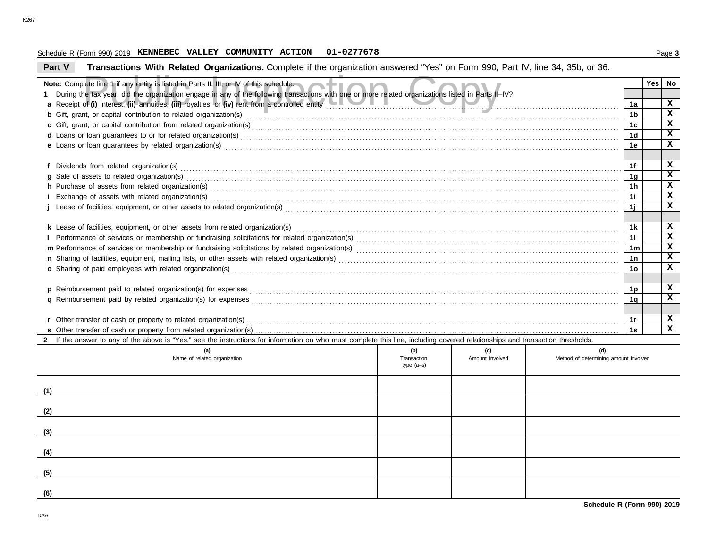#### Schedule R (Form 990) 2019 Page **3 KENNEBEC VALLEY COMMUNITY ACTION 01-0277678**

# **Part V Transactions With Related Organizations.** Complete if the organization answered "Yes" on Form 990, Part IV, line 34, 35b, or 36.

| Note: Complete line 1 if any entity is listed in Parts II, III, or IV of this schedule.                                                                                                                                        |             |                 |                                       |                | <b>Yes</b> | No          |
|--------------------------------------------------------------------------------------------------------------------------------------------------------------------------------------------------------------------------------|-------------|-----------------|---------------------------------------|----------------|------------|-------------|
| During the tax year, did the organization engage in any of the following transactions with one or more related organizations listed in Parts II-IV?                                                                            |             |                 |                                       |                |            |             |
| a Receipt of (i) interest, (ii) annuities, (iii) royalties, or (iv) rent from a controlled entity enter the metal of the controlled entity and the metal of the metal of the metal of the metal of the metal of the metal of t |             |                 |                                       | 1a             |            | $\mathbf x$ |
| <b>b</b> Gift, grant, or capital contribution to related organization(s) entertainment contains a contribution to related organization(s)                                                                                      |             |                 |                                       | 1b             |            | x           |
|                                                                                                                                                                                                                                |             |                 |                                       | 1c             |            | $\mathbf x$ |
| d Loans or loan guarantees to or for related organization(s) encourance contains an according to the container                                                                                                                 |             |                 |                                       | 1d             |            | $\mathbf x$ |
| e Loans or loan guarantees by related organization(s) encourance contract the contract contract of the contract or contract or contract or contract or contract or contract or contract or contract or contract or contract or |             |                 |                                       | 1e             |            | x           |
|                                                                                                                                                                                                                                |             |                 |                                       |                |            |             |
|                                                                                                                                                                                                                                |             |                 |                                       | 1f             |            | x           |
| g Sale of assets to related organization(s) encourance contained and contained and contained and contained and contained and contained and contained and sales of assets to related organization(s) encourance and contained a |             |                 |                                       | 1q             |            | $\mathbf x$ |
|                                                                                                                                                                                                                                |             |                 |                                       | 1 <sub>h</sub> |            | x           |
|                                                                                                                                                                                                                                |             |                 |                                       | -1i            |            | x           |
|                                                                                                                                                                                                                                |             |                 |                                       | 1i             |            | x           |
|                                                                                                                                                                                                                                |             |                 |                                       |                |            |             |
| k Lease of facilities, equipment, or other assets from related organization(s) Materian and the content content of facilities, equipment, or other assets from related organization(s) and content content content content of  |             |                 |                                       | 1k             |            | x           |
|                                                                                                                                                                                                                                |             |                 |                                       | 11             |            | x           |
|                                                                                                                                                                                                                                |             |                 |                                       | 1m             |            | x           |
|                                                                                                                                                                                                                                |             |                 |                                       | 1n             |            | $\mathbf x$ |
| o Sharing of paid employees with related organization(s) encourance contains an account of the state of paid employees with related organization(s) encourance contains a state of Sharing of paid employees with related orga |             |                 |                                       | 1о             |            | x           |
|                                                                                                                                                                                                                                |             |                 |                                       |                |            |             |
| p Reimbursement paid to related organization(s) for expenses                                                                                                                                                                   |             |                 |                                       | 1p             |            | x           |
|                                                                                                                                                                                                                                |             |                 |                                       | 1q             |            | $\mathbf x$ |
|                                                                                                                                                                                                                                |             |                 |                                       |                |            |             |
|                                                                                                                                                                                                                                |             |                 |                                       | 1r             |            | x           |
|                                                                                                                                                                                                                                |             |                 |                                       | 1s             |            | x           |
| 2 If the answer to any of the above is "Yes," see the instructions for information on who must complete this line, including covered relationships and transaction thresholds.                                                 |             |                 |                                       |                |            |             |
| (a)                                                                                                                                                                                                                            | (b)         | (c)             | (d)                                   |                |            |             |
| Name of related organization                                                                                                                                                                                                   | Transaction | Amount involved | Method of determining amount involved |                |            |             |
|                                                                                                                                                                                                                                | $type(a-s)$ |                 |                                       |                |            |             |
|                                                                                                                                                                                                                                |             |                 |                                       |                |            |             |
| (1)                                                                                                                                                                                                                            |             |                 |                                       |                |            |             |
|                                                                                                                                                                                                                                |             |                 |                                       |                |            |             |
| (2)                                                                                                                                                                                                                            |             |                 |                                       |                |            |             |
|                                                                                                                                                                                                                                |             |                 |                                       |                |            |             |
| (3)                                                                                                                                                                                                                            |             |                 |                                       |                |            |             |
|                                                                                                                                                                                                                                |             |                 |                                       |                |            |             |
| (4)                                                                                                                                                                                                                            |             |                 |                                       |                |            |             |
|                                                                                                                                                                                                                                |             |                 |                                       |                |            |             |
| (5)                                                                                                                                                                                                                            |             |                 |                                       |                |            |             |
|                                                                                                                                                                                                                                |             |                 |                                       |                |            |             |
| (6)                                                                                                                                                                                                                            |             |                 |                                       |                |            |             |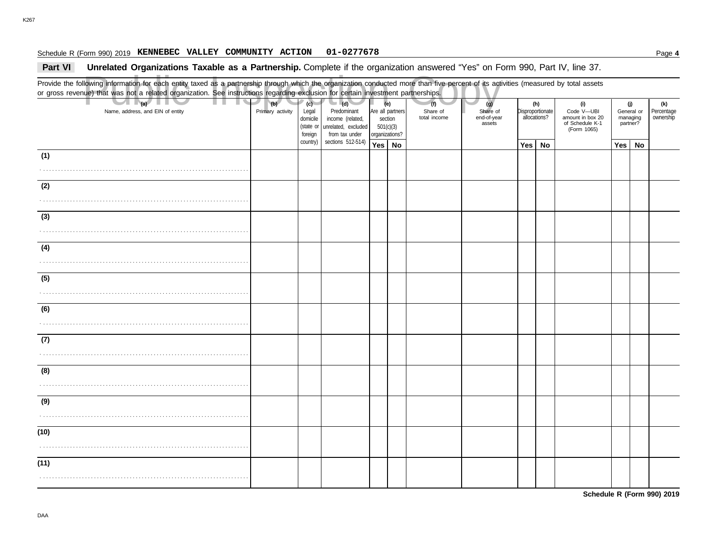#### Schedule R (Form 990) 2019 Page **4 KENNEBEC VALLEY COMMUNITY ACTION 01-0277678**

#### **Part VI** Unrelated Organizations Taxable as a Partnership. Complete if the organization answered "Yes" on Form 990, Part IV, line 37.

Public Inspection Copy Provide the following information for each entity taxed as a partnership through which the organization conducted more than five percent of its activities (measured by total assets or gross revenue) that was not a related organization. See instructions regarding exclusion for certain investment partnerships. Name, address, and EIN of entity **Primary activity | Legal** domicile (state or Are all partners section 501(c)(3) organizations? Share of end-of-year assets Disproportionate allocations? Code V—UBI amount in box 20 of Schedule K-1 General or managing partner? **(a) (b) (c) (e) (g) (h) (i) (j)** . . . . . . . . . . . . . . . . . . . . . . . . . . . . . . . . . . . . . . . . . . . . . . . . . . . . . . . . . . . . . . . . . . . . . . **Yes No Yes No Yes No** . . . . . . . . . . . . . . . . . . . . . . . . . . . . . . . . . . . . . . . . . . . . . . . . . . . . . . . . . . . . . . . . . . . . . . . . . . . . . . . . . . . . . . . . . . . . . . . . . . . . . . . . . . . . . . . . . . . . . . . . . . . . . . . . . . . . . . . . . . . . . . . . . . . . . . . . . . . . . . . . . . . . . . . . . . . . . . . . . . . . . . . . . . . . . . . . . . . . . . . . . . . . . . . . . . . . . . . . . . . . . . . . . . . . . . . . . . . . . . . . . . . . . . . . . . . . . . . . . . . . . . . . . . . . . . . . . . . . . . . . . . . . . . . . . . . . . . . . . . . . . . . . . . . . . . . . . . . . . . . . . . . . . . . . . . . . . . . . . . . . . . . . . . . . . . . . . . . . . . . . . . . . . . . . . . . . . . . . . . . . . . . . . . . . . . . . . . . . . . . . . . . . . . . . . . . . . . . . . . . . . . . . . . . . . . . . . . . . . . . . . . . . . . . . . . . . . . . . . . . . . . . . . . . . . . . . . . . . . . . . . . . . . . . . . . . . . . . . . . . . . . . . . . . . . . . . . . . . . . . . . . . . . . . . . . . . . . . . . . . . . . . . . . . . . . . . . . . . . . . . . . . . . . . . . . . . . . . . . . . . . . . . . . . . . . . . . . . . . . . . . . . . . . . . . . . . . . . . . . . . . . . . . . . . . . (Form 1065) **(1) (2) (3) (4) (5) (6) (7) (8) (9) (10) (11) (d)** unrelated, excluded income (related, Predominant from tax under sections 512-514) foreign country) **(f)** total income Share of **(k)** ownership Percentage

**Schedule R (Form 990) 2019**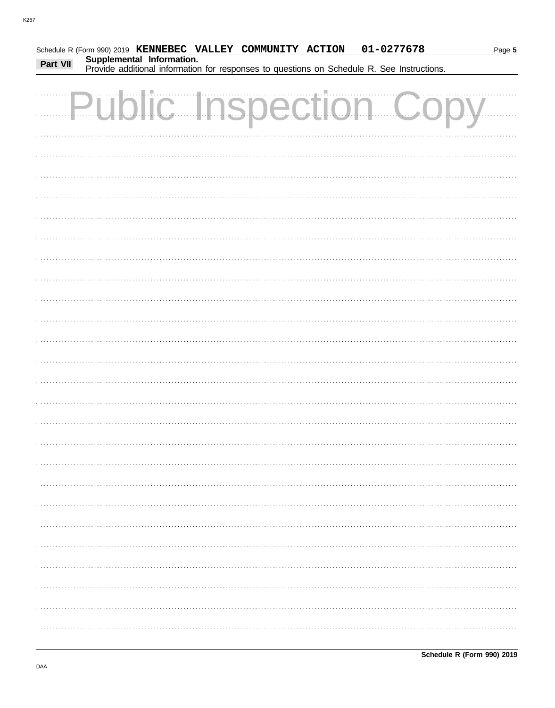|          |                           | Schedule R (Form 990) 2019 KENNEBEC VALLEY COMMUNITY ACTION | 01-0277678                                                                                 | Page 5 |
|----------|---------------------------|-------------------------------------------------------------|--------------------------------------------------------------------------------------------|--------|
| Part VII | Supplemental Information. |                                                             | Provide additional information for responses to questions on Schedule R. See Instructions. |        |
|          |                           |                                                             |                                                                                            |        |
|          |                           |                                                             | Public Inspection Copy                                                                     |        |
|          |                           |                                                             |                                                                                            |        |
|          |                           |                                                             |                                                                                            |        |
|          |                           |                                                             |                                                                                            |        |
|          |                           |                                                             |                                                                                            |        |
|          |                           |                                                             |                                                                                            |        |
|          |                           |                                                             |                                                                                            |        |
|          |                           |                                                             |                                                                                            |        |
|          |                           |                                                             |                                                                                            |        |
|          |                           |                                                             |                                                                                            |        |
|          |                           |                                                             |                                                                                            |        |
|          |                           |                                                             |                                                                                            |        |
|          |                           |                                                             |                                                                                            |        |
|          |                           |                                                             |                                                                                            |        |
|          |                           |                                                             |                                                                                            |        |
|          |                           |                                                             |                                                                                            |        |
|          |                           |                                                             |                                                                                            |        |
|          |                           |                                                             |                                                                                            |        |
|          |                           |                                                             |                                                                                            |        |
|          |                           |                                                             |                                                                                            |        |
|          |                           |                                                             |                                                                                            |        |
|          |                           |                                                             |                                                                                            |        |
|          |                           |                                                             |                                                                                            |        |
|          |                           |                                                             |                                                                                            |        |
|          |                           |                                                             |                                                                                            |        |
|          |                           |                                                             |                                                                                            |        |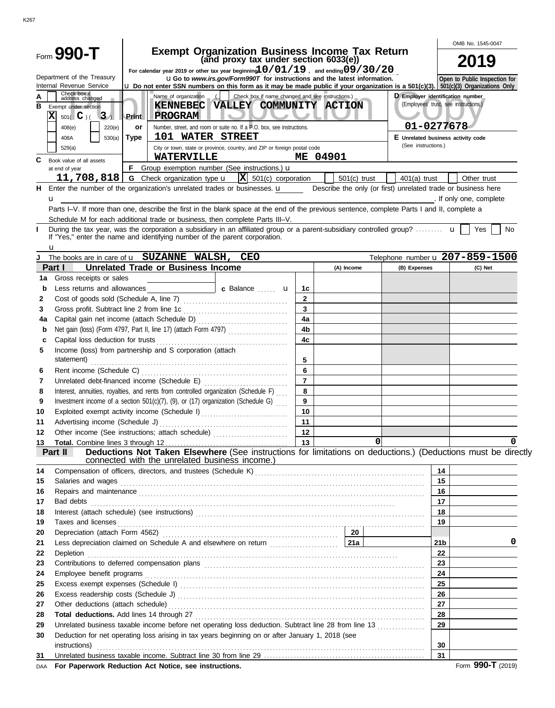|          |                                                                            |                   |                                                                                                                                                                                                                                          |                                                                                                                                                                                                                                      |                |                                                                                                                        |                                                               |                                       | OMB No. 1545-0047       |  |
|----------|----------------------------------------------------------------------------|-------------------|------------------------------------------------------------------------------------------------------------------------------------------------------------------------------------------------------------------------------------------|--------------------------------------------------------------------------------------------------------------------------------------------------------------------------------------------------------------------------------------|----------------|------------------------------------------------------------------------------------------------------------------------|---------------------------------------------------------------|---------------------------------------|-------------------------|--|
|          | Form 990-T                                                                 |                   |                                                                                                                                                                                                                                          | <b>Exempt Organization Business Income Tax Return</b><br>(and proxy tax under section 6033(e))                                                                                                                                       |                |                                                                                                                        |                                                               | 2019                                  |                         |  |
|          |                                                                            |                   | For calendar year 2019 or other tax year beginning $10/01/19$ , and ending $09/30/20$                                                                                                                                                    |                                                                                                                                                                                                                                      |                |                                                                                                                        |                                                               |                                       |                         |  |
|          | Department of the Treasury<br>Internal Revenue Service                     |                   | <b>uGo to www.irs.gov/Form990T for instructions and the latest information.</b><br><b>u</b> Do not enter SSN numbers on this form as it may be made public if your organization is a 501(c)(3). $\frac{1}{501(c)(3)}$ Organizations Only |                                                                                                                                                                                                                                      |                | Open to Public Inspection for                                                                                          |                                                               |                                       |                         |  |
| Α        | Check box if<br>address changed                                            |                   | Name of organization                                                                                                                                                                                                                     | Check box if name changed and see instructions.)                                                                                                                                                                                     |                |                                                                                                                        |                                                               | D Employer identification number      |                         |  |
| в        | Exempt under section                                                       |                   | <b>KENNEBEC</b>                                                                                                                                                                                                                          | VALLEY COMMUNITY ACTION                                                                                                                                                                                                              |                |                                                                                                                        |                                                               | (Employees' trust, see instructions.) |                         |  |
|          | Ιx<br>$501($ C $)($ 3)                                                     | Print             | <b>PROGRAM</b>                                                                                                                                                                                                                           |                                                                                                                                                                                                                                      |                |                                                                                                                        |                                                               | 01-0277678                            |                         |  |
|          | 220(e)<br>408(e)<br>530(a)<br>408A                                         | or<br><b>Type</b> | 101 WATER STREET                                                                                                                                                                                                                         | Number, street, and room or suite no. If a P.O. box, see instructions.                                                                                                                                                               |                |                                                                                                                        |                                                               | E Unrelated business activity code    |                         |  |
|          | 529(a)                                                                     |                   |                                                                                                                                                                                                                                          | City or town, state or province, country, and ZIP or foreign postal code                                                                                                                                                             |                |                                                                                                                        | (See instructions.)                                           |                                       |                         |  |
| C        | Book value of all assets                                                   |                   | <b>WATERVILLE</b>                                                                                                                                                                                                                        |                                                                                                                                                                                                                                      |                | ME 04901                                                                                                               |                                                               |                                       |                         |  |
|          | at end of year                                                             | F.                |                                                                                                                                                                                                                                          | Group exemption number (See instructions.) <b>u</b>                                                                                                                                                                                  |                |                                                                                                                        |                                                               |                                       |                         |  |
|          |                                                                            |                   | 11,708,818   G Check organization type $\bf{u}$                                                                                                                                                                                          | $ \mathbf{X} $ 501(c) corporation                                                                                                                                                                                                    |                | $501(c)$ trust                                                                                                         | $401(a)$ trust                                                |                                       | Other trust             |  |
|          |                                                                            |                   |                                                                                                                                                                                                                                          | H Enter the number of the organization's unrelated trades or businesses. $\mathbf{u}$                                                                                                                                                |                |                                                                                                                        | Describe the only (or first) unrelated trade or business here |                                       |                         |  |
|          | u                                                                          |                   |                                                                                                                                                                                                                                          | Parts I-V. If more than one, describe the first in the blank space at the end of the previous sentence, complete Parts I and II, complete a                                                                                          |                |                                                                                                                        |                                                               |                                       | . If only one, complete |  |
|          |                                                                            |                   |                                                                                                                                                                                                                                          | Schedule M for each additional trade or business, then complete Parts III-V.                                                                                                                                                         |                |                                                                                                                        |                                                               |                                       |                         |  |
| Ι.       |                                                                            |                   |                                                                                                                                                                                                                                          | During the tax year, was the corporation a subsidiary in an affiliated group or a parent-subsidiary controlled group?                                                                                                                |                |                                                                                                                        |                                                               |                                       | Yes<br>No               |  |
|          | If "Yes," enter the name and identifying number of the parent corporation. |                   |                                                                                                                                                                                                                                          |                                                                                                                                                                                                                                      |                |                                                                                                                        |                                                               |                                       |                         |  |
|          | u                                                                          |                   |                                                                                                                                                                                                                                          |                                                                                                                                                                                                                                      |                |                                                                                                                        |                                                               |                                       |                         |  |
| J        | The books are in care of <b>u</b> SUZANNE WALSH, CEO<br>Part I             |                   | <b>Unrelated Trade or Business Income</b>                                                                                                                                                                                                |                                                                                                                                                                                                                                      |                | (A) Income                                                                                                             | Telephone number u 207-859-1500<br>(B) Expenses               |                                       |                         |  |
| 1a       | Gross receipts or sales                                                    |                   |                                                                                                                                                                                                                                          |                                                                                                                                                                                                                                      |                |                                                                                                                        |                                                               |                                       | (C) Net                 |  |
| b        | Less returns and allowances                                                |                   |                                                                                                                                                                                                                                          | c Balance  u                                                                                                                                                                                                                         | 1c             |                                                                                                                        |                                                               |                                       |                         |  |
| 2        |                                                                            |                   |                                                                                                                                                                                                                                          |                                                                                                                                                                                                                                      | $\overline{2}$ |                                                                                                                        |                                                               |                                       |                         |  |
| 3        |                                                                            |                   |                                                                                                                                                                                                                                          |                                                                                                                                                                                                                                      | $\mathbf{3}$   |                                                                                                                        |                                                               |                                       |                         |  |
| 4a       |                                                                            |                   |                                                                                                                                                                                                                                          |                                                                                                                                                                                                                                      | 4a             |                                                                                                                        |                                                               |                                       |                         |  |
| b        |                                                                            |                   |                                                                                                                                                                                                                                          | Net gain (loss) (Form 4797, Part II, line 17) (attach Form 4797)                                                                                                                                                                     | 4 <sub>b</sub> |                                                                                                                        |                                                               |                                       |                         |  |
| c        | Capital loss deduction for trusts                                          |                   |                                                                                                                                                                                                                                          |                                                                                                                                                                                                                                      | 4 <sub>c</sub> |                                                                                                                        |                                                               |                                       |                         |  |
| 5        | Income (loss) from partnership and S corporation (attach<br>statement)     |                   |                                                                                                                                                                                                                                          |                                                                                                                                                                                                                                      | 5              |                                                                                                                        |                                                               |                                       |                         |  |
| 6        |                                                                            |                   |                                                                                                                                                                                                                                          |                                                                                                                                                                                                                                      | 6              |                                                                                                                        |                                                               |                                       |                         |  |
| 7        |                                                                            |                   |                                                                                                                                                                                                                                          |                                                                                                                                                                                                                                      | $\overline{7}$ |                                                                                                                        |                                                               |                                       |                         |  |
| 8        |                                                                            |                   |                                                                                                                                                                                                                                          | Interest, annuities, royalties, and rents from controlled organization (Schedule F)                                                                                                                                                  | 8              |                                                                                                                        |                                                               |                                       |                         |  |
| 9        |                                                                            |                   |                                                                                                                                                                                                                                          | Investment income of a section 501(c)(7), (9), or (17) organization (Schedule G) $\ldots$                                                                                                                                            | 9              |                                                                                                                        |                                                               |                                       |                         |  |
| 10       |                                                                            |                   |                                                                                                                                                                                                                                          | Exploited exempt activity income (Schedule I)                                                                                                                                                                                        | 10             |                                                                                                                        |                                                               |                                       |                         |  |
| 11       | Advertising income (Schedule J)                                            |                   |                                                                                                                                                                                                                                          |                                                                                                                                                                                                                                      | 11             |                                                                                                                        |                                                               |                                       |                         |  |
| 12       |                                                                            |                   |                                                                                                                                                                                                                                          | Other income (See instructions; attach schedule)                                                                                                                                                                                     | 12             |                                                                                                                        |                                                               |                                       |                         |  |
| 13       | Part II                                                                    |                   |                                                                                                                                                                                                                                          | Deductions Not Taken Elsewhere (See instructions for limitations on deductions.) (Deductions must be directly                                                                                                                        | 13             |                                                                                                                        | 0                                                             |                                       | <sup>0</sup>            |  |
|          |                                                                            |                   | connected with the unrelated business income.)                                                                                                                                                                                           |                                                                                                                                                                                                                                      |                | <u> 1989 - Andrea Aonaich, ann an t-Èireann an t-Èireann an t-Èireann an t-Èireann an t-Èireann an t-Èireann an t-</u> |                                                               |                                       |                         |  |
| 14       |                                                                            |                   |                                                                                                                                                                                                                                          |                                                                                                                                                                                                                                      |                |                                                                                                                        |                                                               | 14                                    |                         |  |
| 15       | Salaries and wages                                                         |                   |                                                                                                                                                                                                                                          |                                                                                                                                                                                                                                      |                |                                                                                                                        |                                                               | 15                                    |                         |  |
| 16       |                                                                            |                   |                                                                                                                                                                                                                                          | Repairs and maintenance <i>communical continuum continuum continuum continuum continuum continuum continuum continuum continuum continuum continuum continuum continuum continuum continuum continuum continuum continuum contin</i> |                |                                                                                                                        |                                                               | 16                                    |                         |  |
| 17       | Bad debts                                                                  |                   |                                                                                                                                                                                                                                          |                                                                                                                                                                                                                                      |                |                                                                                                                        |                                                               | 17                                    |                         |  |
| 18       |                                                                            |                   |                                                                                                                                                                                                                                          |                                                                                                                                                                                                                                      |                |                                                                                                                        |                                                               | 18                                    |                         |  |
| 19<br>20 | Taxes and licenses                                                         |                   |                                                                                                                                                                                                                                          |                                                                                                                                                                                                                                      |                |                                                                                                                        |                                                               | 19                                    |                         |  |
| 21       |                                                                            |                   |                                                                                                                                                                                                                                          | Less depreciation claimed on Schedule A and elsewhere on return <i>[200]</i> [21a]                                                                                                                                                   |                |                                                                                                                        |                                                               | 21 <sub>b</sub>                       | 0                       |  |
| 22       | Depletion                                                                  |                   |                                                                                                                                                                                                                                          |                                                                                                                                                                                                                                      |                |                                                                                                                        |                                                               | 22                                    |                         |  |
| 23       |                                                                            |                   |                                                                                                                                                                                                                                          |                                                                                                                                                                                                                                      |                |                                                                                                                        |                                                               | 23                                    |                         |  |
| 24       |                                                                            |                   |                                                                                                                                                                                                                                          |                                                                                                                                                                                                                                      |                |                                                                                                                        |                                                               | 24                                    |                         |  |
| 25       |                                                                            |                   |                                                                                                                                                                                                                                          |                                                                                                                                                                                                                                      |                |                                                                                                                        |                                                               | 25                                    |                         |  |
| 26       |                                                                            |                   |                                                                                                                                                                                                                                          |                                                                                                                                                                                                                                      |                |                                                                                                                        |                                                               | 26                                    |                         |  |
| 27       |                                                                            |                   |                                                                                                                                                                                                                                          |                                                                                                                                                                                                                                      |                |                                                                                                                        |                                                               | 27                                    |                         |  |
| 28       |                                                                            |                   |                                                                                                                                                                                                                                          |                                                                                                                                                                                                                                      |                |                                                                                                                        |                                                               | 28                                    |                         |  |
| 29       |                                                                            |                   |                                                                                                                                                                                                                                          | Unrelated business taxable income before net operating loss deduction. Subtract line 28 from line 13                                                                                                                                 |                |                                                                                                                        |                                                               | 29                                    |                         |  |
| 30       |                                                                            |                   |                                                                                                                                                                                                                                          | Deduction for net operating loss arising in tax years beginning on or after January 1, 2018 (see                                                                                                                                     |                |                                                                                                                        |                                                               |                                       |                         |  |
|          | instructions)                                                              |                   |                                                                                                                                                                                                                                          |                                                                                                                                                                                                                                      |                |                                                                                                                        |                                                               | 30                                    |                         |  |
| 31       |                                                                            |                   |                                                                                                                                                                                                                                          |                                                                                                                                                                                                                                      |                |                                                                                                                        |                                                               | 31                                    |                         |  |

| DAA For Paperwork Reduction Act Notice, see instructions, | Form 990-T (2019) |
|-----------------------------------------------------------|-------------------|
|-----------------------------------------------------------|-------------------|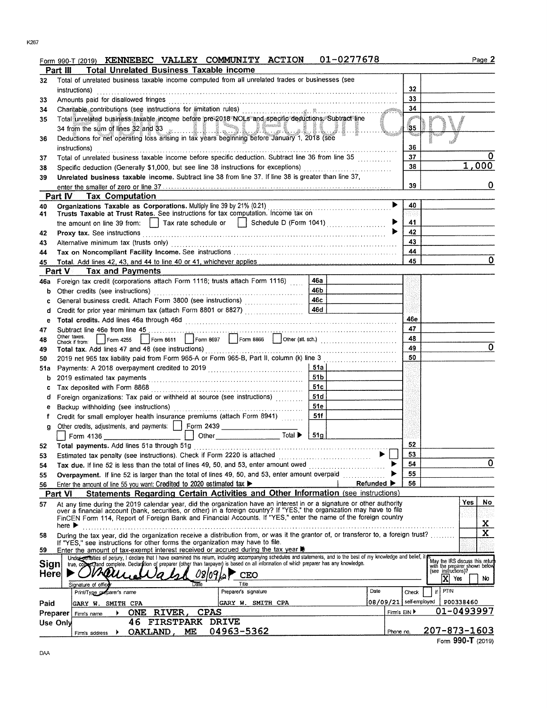|  |  | n 990-T (2019) KENNEBEC VALLEY COMMUNITY ACTION 01-0277678 |
|--|--|------------------------------------------------------------|
|  |  |                                                            |

| ı | ٠ |  |
|---|---|--|
|   |   |  |

|          | Form 990-T (2019) KENNEBEC VALLEY COMMUNITY ACTION                                                                                                                                                                                                          | 01-0277678 |            |                          | Page 2                                                                                  |
|----------|-------------------------------------------------------------------------------------------------------------------------------------------------------------------------------------------------------------------------------------------------------------|------------|------------|--------------------------|-----------------------------------------------------------------------------------------|
|          | <b>Total Unrelated Business Taxable income</b><br>Part III                                                                                                                                                                                                  |            |            |                          |                                                                                         |
| 32       | Total of unrelated business taxable income computed from all unrelated trades or businesses (see                                                                                                                                                            |            |            |                          |                                                                                         |
|          | instructions)                                                                                                                                                                                                                                               |            |            | 32                       |                                                                                         |
| 33       |                                                                                                                                                                                                                                                             |            |            | 33                       |                                                                                         |
| 34       |                                                                                                                                                                                                                                                             |            |            | 34                       |                                                                                         |
| 35       | Total unrelated business taxable income before pre-2018 NOLs and specific deductions. Subtract line                                                                                                                                                         |            |            |                          |                                                                                         |
|          |                                                                                                                                                                                                                                                             |            |            | 35                       |                                                                                         |
| 36       | 34 from the sum of lines 32 and 33<br>Deductions for net operating loss arising in tax years beginning before January 1, 2018 (see                                                                                                                          |            |            |                          |                                                                                         |
|          | instructions)                                                                                                                                                                                                                                               |            |            | 36                       |                                                                                         |
| 37       | Total of unrelated business taxable income before specific deduction. Subtract line 36 from line 35                                                                                                                                                         |            |            | 37                       |                                                                                         |
| 38       | Specific deduction (Generally \$1,000, but see line 38 instructions for exceptions) [[[[[[[[[[[[[[[[[[[[[[]]]]]                                                                                                                                             |            |            | 38                       | 1,000                                                                                   |
| 39       | Unrelated business taxable income. Subtract line 38 from line 37. If line 38 is greater than line 37,                                                                                                                                                       |            |            |                          |                                                                                         |
|          |                                                                                                                                                                                                                                                             |            |            | 39                       | 0                                                                                       |
|          | <b>Tax Computation</b><br>Part IV                                                                                                                                                                                                                           |            |            |                          |                                                                                         |
|          | Organizations Taxable as Corporations. Multiply line 39 by 21% (0.21)                                                                                                                                                                                       |            |            | 40                       |                                                                                         |
| 40<br>41 | Trusts Taxable at Trust Rates. See instructions for tax computation. Income tax on                                                                                                                                                                          |            |            |                          |                                                                                         |
|          | the amount on line 39 from: Tax rate schedule or Schedule D (Form 1041)                                                                                                                                                                                     |            |            | 41                       |                                                                                         |
| 42       |                                                                                                                                                                                                                                                             |            |            | 42                       |                                                                                         |
| 43       |                                                                                                                                                                                                                                                             |            |            | 43                       |                                                                                         |
| 44       |                                                                                                                                                                                                                                                             |            |            | 44                       |                                                                                         |
| 45       |                                                                                                                                                                                                                                                             |            |            | 45                       | 0                                                                                       |
|          | <b>Part V</b><br><b>Tax and Payments</b>                                                                                                                                                                                                                    |            |            |                          |                                                                                         |
| 46а      | Foreign tax credit (corporations attach Form 1118; trusts attach Form 1116)                                                                                                                                                                                 | 46a        |            |                          |                                                                                         |
|          | Other credits (see instructions)                                                                                                                                                                                                                            | 46b        |            |                          |                                                                                         |
| b        |                                                                                                                                                                                                                                                             |            |            |                          |                                                                                         |
| с        |                                                                                                                                                                                                                                                             |            |            |                          |                                                                                         |
| d        |                                                                                                                                                                                                                                                             |            |            | 46e                      |                                                                                         |
| е        |                                                                                                                                                                                                                                                             |            |            | 47                       |                                                                                         |
| 47       | Subtract line 46e from line 45<br>Other taxes.                                                                                                                                                                                                              |            |            | 48                       |                                                                                         |
| 48       | Check if from:                                                                                                                                                                                                                                              |            |            | 49                       | 0                                                                                       |
| 49       | Total tax. Add lines 47 and 48 (see instructions)                                                                                                                                                                                                           |            |            |                          |                                                                                         |
| 50       | 2019 net 965 tax liability paid from Form 965-A or Form 965-B, Part II, column (k) line 3                                                                                                                                                                   |            |            | 50                       |                                                                                         |
| 51a      |                                                                                                                                                                                                                                                             | -51a l     |            |                          |                                                                                         |
| b        |                                                                                                                                                                                                                                                             | 51b        |            |                          |                                                                                         |
| с        | Tax deposited with Form 8868                                                                                                                                                                                                                                | 51c        |            |                          |                                                                                         |
| d        | Foreign organizations: Tax paid or withheld at source (see instructions) [11, 11, 11, 11, 11, 11, 11, 11, 11, 1                                                                                                                                             | 51d        |            |                          |                                                                                         |
| е        |                                                                                                                                                                                                                                                             | 51e        |            |                          |                                                                                         |
|          | Credit for small employer health insurance premiums (attach Form 8941)                                                                                                                                                                                      | 51f        |            |                          |                                                                                         |
| g        | Other credits, adjustments, and payments:   Form 2439                                                                                                                                                                                                       |            |            |                          |                                                                                         |
|          | □ Other Total ▶ 51g<br>Form 4136                                                                                                                                                                                                                            |            |            |                          |                                                                                         |
| 52.      |                                                                                                                                                                                                                                                             |            |            | 52                       |                                                                                         |
| 53       | Estimated tax penalty (see instructions). Check if Form 2220 is attached                                                                                                                                                                                    |            |            | 53                       |                                                                                         |
| 54       |                                                                                                                                                                                                                                                             |            |            | 54                       | $\mathbf 0$                                                                             |
| 55       | Overpayment. If line 52 is larger than the total of lines 49, 50, and 53, enter amount overpaid                                                                                                                                                             |            |            | 55                       |                                                                                         |
| 56       | Enter the amount of line 55 you want: Credited to 2020 estimated tax                                                                                                                                                                                        |            | Refunded ▶ | 56                       |                                                                                         |
|          | Statements Regarding Certain Activities and Other Information (see instructions)<br>Part VI                                                                                                                                                                 |            |            |                          |                                                                                         |
| 57       | At any time during the 2019 calendar year, did the organization have an interest in or a signature or other authority over a financial account (bank, securities, or other) in a foreign country? If "YES," the organization m                              |            |            |                          | No<br>Yes                                                                               |
|          | FinCEN Form 114, Report of Foreign Bank and Financial Accounts. If "YES," enter the name of the foreign country                                                                                                                                             |            |            |                          |                                                                                         |
|          | here $\blacktriangleright$                                                                                                                                                                                                                                  |            |            |                          | $\mathbf{x}$                                                                            |
| 58       | During the tax year, did the organization receive a distribution from, or was it the grantor of, or transferor to, a foreign trust?                                                                                                                         |            |            |                          | $\overline{\mathbf{x}}$                                                                 |
|          | If "YES," see instructions for other forms the organization may have to file.                                                                                                                                                                               |            |            |                          |                                                                                         |
| 59       | Enter the amount of tax-exempt interest received or accrued during the tax year<br>Under perialties of perjury, I declare that I have examined this return, including accompanying schedules and statements, and to the best of my knowledge and belief, it |            |            |                          |                                                                                         |
| Sign     | true, comment complete. Declaration of preparer (other than taxpayer) is based on all information of which preparer has any knowledge.                                                                                                                      |            |            |                          | May the IRS discuss this return<br>with the preparer shown below<br>(see instructions)? |
| Here     | 08,09<br>VKOZZZ<br>CEO                                                                                                                                                                                                                                      |            |            |                          |                                                                                         |
|          | Title<br>Signature of offic                                                                                                                                                                                                                                 |            |            |                          | ΙXΙ<br>Yes<br>NO.                                                                       |
|          | Preparer's signature<br>Print/Type preparer's name                                                                                                                                                                                                          |            | Date       | Check                    | PTIN                                                                                    |
| Paid     | GARY W. SMITH CPA<br>GARY W. SMITH CPA                                                                                                                                                                                                                      |            |            | 08/09/21   self-employed | P00338460                                                                               |
|          | <b>CPAS</b><br>ONE RIVER,<br>Preparer                                                                                                                                                                                                                       |            |            | Firm's EIN               | 01-0493997                                                                              |
|          | Firm's name<br>FIRSTPARK DRIVE<br>46<br>Use Only                                                                                                                                                                                                            |            |            |                          |                                                                                         |
|          | 04963-5362<br>OAKLAND ME<br>$F_{\text{imu}}$ address $\rightarrow$                                                                                                                                                                                          |            | Phone no.  |                          | 207-873-1603                                                                            |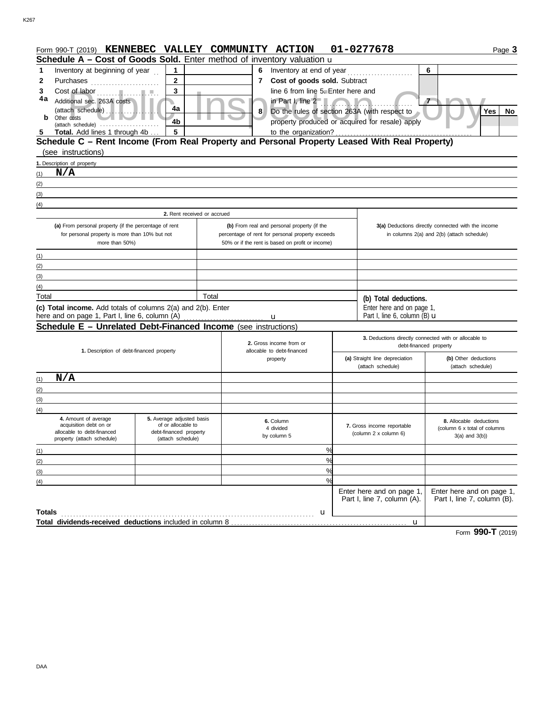| Form 990-T (2019) KENNEBEC VALLEY COMMUNITY ACTION                                                      |                                             |       |                                                                   |                                                  |   |                                                       | 01-0277678                                                                                       | Page 3                                                  |  |  |
|---------------------------------------------------------------------------------------------------------|---------------------------------------------|-------|-------------------------------------------------------------------|--------------------------------------------------|---|-------------------------------------------------------|--------------------------------------------------------------------------------------------------|---------------------------------------------------------|--|--|
| Schedule A - Cost of Goods Sold. Enter method of inventory valuation u                                  |                                             |       |                                                                   |                                                  |   |                                                       |                                                                                                  |                                                         |  |  |
| Inventory at beginning of year<br>1                                                                     | $\mathbf 1$                                 |       | 6                                                                 |                                                  |   |                                                       |                                                                                                  | 6                                                       |  |  |
| Cost of goods sold. Subtract<br>$\mathbf{2}$<br>2<br>Purchases<br>7                                     |                                             |       |                                                                   |                                                  |   |                                                       |                                                                                                  |                                                         |  |  |
| 3                                                                                                       | 3                                           |       |                                                                   | line 6 from line 5. Enter here and               |   |                                                       |                                                                                                  |                                                         |  |  |
| 4a<br>Additional sec. 263A costs                                                                        |                                             |       |                                                                   | in Part I, line $2 - 1$                          |   |                                                       |                                                                                                  | $\tau$                                                  |  |  |
| (attach schedule)<br>Other costs<br>b                                                                   | 4a                                          |       | 8                                                                 |                                                  |   |                                                       | Do the rules of section 263A (with respect to                                                    | Yes<br>No                                               |  |  |
| (attach schedule)                                                                                       | 4 <sub>b</sub>                              |       |                                                                   |                                                  |   |                                                       | property produced or acquired for resale) apply                                                  |                                                         |  |  |
| Total. Add lines 1 through 4b<br>5                                                                      | 5                                           |       |                                                                   | to the organization?                             |   |                                                       |                                                                                                  |                                                         |  |  |
| Schedule C - Rent Income (From Real Property and Personal Property Leased With Real Property)           |                                             |       |                                                                   |                                                  |   |                                                       |                                                                                                  |                                                         |  |  |
| (see instructions)                                                                                      |                                             |       |                                                                   |                                                  |   |                                                       |                                                                                                  |                                                         |  |  |
| 1. Description of property                                                                              |                                             |       |                                                                   |                                                  |   |                                                       |                                                                                                  |                                                         |  |  |
| N/A<br>(1)                                                                                              |                                             |       |                                                                   |                                                  |   |                                                       |                                                                                                  |                                                         |  |  |
| (2)                                                                                                     |                                             |       |                                                                   |                                                  |   |                                                       |                                                                                                  |                                                         |  |  |
| (3)                                                                                                     |                                             |       |                                                                   |                                                  |   |                                                       |                                                                                                  |                                                         |  |  |
| (4)                                                                                                     | 2. Rent received or accrued                 |       |                                                                   |                                                  |   |                                                       |                                                                                                  |                                                         |  |  |
|                                                                                                         |                                             |       |                                                                   |                                                  |   |                                                       |                                                                                                  |                                                         |  |  |
| (a) From personal property (if the percentage of rent<br>for personal property is more than 10% but not |                                             |       | percentage of rent for personal property exceeds                  | (b) From real and personal property (if the      |   |                                                       | 3(a) Deductions directly connected with the income<br>in columns 2(a) and 2(b) (attach schedule) |                                                         |  |  |
|                                                                                                         | more than 50%)                              |       |                                                                   | 50% or if the rent is based on profit or income) |   |                                                       |                                                                                                  |                                                         |  |  |
| (1)                                                                                                     |                                             |       |                                                                   |                                                  |   |                                                       |                                                                                                  |                                                         |  |  |
| (2)                                                                                                     |                                             |       |                                                                   |                                                  |   |                                                       |                                                                                                  |                                                         |  |  |
| (3)                                                                                                     |                                             |       |                                                                   |                                                  |   |                                                       |                                                                                                  |                                                         |  |  |
| (4)                                                                                                     |                                             |       |                                                                   |                                                  |   |                                                       |                                                                                                  |                                                         |  |  |
| Total                                                                                                   |                                             | Total |                                                                   |                                                  |   |                                                       | (b) Total deductions.                                                                            |                                                         |  |  |
| (c) Total income. Add totals of columns 2(a) and 2(b). Enter                                            |                                             |       |                                                                   |                                                  |   |                                                       | Enter here and on page 1,                                                                        |                                                         |  |  |
| here and on page 1, Part I, line 6, column (A)                                                          |                                             |       |                                                                   | u                                                |   |                                                       | Part I, line 6, column (B) $\mathbf u$                                                           |                                                         |  |  |
| Schedule E - Unrelated Debt-Financed Income (see instructions)                                          |                                             |       |                                                                   |                                                  |   |                                                       |                                                                                                  |                                                         |  |  |
|                                                                                                         |                                             |       | 2. Gross income from or<br>allocable to debt-financed<br>property |                                                  |   | 3. Deductions directly connected with or allocable to |                                                                                                  |                                                         |  |  |
| 1. Description of debt-financed property                                                                |                                             |       |                                                                   |                                                  |   |                                                       | debt-financed property                                                                           |                                                         |  |  |
|                                                                                                         |                                             |       |                                                                   |                                                  |   |                                                       | (a) Straight line depreciation                                                                   | (b) Other deductions                                    |  |  |
|                                                                                                         |                                             |       |                                                                   |                                                  |   |                                                       | (attach schedule)                                                                                | (attach schedule)                                       |  |  |
| N/A<br>(1)                                                                                              |                                             |       |                                                                   |                                                  |   |                                                       |                                                                                                  |                                                         |  |  |
| (2)                                                                                                     |                                             |       |                                                                   |                                                  |   |                                                       |                                                                                                  |                                                         |  |  |
| (3)                                                                                                     |                                             |       |                                                                   |                                                  |   |                                                       |                                                                                                  |                                                         |  |  |
| (4)<br>4. Amount of average                                                                             | 5. Average adjusted basis                   |       |                                                                   |                                                  |   |                                                       |                                                                                                  |                                                         |  |  |
| acquisition debt on or                                                                                  | of or allocable to                          |       | 6. Column<br>4 divided<br>by column 5                             |                                                  |   |                                                       | 7. Gross income reportable                                                                       | 8. Allocable deductions<br>(column 6 x total of columns |  |  |
| allocable to debt-financed<br>property (attach schedule)                                                | debt-financed property<br>(attach schedule) |       |                                                                   |                                                  |   |                                                       | (column 2 x column 6)                                                                            | $3(a)$ and $3(b)$ )                                     |  |  |
|                                                                                                         |                                             |       |                                                                   |                                                  | % |                                                       |                                                                                                  |                                                         |  |  |
| (1)<br>(2)                                                                                              |                                             |       |                                                                   |                                                  | % |                                                       |                                                                                                  |                                                         |  |  |
| (3)                                                                                                     |                                             |       |                                                                   |                                                  | % |                                                       |                                                                                                  |                                                         |  |  |
| (4)                                                                                                     |                                             |       |                                                                   |                                                  | % |                                                       |                                                                                                  |                                                         |  |  |
|                                                                                                         |                                             |       |                                                                   |                                                  |   |                                                       | Enter here and on page 1,                                                                        | Enter here and on page 1,                               |  |  |
|                                                                                                         |                                             |       |                                                                   |                                                  |   |                                                       | Part I, line 7, column (A).                                                                      | Part I, line 7, column (B).                             |  |  |
| Totals                                                                                                  |                                             |       |                                                                   |                                                  | u |                                                       |                                                                                                  |                                                         |  |  |
|                                                                                                         |                                             |       |                                                                   |                                                  |   |                                                       | u                                                                                                |                                                         |  |  |
|                                                                                                         |                                             |       |                                                                   |                                                  |   |                                                       |                                                                                                  |                                                         |  |  |

Form **990-T** (2019)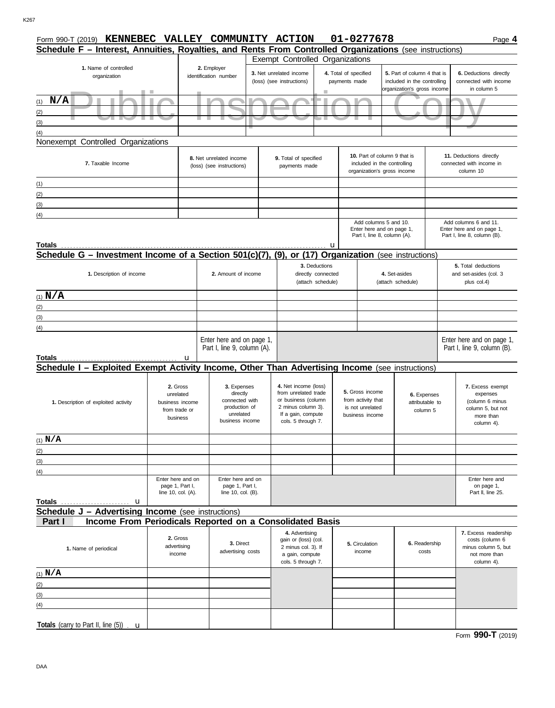| Form 990-T (2019) KENNEBEC VALLEY COMMUNITY ACTION                                                      |                                      |                                                          |                           |                           |                                             |                             | 01-0277678                            |                                                          |                                | Page 4                                                   |  |
|---------------------------------------------------------------------------------------------------------|--------------------------------------|----------------------------------------------------------|---------------------------|---------------------------|---------------------------------------------|-----------------------------|---------------------------------------|----------------------------------------------------------|--------------------------------|----------------------------------------------------------|--|
| Schedule F - Interest, Annuities, Royalties, and Rents From Controlled Organizations (see instructions) |                                      |                                                          |                           |                           |                                             |                             |                                       |                                                          |                                |                                                          |  |
| Exempt Controlled Organizations                                                                         |                                      |                                                          |                           |                           |                                             |                             |                                       |                                                          |                                |                                                          |  |
| 1. Name of controlled                                                                                   |                                      | 2. Employer<br>identification number                     |                           |                           | 3. Net unrelated income                     | 4. Total of specified       |                                       | 5. Part of column 4 that is                              |                                | 6. Deductions directly                                   |  |
| organization                                                                                            |                                      |                                                          |                           | (loss) (see instructions) | payments made                               | included in the controlling | connected with income                 |                                                          |                                |                                                          |  |
|                                                                                                         |                                      |                                                          |                           |                           |                                             |                             |                                       | organization's gross income                              |                                | in column 5                                              |  |
| $(1)$ $N/A$                                                                                             |                                      |                                                          |                           |                           |                                             |                             |                                       |                                                          |                                |                                                          |  |
| (2)                                                                                                     |                                      |                                                          |                           |                           |                                             |                             |                                       |                                                          |                                |                                                          |  |
| (3)                                                                                                     |                                      | u.<br>٠                                                  |                           |                           |                                             |                             |                                       |                                                          |                                |                                                          |  |
|                                                                                                         |                                      |                                                          |                           |                           |                                             |                             |                                       |                                                          |                                |                                                          |  |
| (4)<br>Nonexempt Controlled Organizations                                                               |                                      |                                                          |                           |                           |                                             |                             |                                       |                                                          |                                |                                                          |  |
|                                                                                                         |                                      |                                                          |                           |                           |                                             |                             |                                       |                                                          |                                |                                                          |  |
|                                                                                                         |                                      | 8. Net unrelated income                                  |                           |                           | 9. Total of specified                       |                             | 10. Part of column 9 that is          |                                                          |                                | 11. Deductions directly                                  |  |
| 7. Taxable Income                                                                                       |                                      | (loss) (see instructions)                                |                           |                           | payments made                               |                             | included in the controlling           |                                                          |                                | connected with income in                                 |  |
|                                                                                                         |                                      |                                                          |                           |                           |                                             |                             | organization's gross income           |                                                          |                                | column 10                                                |  |
| (1)                                                                                                     |                                      |                                                          |                           |                           |                                             |                             |                                       |                                                          |                                |                                                          |  |
| (2)                                                                                                     |                                      |                                                          |                           |                           |                                             |                             |                                       |                                                          |                                |                                                          |  |
| (3)                                                                                                     |                                      |                                                          |                           |                           |                                             |                             |                                       |                                                          |                                |                                                          |  |
| (4)                                                                                                     |                                      |                                                          |                           |                           |                                             |                             |                                       |                                                          |                                |                                                          |  |
|                                                                                                         |                                      |                                                          |                           |                           |                                             | Add columns 5 and 10.       |                                       | Add columns 6 and 11.                                    |                                |                                                          |  |
|                                                                                                         |                                      |                                                          |                           |                           |                                             |                             |                                       | Enter here and on page 1,<br>Part I, line 8, column (A). |                                | Enter here and on page 1,<br>Part I, line 8, column (B). |  |
| Totals                                                                                                  |                                      |                                                          |                           |                           |                                             | u                           |                                       |                                                          |                                |                                                          |  |
| Schedule G - Investment Income of a Section 501(c)(7), (9), or (17)                                     |                                      |                                                          |                           |                           |                                             |                             |                                       | <b>Organization</b> (see instructions)                   |                                |                                                          |  |
|                                                                                                         |                                      |                                                          |                           |                           | 3. Deductions                               |                             |                                       |                                                          |                                | 5. Total deductions                                      |  |
| 1. Description of income                                                                                |                                      | 2. Amount of income                                      |                           |                           | directly connected                          | 4. Set-asides               |                                       |                                                          | and set-asides (col. 3         |                                                          |  |
|                                                                                                         |                                      |                                                          |                           | (attach schedule)         |                                             | (attach schedule)           |                                       | plus col.4)                                              |                                |                                                          |  |
|                                                                                                         |                                      |                                                          |                           |                           |                                             |                             |                                       |                                                          |                                |                                                          |  |
| $(1)$ $N/A$                                                                                             |                                      |                                                          |                           |                           |                                             |                             |                                       |                                                          |                                |                                                          |  |
| (2)                                                                                                     |                                      |                                                          |                           |                           |                                             |                             |                                       |                                                          |                                |                                                          |  |
| (3)                                                                                                     |                                      |                                                          |                           |                           |                                             |                             |                                       |                                                          |                                |                                                          |  |
| (4)                                                                                                     |                                      |                                                          |                           |                           |                                             |                             |                                       |                                                          |                                |                                                          |  |
|                                                                                                         |                                      |                                                          | Enter here and on page 1, |                           |                                             |                             |                                       |                                                          |                                | Enter here and on page 1,                                |  |
|                                                                                                         |                                      | Part I, line 9, column (A).                              |                           |                           |                                             |                             |                                       |                                                          |                                | Part I, line 9, column (B).                              |  |
| Totals                                                                                                  | u                                    |                                                          |                           |                           |                                             |                             |                                       |                                                          |                                |                                                          |  |
| Schedule I - Exploited Exempt Activity Income, Other Than Advertising Income (see instructions)         |                                      |                                                          |                           |                           |                                             |                             |                                       |                                                          |                                |                                                          |  |
|                                                                                                         |                                      |                                                          |                           |                           |                                             |                             |                                       |                                                          |                                |                                                          |  |
|                                                                                                         | 2. Gross                             |                                                          | 3. Expenses               |                           | 4. Net income (loss)                        |                             |                                       |                                                          |                                | 7. Excess exempt                                         |  |
|                                                                                                         | unrelated                            | directly<br>connected with<br>production of<br>unrelated |                           |                           | from unrelated trade<br>or business (column |                             | 5. Gross income<br>from activity that |                                                          | 6. Expenses<br>attributable to | expenses                                                 |  |
| 1. Description of exploited activity                                                                    | business income<br>from trade or     |                                                          |                           |                           | 2 minus column 3).                          |                             | is not unrelated                      | column 5                                                 |                                | (column 6 minus<br>column 5, but not                     |  |
|                                                                                                         | business                             |                                                          |                           |                           | If a gain, compute                          |                             | business income                       |                                                          |                                | more than                                                |  |
|                                                                                                         |                                      | business income                                          |                           |                           | cols. 5 through 7.                          |                             |                                       |                                                          |                                | column 4).                                               |  |
| $(1)$ N/A                                                                                               |                                      |                                                          |                           |                           |                                             |                             |                                       |                                                          |                                |                                                          |  |
|                                                                                                         |                                      |                                                          |                           |                           |                                             |                             |                                       |                                                          |                                |                                                          |  |
| (2)                                                                                                     |                                      |                                                          |                           |                           |                                             |                             |                                       |                                                          |                                |                                                          |  |
| (3)                                                                                                     |                                      |                                                          |                           |                           |                                             |                             |                                       |                                                          |                                |                                                          |  |
| (4)                                                                                                     |                                      |                                                          | Enter here and on         |                           |                                             |                             |                                       |                                                          |                                |                                                          |  |
|                                                                                                         | Enter here and on<br>page 1, Part I, |                                                          | page 1, Part I,           |                           |                                             |                             |                                       |                                                          |                                | Enter here and<br>on page 1,                             |  |
|                                                                                                         | line 10, col. (A).                   |                                                          | line 10, col. (B).        |                           |                                             |                             |                                       |                                                          |                                | Part II, line 25.                                        |  |
| Totals<br>u                                                                                             |                                      |                                                          |                           |                           |                                             |                             |                                       |                                                          |                                |                                                          |  |
| <b>Schedule J - Advertising Income</b> (see instructions)                                               |                                      |                                                          |                           |                           |                                             |                             |                                       |                                                          |                                |                                                          |  |
| Income From Periodicals Reported on a Consolidated Basis<br>Part I                                      |                                      |                                                          |                           |                           |                                             |                             |                                       |                                                          |                                |                                                          |  |
|                                                                                                         | 2. Gross                             |                                                          |                           |                           | 4. Advertising                              |                             |                                       |                                                          |                                | 7. Excess readership                                     |  |
|                                                                                                         |                                      | 3. Direct                                                |                           | gain or (loss) (col.      |                                             | 5. Circulation              | 6. Readership                         |                                                          | costs (column 6                |                                                          |  |
| advertising<br>1. Name of periodical<br>income                                                          |                                      |                                                          | advertising costs         |                           | 2 minus col. 3). If<br>a gain, compute      |                             | income                                | costs                                                    |                                | minus column 5, but<br>not more than                     |  |
|                                                                                                         |                                      |                                                          |                           |                           | cols. 5 through 7.                          |                             |                                       |                                                          |                                | column 4).                                               |  |
| $(1)$ N/A                                                                                               |                                      |                                                          |                           |                           |                                             |                             |                                       |                                                          |                                |                                                          |  |
|                                                                                                         |                                      |                                                          |                           |                           |                                             |                             |                                       |                                                          |                                |                                                          |  |
| (2)                                                                                                     |                                      |                                                          |                           |                           |                                             |                             |                                       |                                                          |                                |                                                          |  |
| (3)                                                                                                     |                                      |                                                          |                           |                           |                                             |                             |                                       |                                                          |                                |                                                          |  |
| (4)                                                                                                     |                                      |                                                          |                           |                           |                                             |                             |                                       |                                                          |                                |                                                          |  |
|                                                                                                         |                                      |                                                          |                           |                           |                                             |                             |                                       |                                                          |                                |                                                          |  |
| Totals (carry to Part II, line $(5)$ ). $\mathbf u$                                                     |                                      |                                                          |                           |                           |                                             |                             |                                       |                                                          |                                |                                                          |  |